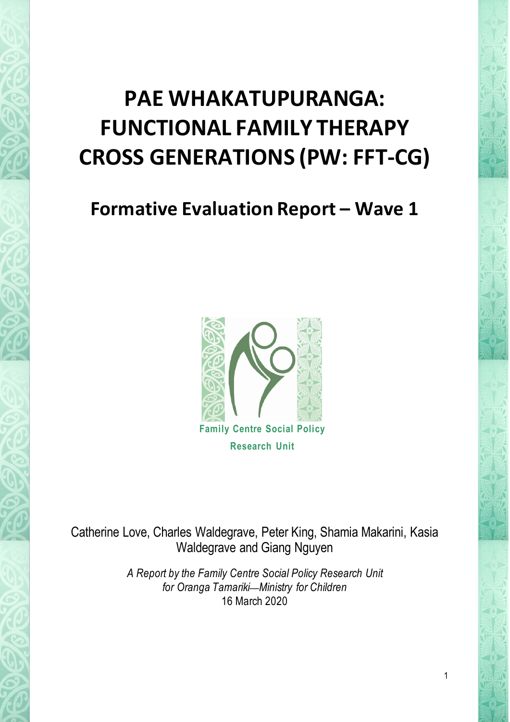# **PAE WHAKATUPURANGA: FUNCTIONAL FAMILY THERAPY CROSS GENERATIONS (PW: FFT-CG)**

# **Formative Evaluation Report – Wave 1**



Catherine Love, Charles Waldegrave, Peter King, Shamia Makarini, Kasia Waldegrave and Giang Nguyen

> *A Report by the Family Centre Social Policy Research Unit for Oranga Tamariki*—*Ministry for Children* 16 March 2020

> > 1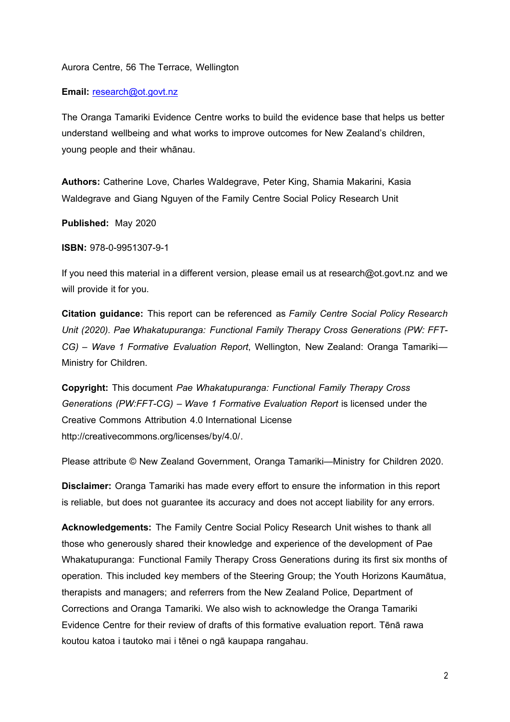#### Aurora Centre, 56 The Terrace, Wellington

#### **Email:** [research@ot.govt.nz](mailto:research@ot.govt.nz)

The Oranga Tamariki Evidence Centre works to build the evidence base that helps us better understand wellbeing and what works to improve outcomes for New Zealand's children, young people and their whānau.

**Authors:** Catherine Love, Charles Waldegrave, Peter King, Shamia Makarini, Kasia Waldegrave and Giang Nguyen of the Family Centre Social Policy Research Unit

**Published:** May 2020

**ISBN:** 978-0-9951307-9-1

If you need this material in a different version, please email us at research@ot.govt.nz and we will provide it for you.

**Citation guidance:** This report can be referenced as *Family Centre Social Policy Research Unit (2020). Pae Whakatupuranga: Functional Family Therapy Cross Generations (PW: FFT-CG) – Wave 1 Formative Evaluation Report*, Wellington, New Zealand: Oranga Tamariki— Ministry for Children.

**Copyright:** This document *Pae Whakatupuranga: Functional Family Therapy Cross Generations (PW:FFT-CG) – Wave 1 Formative Evaluation Report* is licensed under the Creative Commons Attribution 4.0 International License http://creativecommons.org/licenses/by/4.0/.

Please attribute © New Zealand Government, Oranga Tamariki—Ministry for Children 2020.

**Disclaimer:** Oranga Tamariki has made every effort to ensure the information in this report is reliable, but does not guarantee its accuracy and does not accept liability for any errors.

**Acknowledgements:** The Family Centre Social Policy Research Unit wishes to thank all those who generously shared their knowledge and experience of the development of Pae Whakatupuranga: Functional Family Therapy Cross Generations during its first six months of operation. This included key members of the Steering Group; the Youth Horizons Kaumātua, therapists and managers; and referrers from the New Zealand Police, Department of Corrections and Oranga Tamariki. We also wish to acknowledge the Oranga Tamariki Evidence Centre for their review of drafts of this formative evaluation report. Tēnā rawa koutou katoa i tautoko mai i tēnei o ngā kaupapa rangahau.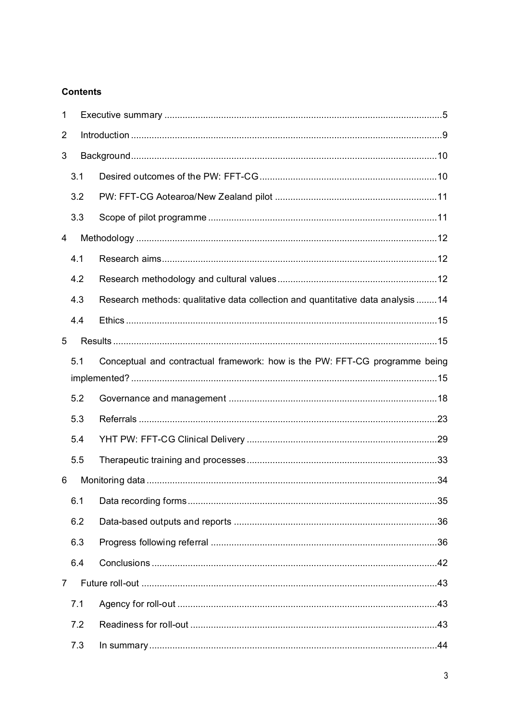# **Contents**

| 1              |     |                                                                                 |
|----------------|-----|---------------------------------------------------------------------------------|
| 2              |     |                                                                                 |
| 3              |     |                                                                                 |
|                | 3.1 |                                                                                 |
|                | 3.2 |                                                                                 |
|                | 3.3 |                                                                                 |
| 4              |     |                                                                                 |
|                | 4.1 |                                                                                 |
|                | 4.2 |                                                                                 |
|                | 4.3 | Research methods: qualitative data collection and quantitative data analysis 14 |
|                | 4.4 |                                                                                 |
| 5              |     |                                                                                 |
|                | 5.1 | Conceptual and contractual framework: how is the PW: FFT-CG programme being     |
|                | 5.2 |                                                                                 |
|                | 5.3 |                                                                                 |
|                | 5.4 |                                                                                 |
|                | 5.5 |                                                                                 |
| 6              |     |                                                                                 |
|                | 6.1 |                                                                                 |
|                | 6.2 |                                                                                 |
|                | 6.3 |                                                                                 |
|                | 6.4 |                                                                                 |
| $\overline{7}$ |     |                                                                                 |
|                | 7.1 |                                                                                 |
|                | 7.2 |                                                                                 |
|                | 7.3 |                                                                                 |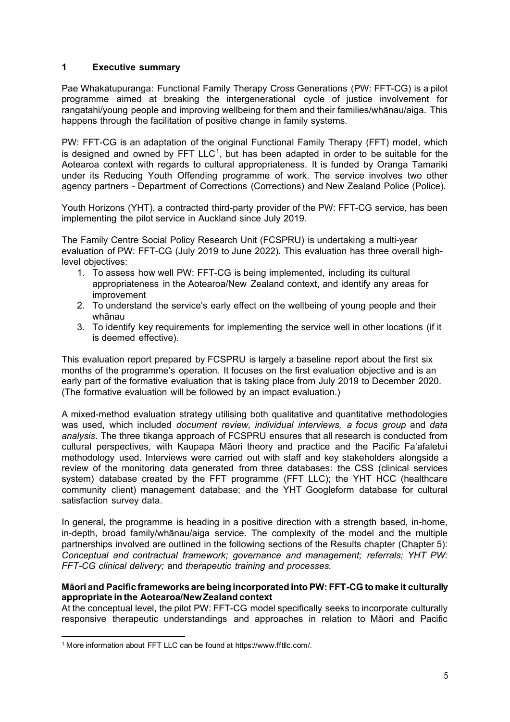# <span id="page-4-0"></span>**1 Executive summary**

Pae Whakatupuranga: Functional Family Therapy Cross Generations (PW: FFT-CG) is a pilot programme aimed at breaking the intergenerational cycle of justice involvement for rangatahi/young people and improving wellbeing for them and their families/whānau/aiga. This happens through the facilitation of positive change in family systems.

PW: FFT-CG is an adaptation of the original Functional Family Therapy (FFT) model, which is designed and owned by FFT LLC<sup>[1](#page-4-1)</sup>, but has been adapted in order to be suitable for the Aotearoa context with regards to cultural appropriateness. It is funded by Oranga Tamariki under its Reducing Youth Offending programme of work. The service involves two other agency partners - Department of Corrections (Corrections) and New Zealand Police (Police).

Youth Horizons (YHT), a contracted third-party provider of the PW: FFT-CG service, has been implementing the pilot service in Auckland since July 2019.

The Family Centre Social Policy Research Unit (FCSPRU) is undertaking a multi-year evaluation of PW: FFT-CG (July 2019 to June 2022). This evaluation has three overall highlevel objectives:

- 1. To assess how well PW: FFT-CG is being implemented, including its cultural appropriateness in the Aotearoa/New Zealand context, and identify any areas for improvement
- 2. To understand the service's early effect on the wellbeing of young people and their whānau
- 3. To identify key requirements for implementing the service well in other locations (if it is deemed effective).

This evaluation report prepared by FCSPRU is largely a baseline report about the first six months of the programme's operation. It focuses on the first evaluation objective and is an early part of the formative evaluation that is taking place from July 2019 to December 2020. (The formative evaluation will be followed by an impact evaluation.)

A mixed-method evaluation strategy utilising both qualitative and quantitative methodologies was used, which included *document review, individual interviews, a focus group* and *data analysis*. The three tikanga approach of FCSPRU ensures that all research is conducted from cultural perspectives, with Kaupapa Māori theory and practice and the Pacific Fa'afaletui methodology used. Interviews were carried out with staff and key stakeholders alongside a review of the monitoring data generated from three databases: the CSS (clinical services system) database created by the FFT programme (FFT LLC); the YHT HCC (healthcare community client) management database; and the YHT Googleform database for cultural satisfaction survey data.

In general, the programme is heading in a positive direction with a strength based, in-home, in-depth, broad family/whānau/aiga service. The complexity of the model and the multiple partnerships involved are outlined in the following sections of the Results chapter (Chapter 5): *Conceptual and contractual framework; governance and management; referrals; YHT PW: FFT-CG clinical delivery;* and *therapeutic training and processes.* 

#### **Māori and Pacific frameworks are being incorporated into PW: FFT-CG to make it culturally appropriate in the Aotearoa/New Zealand context**

At the conceptual level, the pilot PW: FFT-CG model specifically seeks to incorporate culturally responsive therapeutic understandings and approaches in relation to Māori and Pacific

<span id="page-4-1"></span><sup>1</sup> More information about FFT LLC can be found at https://www.fftllc.com/.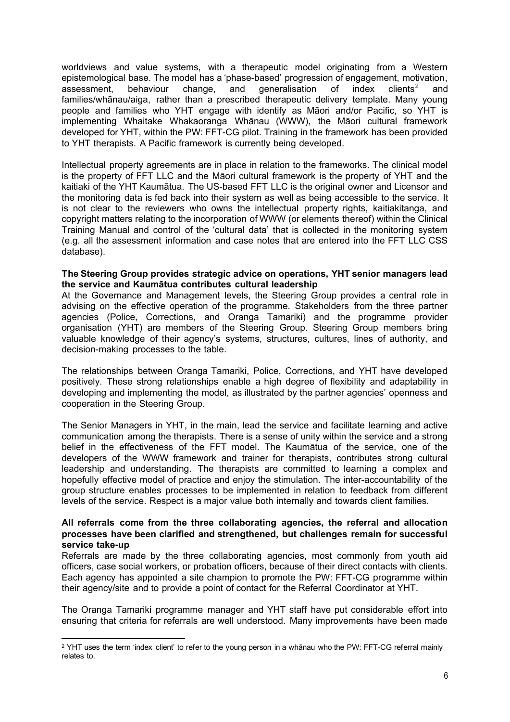worldviews and value systems, with a therapeutic model originating from a Western epistemological base. The model has a 'phase-based' progression of engagement, motivation, assessment, behaviour change, and qeneralisation of index clients<sup>2</sup> and assessment, behaviour change, and generalisation of index clients<sup>[2](#page-5-0)</sup> and families/whānau/aiga, rather than a prescribed therapeutic delivery template. Many young people and families who YHT engage with identify as Māori and/or Pacific, so YHT is implementing Whaitake Whakaoranga Whānau (WWW), the Māori cultural framework developed for YHT, within the PW: FFT-CG pilot. Training in the framework has been provided to YHT therapists. A Pacific framework is currently being developed.

Intellectual property agreements are in place in relation to the frameworks. The clinical model is the property of FFT LLC and the Māori cultural framework is the property of YHT and the kaitiaki of the YHT Kaumātua. The US-based FFT LLC is the original owner and Licensor and the monitoring data is fed back into their system as well as being accessible to the service. It is not clear to the reviewers who owns the intellectual property rights, kaitiakitanga, and copyright matters relating to the incorporation of WWW (or elements thereof) within the Clinical Training Manual and control of the 'cultural data' that is collected in the monitoring system (e.g. all the assessment information and case notes that are entered into the FFT LLC CSS database).

#### **The Steering Group provides strategic advice on operations, YHT senior managers lead the service and Kaumātua contributes cultural leadership**

At the Governance and Management levels, the Steering Group provides a central role in advising on the effective operation of the programme. Stakeholders from the three partner agencies (Police, Corrections, and Oranga Tamariki) and the programme provider organisation (YHT) are members of the Steering Group. Steering Group members bring valuable knowledge of their agency's systems, structures, cultures, lines of authority, and decision-making processes to the table.

The relationships between Oranga Tamariki, Police, Corrections, and YHT have developed positively. These strong relationships enable a high degree of flexibility and adaptability in developing and implementing the model, as illustrated by the partner agencies' openness and cooperation in the Steering Group.

The Senior Managers in YHT, in the main, lead the service and facilitate learning and active communication among the therapists. There is a sense of unity within the service and a strong belief in the effectiveness of the FFT model. The Kaumātua of the service, one of the developers of the WWW framework and trainer for therapists, contributes strong cultural leadership and understanding. The therapists are committed to learning a complex and hopefully effective model of practice and enjoy the stimulation. The inter-accountability of the group structure enables processes to be implemented in relation to feedback from different levels of the service. Respect is a major value both internally and towards client families.

#### **All referrals come from the three collaborating agencies, the referral and allocation processes have been clarified and strengthened, but challenges remain for successful service take-up**

Referrals are made by the three collaborating agencies, most commonly from youth aid officers, case social workers, or probation officers, because of their direct contacts with clients. Each agency has appointed a site champion to promote the PW: FFT-CG programme within their agency/site and to provide a point of contact for the Referral Coordinator at YHT.

The Oranga Tamariki programme manager and YHT staff have put considerable effort into ensuring that criteria for referrals are well understood. Many improvements have been made

<span id="page-5-0"></span><sup>2</sup> YHT uses the term 'index client' to refer to the young person in a whānau who the PW: FFT-CG referral mainly relates to.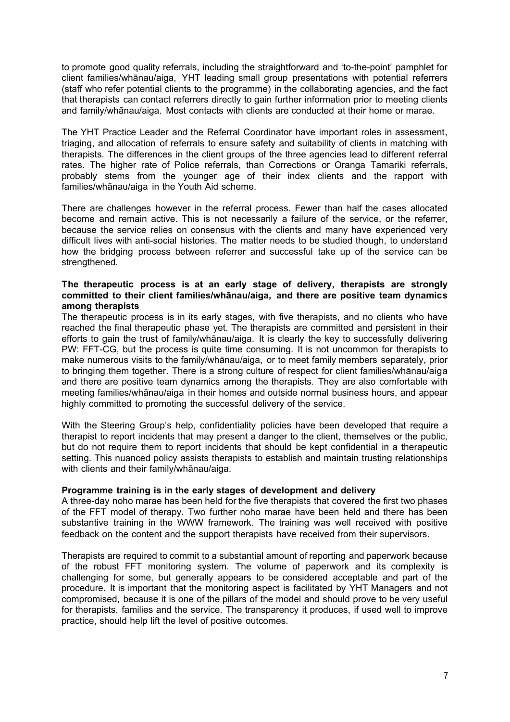to promote good quality referrals, including the straightforward and 'to-the-point' pamphlet for client families/whānau/aiga, YHT leading small group presentations with potential referrers (staff who refer potential clients to the programme) in the collaborating agencies, and the fact that therapists can contact referrers directly to gain further information prior to meeting clients and family/whānau/aiga. Most contacts with clients are conducted at their home or marae.

The YHT Practice Leader and the Referral Coordinator have important roles in assessment, triaging, and allocation of referrals to ensure safety and suitability of clients in matching with therapists. The differences in the client groups of the three agencies lead to different referral rates. The higher rate of Police referrals, than Corrections or Oranga Tamariki referrals, probably stems from the younger age of their index clients and the rapport with families/whānau/aiga in the Youth Aid scheme.

There are challenges however in the referral process. Fewer than half the cases allocated become and remain active. This is not necessarily a failure of the service, or the referrer, because the service relies on consensus with the clients and many have experienced very difficult lives with anti-social histories. The matter needs to be studied though, to understand how the bridging process between referrer and successful take up of the service can be strengthened.

#### **The therapeutic process is at an early stage of delivery, therapists are strongly committed to their client families/whānau/aiga, and there are positive team dynamics among therapists**

The therapeutic process is in its early stages, with five therapists, and no clients who have reached the final therapeutic phase yet. The therapists are committed and persistent in their efforts to gain the trust of family/whānau/aiga. It is clearly the key to successfully delivering PW: FFT-CG, but the process is quite time consuming. It is not uncommon for therapists to make numerous visits to the family/whānau/aiga, or to meet family members separately, prior to bringing them together. There is a strong culture of respect for client families/whānau/aiga and there are positive team dynamics among the therapists. They are also comfortable with meeting families/whānau/aiga in their homes and outside normal business hours, and appear highly committed to promoting the successful delivery of the service.

With the Steering Group's help, confidentiality policies have been developed that require a therapist to report incidents that may present a danger to the client, themselves or the public, but do not require them to report incidents that should be kept confidential in a therapeutic setting. This nuanced policy assists therapists to establish and maintain trusting relationships with clients and their family/whānau/aiga.

#### **Programme training is in the early stages of development and delivery**

A three-day noho marae has been held for the five therapists that covered the first two phases of the FFT model of therapy. Two further noho marae have been held and there has been substantive training in the WWW framework. The training was well received with positive feedback on the content and the support therapists have received from their supervisors.

Therapists are required to commit to a substantial amount of reporting and paperwork because of the robust FFT monitoring system. The volume of paperwork and its complexity is challenging for some, but generally appears to be considered acceptable and part of the procedure. It is important that the monitoring aspect is facilitated by YHT Managers and not compromised, because it is one of the pillars of the model and should prove to be very useful for therapists, families and the service. The transparency it produces, if used well to improve practice, should help lift the level of positive outcomes.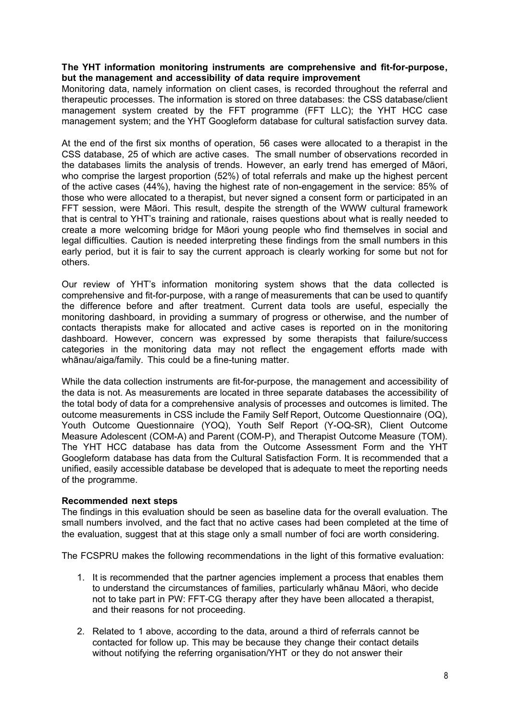#### **The YHT information monitoring instruments are comprehensive and fit-for-purpose, but the management and accessibility of data require improvement**

Monitoring data, namely information on client cases, is recorded throughout the referral and therapeutic processes. The information is stored on three databases: the CSS database/client management system created by the FFT programme (FFT LLC); the YHT HCC case management system; and the YHT Googleform database for cultural satisfaction survey data.

At the end of the first six months of operation, 56 cases were allocated to a therapist in the CSS database, 25 of which are active cases. The small number of observations recorded in the databases limits the analysis of trends. However, an early trend has emerged of Māori, who comprise the largest proportion (52%) of total referrals and make up the highest percent of the active cases (44%), having the highest rate of non-engagement in the service: 85% of those who were allocated to a therapist, but never signed a consent form or participated in an FFT session, were Māori. This result, despite the strength of the WWW cultural framework that is central to YHT's training and rationale, raises questions about what is really needed to create a more welcoming bridge for Māori young people who find themselves in social and legal difficulties. Caution is needed interpreting these findings from the small numbers in this early period, but it is fair to say the current approach is clearly working for some but not for others.

Our review of YHT's information monitoring system shows that the data collected is comprehensive and fit-for-purpose, with a range of measurements that can be used to quantify the difference before and after treatment. Current data tools are useful, especially the monitoring dashboard, in providing a summary of progress or otherwise, and the number of contacts therapists make for allocated and active cases is reported on in the monitoring dashboard. However, concern was expressed by some therapists that failure/success categories in the monitoring data may not reflect the engagement efforts made with whānau/aiga/family. This could be a fine-tuning matter.

While the data collection instruments are fit-for-purpose, the management and accessibility of the data is not. As measurements are located in three separate databases the accessibility of the total body of data for a comprehensive analysis of processes and outcomes is limited. The outcome measurements in CSS include the Family Self Report, Outcome Questionnaire (OQ), Youth Outcome Questionnaire (YOQ), Youth Self Report (Y-OQ-SR), Client Outcome Measure Adolescent (COM-A) and Parent (COM-P), and Therapist Outcome Measure (TOM). The YHT HCC database has data from the Outcome Assessment Form and the YHT Googleform database has data from the Cultural Satisfaction Form. It is recommended that a unified, easily accessible database be developed that is adequate to meet the reporting needs of the programme.

#### **Recommended next steps**

The findings in this evaluation should be seen as baseline data for the overall evaluation. The small numbers involved, and the fact that no active cases had been completed at the time of the evaluation, suggest that at this stage only a small number of foci are worth considering.

The FCSPRU makes the following recommendations in the light of this formative evaluation:

- 1. It is recommended that the partner agencies implement a process that enables them to understand the circumstances of families, particularly whānau Māori, who decide not to take part in PW: FFT-CG therapy after they have been allocated a therapist, and their reasons for not proceeding.
- 2. Related to 1 above, according to the data, around a third of referrals cannot be contacted for follow up. This may be because they change their contact details without notifying the referring organisation/YHT or they do not answer their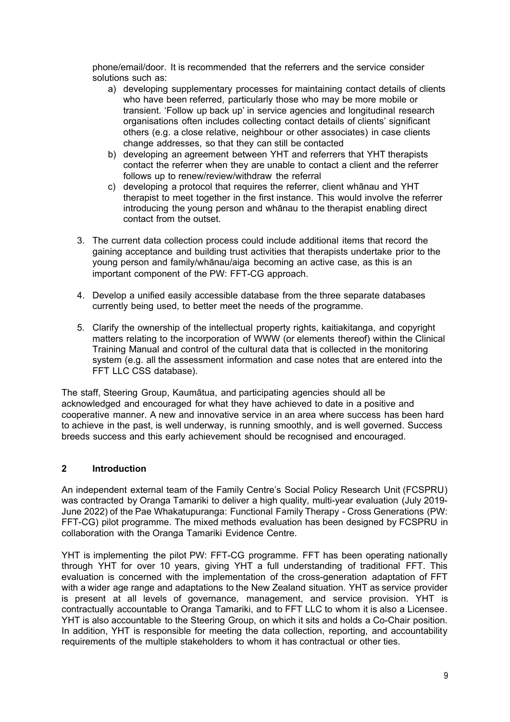phone/email/door. It is recommended that the referrers and the service consider solutions such as:

- a) developing supplementary processes for maintaining contact details of clients who have been referred, particularly those who may be more mobile or transient. 'Follow up back up' in service agencies and longitudinal research organisations often includes collecting contact details of clients' significant others (e.g. a close relative, neighbour or other associates) in case clients change addresses, so that they can still be contacted
- b) developing an agreement between YHT and referrers that YHT therapists contact the referrer when they are unable to contact a client and the referrer follows up to renew/review/withdraw the referral
- c) developing a protocol that requires the referrer, client whānau and YHT therapist to meet together in the first instance. This would involve the referrer introducing the young person and whānau to the therapist enabling direct contact from the outset.
- 3. The current data collection process could include additional items that record the gaining acceptance and building trust activities that therapists undertake prior to the young person and family/whānau/aiga becoming an active case, as this is an important component of the PW: FFT-CG approach.
- 4. Develop a unified easily accessible database from the three separate databases currently being used, to better meet the needs of the programme.
- 5. Clarify the ownership of the intellectual property rights, kaitiakitanga, and copyright matters relating to the incorporation of WWW (or elements thereof) within the Clinical Training Manual and control of the cultural data that is collected in the monitoring system (e.g. all the assessment information and case notes that are entered into the FFT LLC CSS database).

The staff, Steering Group, Kaumātua, and participating agencies should all be acknowledged and encouraged for what they have achieved to date in a positive and cooperative manner. A new and innovative service in an area where success has been hard to achieve in the past, is well underway, is running smoothly, and is well governed. Success breeds success and this early achievement should be recognised and encouraged.

# <span id="page-8-0"></span>**2 Introduction**

An independent external team of the Family Centre's Social Policy Research Unit (FCSPRU) was contracted by Oranga Tamariki to deliver a high quality, multi-year evaluation (July 2019- June 2022) of the Pae Whakatupuranga: Functional Family Therapy - Cross Generations (PW: FFT-CG) pilot programme. The mixed methods evaluation has been designed by FCSPRU in collaboration with the Oranga Tamariki Evidence Centre.

YHT is implementing the pilot PW: FFT-CG programme. FFT has been operating nationally through YHT for over 10 years, giving YHT a full understanding of traditional FFT. This evaluation is concerned with the implementation of the cross-generation adaptation of FFT with a wider age range and adaptations to the New Zealand situation. YHT as service provider is present at all levels of governance, management, and service provision. YHT is contractually accountable to Oranga Tamariki, and to FFT LLC to whom it is also a Licensee. YHT is also accountable to the Steering Group, on which it sits and holds a Co-Chair position. In addition, YHT is responsible for meeting the data collection, reporting, and accountability requirements of the multiple stakeholders to whom it has contractual or other ties.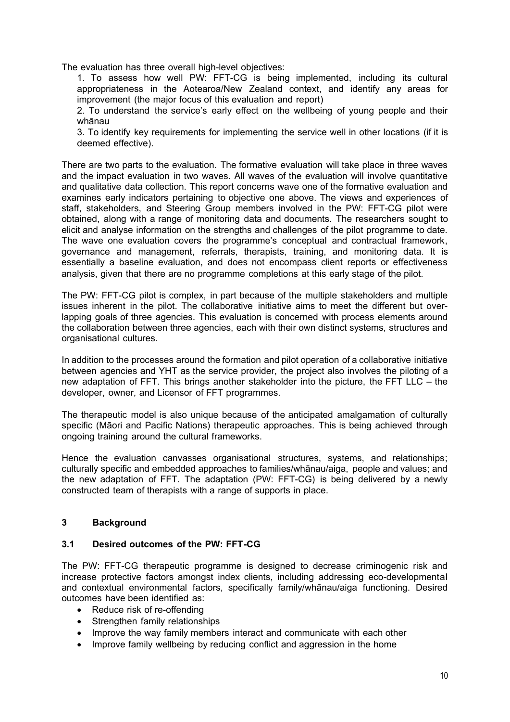The evaluation has three overall high-level objectives:

1. To assess how well PW: FFT-CG is being implemented, including its cultural appropriateness in the Aotearoa/New Zealand context, and identify any areas for improvement (the major focus of this evaluation and report)

2. To understand the service's early effect on the wellbeing of young people and their whānau

3. To identify key requirements for implementing the service well in other locations (if it is deemed effective).

There are two parts to the evaluation. The formative evaluation will take place in three waves and the impact evaluation in two waves. All waves of the evaluation will involve quantitative and qualitative data collection. This report concerns wave one of the formative evaluation and examines early indicators pertaining to objective one above. The views and experiences of staff, stakeholders, and Steering Group members involved in the PW: FFT-CG pilot were obtained, along with a range of monitoring data and documents. The researchers sought to elicit and analyse information on the strengths and challenges of the pilot programme to date. The wave one evaluation covers the programme's conceptual and contractual framework, governance and management, referrals, therapists, training, and monitoring data. It is essentially a baseline evaluation, and does not encompass client reports or effectiveness analysis, given that there are no programme completions at this early stage of the pilot.

The PW: FFT-CG pilot is complex, in part because of the multiple stakeholders and multiple issues inherent in the pilot. The collaborative initiative aims to meet the different but overlapping goals of three agencies. This evaluation is concerned with process elements around the collaboration between three agencies, each with their own distinct systems, structures and organisational cultures.

In addition to the processes around the formation and pilot operation of a collaborative initiative between agencies and YHT as the service provider, the project also involves the piloting of a new adaptation of FFT. This brings another stakeholder into the picture, the FFT LLC – the developer, owner, and Licensor of FFT programmes.

The therapeutic model is also unique because of the anticipated amalgamation of culturally specific (Māori and Pacific Nations) therapeutic approaches. This is being achieved through ongoing training around the cultural frameworks.

Hence the evaluation canvasses organisational structures, systems, and relationships; culturally specific and embedded approaches to families/whānau/aiga, people and values; and the new adaptation of FFT. The adaptation (PW: FFT-CG) is being delivered by a newly constructed team of therapists with a range of supports in place.

# <span id="page-9-0"></span>**3 Background**

# <span id="page-9-1"></span>**3.1 Desired outcomes of the PW: FFT-CG**

The PW: FFT-CG therapeutic programme is designed to decrease criminogenic risk and increase protective factors amongst index clients, including addressing eco-developmental and contextual environmental factors, specifically family/whānau/aiga functioning. Desired outcomes have been identified as:

- Reduce risk of re-offending
- Strengthen family relationships
- Improve the way family members interact and communicate with each other
- Improve family wellbeing by reducing conflict and aggression in the home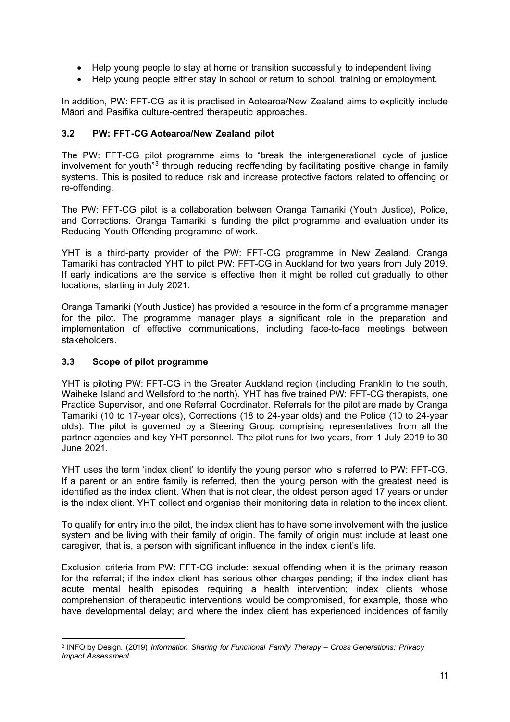- Help young people to stay at home or transition successfully to independent living
- Help young people either stay in school or return to school, training or employment.

In addition, PW: FFT-CG as it is practised in Aotearoa/New Zealand aims to explicitly include Māori and Pasifika culture-centred therapeutic approaches.

# <span id="page-10-0"></span>**3.2 PW: FFT-CG Aotearoa/New Zealand pilot**

The PW: FFT-CG pilot programme aims to "break the intergenerational cycle of justice involvement for youth"<sup>[3](#page-10-2)</sup> through reducing reoffending by facilitating positive change in family systems. This is posited to reduce risk and increase protective factors related to offending or re-offending.

The PW: FFT-CG pilot is a collaboration between Oranga Tamariki (Youth Justice), Police, and Corrections. Oranga Tamariki is funding the pilot programme and evaluation under its Reducing Youth Offending programme of work.

YHT is a third-party provider of the PW: FFT-CG programme in New Zealand. Oranga Tamariki has contracted YHT to pilot PW: FFT-CG in Auckland for two years from July 2019. If early indications are the service is effective then it might be rolled out gradually to other locations, starting in July 2021.

Oranga Tamariki (Youth Justice) has provided a resource in the form of a programme manager for the pilot. The programme manager plays a significant role in the preparation and implementation of effective communications, including face-to-face meetings between stakeholders.

# <span id="page-10-1"></span>**3.3 Scope of pilot programme**

YHT is piloting PW: FFT-CG in the Greater Auckland region (including Franklin to the south, Waiheke Island and Wellsford to the north). YHT has five trained PW: FFT-CG therapists, one Practice Supervisor, and one Referral Coordinator. Referrals for the pilot are made by Oranga Tamariki (10 to 17-year olds), Corrections (18 to 24-year olds) and the Police (10 to 24-year olds). The pilot is governed by a Steering Group comprising representatives from all the partner agencies and key YHT personnel. The pilot runs for two years, from 1 July 2019 to 30 June 2021.

YHT uses the term 'index client' to identify the young person who is referred to PW: FFT-CG. If a parent or an entire family is referred, then the young person with the greatest need is identified as the index client. When that is not clear, the oldest person aged 17 years or under is the index client. YHT collect and organise their monitoring data in relation to the index client.

To qualify for entry into the pilot, the index client has to have some involvement with the justice system and be living with their family of origin. The family of origin must include at least one caregiver, that is, a person with significant influence in the index client's life.

Exclusion criteria from PW: FFT-CG include: sexual offending when it is the primary reason for the referral; if the index client has serious other charges pending; if the index client has acute mental health episodes requiring a health intervention; index clients whose comprehension of therapeutic interventions would be compromised, for example, those who have developmental delay; and where the index client has experienced incidences of family

<span id="page-10-2"></span><sup>3</sup> INFO by Design. (2019) *Information Sharing for Functional Family Therapy – Cross Generations: Privacy Impact Assessment.*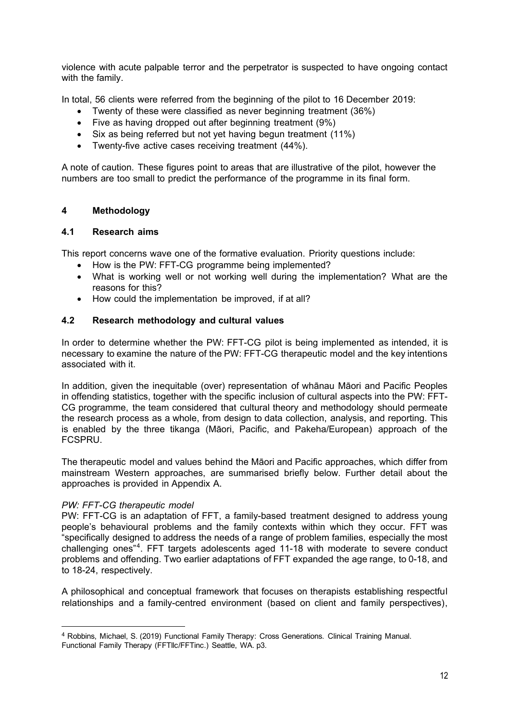violence with acute palpable terror and the perpetrator is suspected to have ongoing contact with the family.

In total, 56 clients were referred from the beginning of the pilot to 16 December 2019:

- Twenty of these were classified as never beginning treatment (36%)
- Five as having dropped out after beginning treatment (9%)
- Six as being referred but not yet having begun treatment (11%)
- Twenty-five active cases receiving treatment (44%).

A note of caution. These figures point to areas that are illustrative of the pilot, however the numbers are too small to predict the performance of the programme in its final form.

# <span id="page-11-0"></span>**4 Methodology**

# <span id="page-11-1"></span>**4.1 Research aims**

This report concerns wave one of the formative evaluation. Priority questions include:

- How is the PW: FFT-CG programme being implemented?
- What is working well or not working well during the implementation? What are the reasons for this?
- How could the implementation be improved, if at all?

# <span id="page-11-2"></span>**4.2 Research methodology and cultural values**

In order to determine whether the PW: FFT-CG pilot is being implemented as intended, it is necessary to examine the nature of the PW: FFT-CG therapeutic model and the key intentions associated with it.

In addition, given the inequitable (over) representation of whānau Māori and Pacific Peoples in offending statistics, together with the specific inclusion of cultural aspects into the PW: FFT-CG programme, the team considered that cultural theory and methodology should permeate the research process as a whole, from design to data collection, analysis, and reporting. This is enabled by the three tikanga (Māori, Pacific, and Pakeha/European) approach of the FCSPRU.

The therapeutic model and values behind the Māori and Pacific approaches, which differ from mainstream Western approaches, are summarised briefly below. Further detail about the approaches is provided in Appendix A.

#### *PW: FFT-CG therapeutic model*

PW: FFT-CG is an adaptation of FFT, a family-based treatment designed to address young people's behavioural problems and the family contexts within which they occur. FFT was "specifically designed to address the needs of a range of problem families, especially the most challenging ones"[4.](#page-11-3) FFT targets adolescents aged 11-18 with moderate to severe conduct problems and offending. Two earlier adaptations of FFT expanded the age range, to 0-18, and to 18-24, respectively.

A philosophical and conceptual framework that focuses on therapists establishing respectful relationships and a family-centred environment (based on client and family perspectives),

<span id="page-11-3"></span><sup>4</sup> Robbins, Michael, S. (2019) Functional Family Therapy: Cross Generations. Clinical Training Manual.

Functional Family Therapy (FFTllc/FFTinc.) Seattle, WA. p3.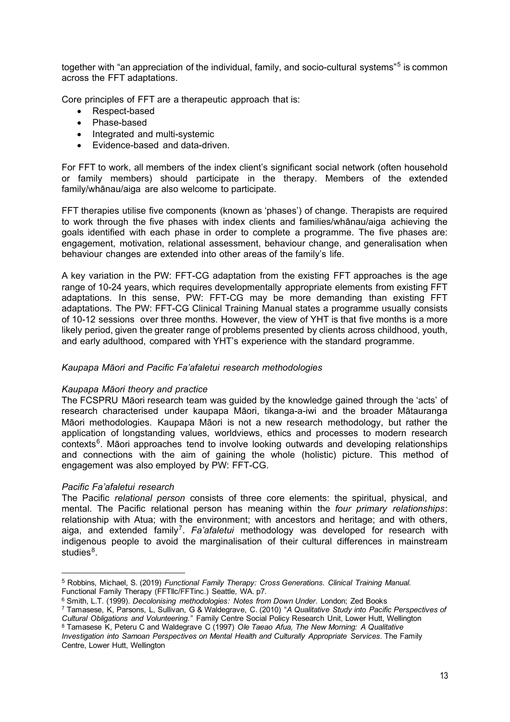together with "an appreciation of the individual, family, and socio-cultural systems"<sup>[5](#page-12-0)</sup> is common across the FFT adaptations.

Core principles of FFT are a therapeutic approach that is:

- Respect-based
- Phase-based
- Integrated and multi-systemic
- Evidence-based and data-driven.

For FFT to work, all members of the index client's significant social network (often household or family members) should participate in the therapy. Members of the extended family/whānau/aiga are also welcome to participate.

FFT therapies utilise five components (known as 'phases') of change. Therapists are required to work through the five phases with index clients and families/whānau/aiga achieving the goals identified with each phase in order to complete a programme. The five phases are: engagement, motivation, relational assessment, behaviour change, and generalisation when behaviour changes are extended into other areas of the family's life.

A key variation in the PW: FFT-CG adaptation from the existing FFT approaches is the age range of 10-24 years, which requires developmentally appropriate elements from existing FFT adaptations. In this sense, PW: FFT-CG may be more demanding than existing FFT adaptations. The PW: FFT-CG Clinical Training Manual states a programme usually consists of 10-12 sessions over three months. However, the view of YHT is that five months is a more likely period, given the greater range of problems presented by clients across childhood, youth, and early adulthood, compared with YHT's experience with the standard programme.

# *Kaupapa Māori and Pacific Fa'afaletui research methodologies*

#### *Kaupapa Māori theory and practice*

The FCSPRU Māori research team was guided by the knowledge gained through the 'acts' of research characterised under kaupapa Māori, tikanga-a-iwi and the broader Mātauranga Māori methodologies. Kaupapa Māori is not a new research methodology, but rather the application of longstanding values, worldviews, ethics and processes to modern research contexts<sup>[6](#page-12-1)</sup>. Māori approaches tend to involve looking outwards and developing relationships and connections with the aim of gaining the whole (holistic) picture. This method of engagement was also employed by PW: FFT-CG.

# *Pacific Fa'afaletui research*

The Pacific *relational person* consists of three core elements: the spiritual, physical, and mental. The Pacific relational person has meaning within the *four primary relationships*: relationship with Atua; with the environment; with ancestors and heritage; and with others, aiga, and extended family<sup>[7](#page-12-2)</sup>. Fa'afaletui methodology was developed for research with indigenous people to avoid the marginalisation of their cultural differences in mainstream studies<sup>[8](#page-12-3)</sup>.

<span id="page-12-0"></span><sup>5</sup> Robbins, Michael, S. (2019) *Functional Family Therapy: Cross Generations. Clinical Training Manual.*  Functional Family Therapy (FFTllc/FFTinc.) Seattle, WA. p7.

<span id="page-12-1"></span><sup>6</sup> Smith, L.T. (1999). *Decolonising methodologies: Notes from Down Under*. London; Zed Books

<span id="page-12-2"></span><sup>7</sup> Tamasese, K, Parsons, L, Sullivan, G & Waldegrave, C. (2010) "*A Qualitative Study into Pacific Perspectives of Cultural Obligations and Volunteering."* Family Centre Social Policy Research Unit, Lower Hutt, Wellington <sup>8</sup> Tamasese K, Peteru C and Waldegrave C (1997) *Ole Taeao Afua, The New Morning: A Qualitative* 

<span id="page-12-3"></span>*Investigation into Samoan Perspectives on Mental Health and Culturally Appropriate Services.* The Family Centre, Lower Hutt, Wellington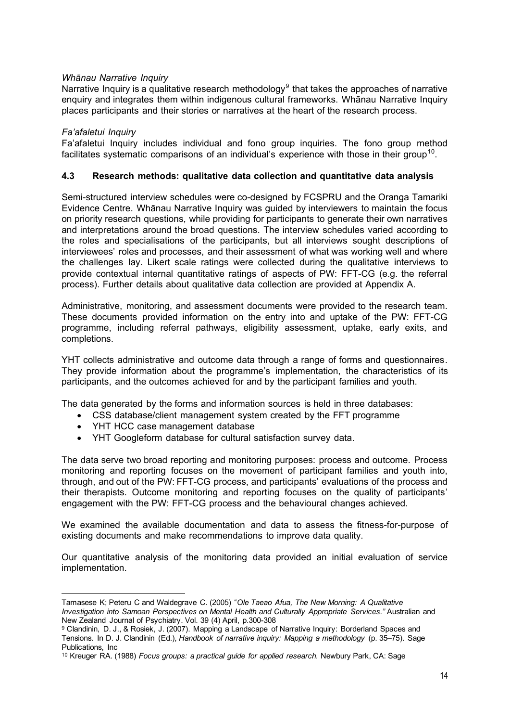# *Whānau Narrative Inquiry*

Narrative Inquiry is a qualitative research methodology<sup>[9](#page-13-1)</sup> that takes the approaches of narrative enquiry and integrates them within indigenous cultural frameworks. Whānau Narrative Inquiry places participants and their stories or narratives at the heart of the research process.

# *Fa'afaletui Inquiry*

Fa'afaletui Inquiry includes individual and fono group inquiries. The fono group method facilitates systematic comparisons of an individual's experience with those in their group<sup>10</sup>.

# <span id="page-13-0"></span>**4.3 Research methods: qualitative data collection and quantitative data analysis**

Semi-structured interview schedules were co-designed by FCSPRU and the Oranga Tamariki Evidence Centre. Whānau Narrative Inquiry was guided by interviewers to maintain the focus on priority research questions, while providing for participants to generate their own narratives and interpretations around the broad questions. The interview schedules varied according to the roles and specialisations of the participants, but all interviews sought descriptions of interviewees' roles and processes, and their assessment of what was working well and where the challenges lay. Likert scale ratings were collected during the qualitative interviews to provide contextual internal quantitative ratings of aspects of PW: FFT-CG (e.g. the referral process). Further details about qualitative data collection are provided at Appendix A.

Administrative, monitoring, and assessment documents were provided to the research team. These documents provided information on the entry into and uptake of the PW: FFT-CG programme, including referral pathways, eligibility assessment, uptake, early exits, and completions.

YHT collects administrative and outcome data through a range of forms and questionnaires. They provide information about the programme's implementation, the characteristics of its participants, and the outcomes achieved for and by the participant families and youth.

The data generated by the forms and information sources is held in three databases:

- CSS database/client management system created by the FFT programme
- YHT HCC case management database
- YHT Googleform database for cultural satisfaction survey data.

The data serve two broad reporting and monitoring purposes: process and outcome. Process monitoring and reporting focuses on the movement of participant families and youth into, through, and out of the PW: FFT-CG process, and participants' evaluations of the process and their therapists. Outcome monitoring and reporting focuses on the quality of participants' engagement with the PW: FFT-CG process and the behavioural changes achieved.

We examined the available documentation and data to assess the fitness-for-purpose of existing documents and make recommendations to improve data quality.

Our quantitative analysis of the monitoring data provided an initial evaluation of service implementation.

Tamasese K; Peteru C and Waldegrave C. (2005) "*Ole Taeao Afua, The New Morning: A Qualitative Investigation into Samoan Perspectives on Mental Health and Culturally Appropriate Services."* Australian and New Zealand Journal of Psychiatry. Vol. 39 (4) April, p.300-308

<span id="page-13-1"></span><sup>9</sup> Clandinin, D. J., & Rosiek, J. (2007). Mapping a Landscape of Narrative Inquiry: Borderland Spaces and Tensions. In D. J. Clandinin (Ed.), *Handbook of narrative inquiry: Mapping a methodology* (p. 35–75). Sage Publications, Inc

<span id="page-13-2"></span><sup>10</sup> Kreuger RA. (1988) *Focus groups: a practical guide for applied research.* Newbury Park, CA: Sage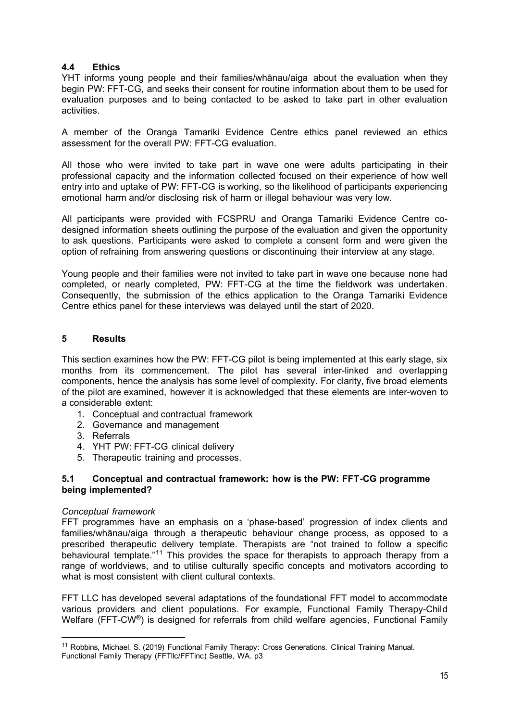# <span id="page-14-0"></span>**4.4 Ethics**

YHT informs young people and their families/whānau/aiga about the evaluation when they begin PW: FFT-CG, and seeks their consent for routine information about them to be used for evaluation purposes and to being contacted to be asked to take part in other evaluation activities.

A member of the Oranga Tamariki Evidence Centre ethics panel reviewed an ethics assessment for the overall PW: FFT-CG evaluation.

All those who were invited to take part in wave one were adults participating in their professional capacity and the information collected focused on their experience of how well entry into and uptake of PW: FFT-CG is working, so the likelihood of participants experiencing emotional harm and/or disclosing risk of harm or illegal behaviour was very low.

All participants were provided with FCSPRU and Oranga Tamariki Evidence Centre codesigned information sheets outlining the purpose of the evaluation and given the opportunity to ask questions. Participants were asked to complete a consent form and were given the option of refraining from answering questions or discontinuing their interview at any stage.

Young people and their families were not invited to take part in wave one because none had completed, or nearly completed, PW: FFT-CG at the time the fieldwork was undertaken. Consequently, the submission of the ethics application to the Oranga Tamariki Evidence Centre ethics panel for these interviews was delayed until the start of 2020.

# <span id="page-14-1"></span>**5 Results**

This section examines how the PW: FFT-CG pilot is being implemented at this early stage, six months from its commencement. The pilot has several inter-linked and overlapping components, hence the analysis has some level of complexity. For clarity, five broad elements of the pilot are examined, however it is acknowledged that these elements are inter-woven to a considerable extent:

- 1. Conceptual and contractual framework
- 2. Governance and management
- 3. Referrals
- 4. YHT PW: FFT-CG clinical delivery
- 5. Therapeutic training and processes.

# <span id="page-14-2"></span>**5.1 Conceptual and contractual framework: how is the PW: FFT-CG programme being implemented?**

#### *Conceptual framework*

FFT programmes have an emphasis on a 'phase-based' progression of index clients and families/whānau/aiga through a therapeutic behaviour change process, as opposed to a prescribed therapeutic delivery template. Therapists are "not trained to follow a specific behavioural template."<sup>[11](#page-14-3)</sup> This provides the space for therapists to approach therapy from a range of worldviews, and to utilise culturally specific concepts and motivators according to what is most consistent with client cultural contexts.

FFT LLC has developed several adaptations of the foundational FFT model to accommodate various providers and client populations. For example, Functional Family Therapy-Child Welfare (FFT-CW<sup>®</sup>) is designed for referrals from child welfare agencies, Functional Family

<span id="page-14-3"></span><sup>11</sup> Robbins, Michael, S. (2019) Functional Family Therapy: Cross Generations. Clinical Training Manual. Functional Family Therapy (FFTllc/FFTinc) Seattle, WA. p3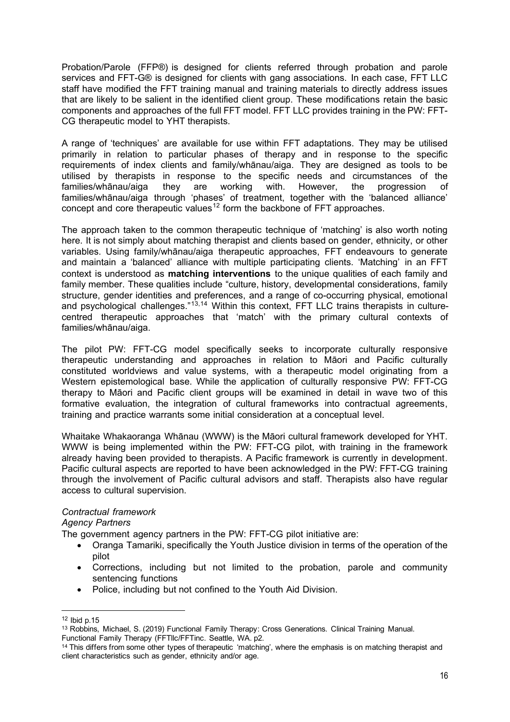Probation/Parole (FFP®) is designed for clients referred through probation and parole services and FFT-G® is designed for clients with gang associations. In each case, FFT LLC staff have modified the FFT training manual and training materials to directly address issues that are likely to be salient in the identified client group. These modifications retain the basic components and approaches of the full FFT model. FFT LLC provides training in the PW: FFT-CG therapeutic model to YHT therapists.

A range of 'techniques' are available for use within FFT adaptations. They may be utilised primarily in relation to particular phases of therapy and in response to the specific requirements of index clients and family/whānau/aiga. They are designed as tools to be utilised by therapists in response to the specific needs and circumstances of the families/whānau/aiga they are working with. However, the progression of families/whānau/aiga through 'phases' of treatment, together with the 'balanced alliance' concept and core therapeutic values<sup>[12](#page-15-0)</sup> form the backbone of FFT approaches.

The approach taken to the common therapeutic technique of 'matching' is also worth noting here. It is not simply about matching therapist and clients based on gender, ethnicity, or other variables. Using family/whānau/aiga therapeutic approaches, FFT endeavours to generate and maintain a 'balanced' alliance with multiple participating clients. 'Matching' in an FFT context is understood as **matching interventions** to the unique qualities of each family and family member. These qualities include "culture, history, developmental considerations, family structure, gender identities and preferences, and a range of co-occurring physical, emotional and psychological challenges."<sup>[13,](#page-15-1)[14](#page-15-2)</sup> Within this context, FFT LLC trains therapists in culturecentred therapeutic approaches that 'match' with the primary cultural contexts of families/whānau/aiga.

The pilot PW: FFT-CG model specifically seeks to incorporate culturally responsive therapeutic understanding and approaches in relation to Māori and Pacific culturally constituted worldviews and value systems, with a therapeutic model originating from a Western epistemological base. While the application of culturally responsive PW: FFT-CG therapy to Māori and Pacific client groups will be examined in detail in wave two of this formative evaluation, the integration of cultural frameworks into contractual agreements, training and practice warrants some initial consideration at a conceptual level.

Whaitake Whakaoranga Whānau (WWW) is the Māori cultural framework developed for YHT. WWW is being implemented within the PW: FFT-CG pilot, with training in the framework already having been provided to therapists. A Pacific framework is currently in development. Pacific cultural aspects are reported to have been acknowledged in the PW: FFT-CG training through the involvement of Pacific cultural advisors and staff. Therapists also have regular access to cultural supervision.

# *Contractual framework*

*Agency Partners* 

The government agency partners in the PW: FFT-CG pilot initiative are:

- Oranga Tamariki, specifically the Youth Justice division in terms of the operation of the pilot
- Corrections, including but not limited to the probation, parole and community sentencing functions
- Police, including but not confined to the Youth Aid Division.

<span id="page-15-0"></span> $12$  Ibid p.  $15$ 

<span id="page-15-1"></span><sup>13</sup> Robbins, Michael, S. (2019) Functional Family Therapy: Cross Generations. Clinical Training Manual. Functional Family Therapy (FFTllc/FFTinc. Seattle, WA. p2.

<span id="page-15-2"></span><sup>&</sup>lt;sup>14</sup> This differs from some other types of therapeutic 'matching', where the emphasis is on matching therapist and client characteristics such as gender, ethnicity and/or age.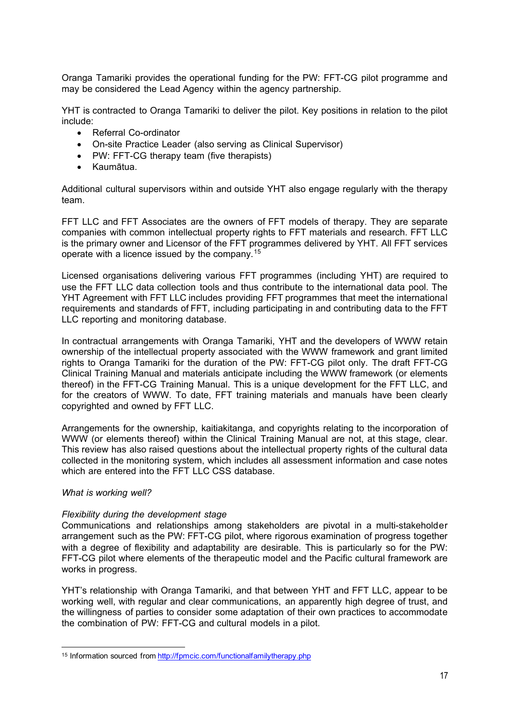Oranga Tamariki provides the operational funding for the PW: FFT-CG pilot programme and may be considered the Lead Agency within the agency partnership.

YHT is contracted to Oranga Tamariki to deliver the pilot. Key positions in relation to the pilot include:

- Referral Co-ordinator
- On-site Practice Leader (also serving as Clinical Supervisor)
- PW: FFT-CG therapy team (five therapists)
- Kaumātua.

Additional cultural supervisors within and outside YHT also engage regularly with the therapy team.

FFT LLC and FFT Associates are the owners of FFT models of therapy. They are separate companies with common intellectual property rights to FFT materials and research. FFT LLC is the primary owner and Licensor of the FFT programmes delivered by YHT. All FFT services operate with a licence issued by the company. [15](#page-16-0)

Licensed organisations delivering various FFT programmes (including YHT) are required to use the FFT LLC data collection tools and thus contribute to the international data pool. The YHT Agreement with FFT LLC includes providing FFT programmes that meet the international requirements and standards of FFT, including participating in and contributing data to the FFT LLC reporting and monitoring database.

In contractual arrangements with Oranga Tamariki, YHT and the developers of WWW retain ownership of the intellectual property associated with the WWW framework and grant limited rights to Oranga Tamariki for the duration of the PW: FFT-CG pilot only. The draft FFT-CG Clinical Training Manual and materials anticipate including the WWW framework (or elements thereof) in the FFT-CG Training Manual. This is a unique development for the FFT LLC, and for the creators of WWW. To date, FFT training materials and manuals have been clearly copyrighted and owned by FFT LLC.

Arrangements for the ownership, kaitiakitanga, and copyrights relating to the incorporation of WWW (or elements thereof) within the Clinical Training Manual are not, at this stage, clear. This review has also raised questions about the intellectual property rights of the cultural data collected in the monitoring system, which includes all assessment information and case notes which are entered into the FFT LLC CSS database.

#### *What is working well?*

#### *Flexibility during the development stage*

Communications and relationships among stakeholders are pivotal in a multi-stakeholder arrangement such as the PW: FFT-CG pilot, where rigorous examination of progress together with a degree of flexibility and adaptability are desirable. This is particularly so for the PW: FFT-CG pilot where elements of the therapeutic model and the Pacific cultural framework are works in progress.

YHT's relationship with Oranga Tamariki, and that between YHT and FFT LLC, appear to be working well, with regular and clear communications, an apparently high degree of trust, and the willingness of parties to consider some adaptation of their own practices to accommodate the combination of PW: FFT-CG and cultural models in a pilot.

<span id="page-16-0"></span><sup>15</sup> Information sourced fro[m http://fpmcic.com/functionalfamilytherapy.php](http://fpmcic.com/functionalfamilytherapy.php)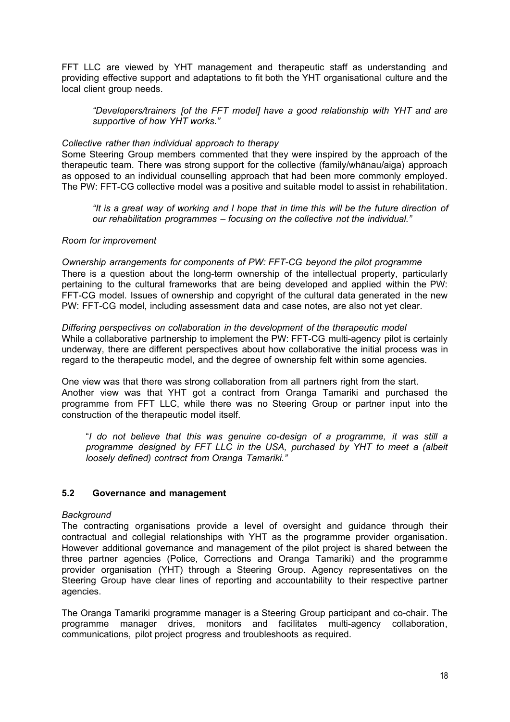FFT LLC are viewed by YHT management and therapeutic staff as understanding and providing effective support and adaptations to fit both the YHT organisational culture and the local client group needs.

*"Developers/trainers [of the FFT model] have a good relationship with YHT and are supportive of how YHT works."* 

# *Collective rather than individual approach to therapy*

Some Steering Group members commented that they were inspired by the approach of the therapeutic team. There was strong support for the collective (family/whānau/aiga) approach as opposed to an individual counselling approach that had been more commonly employed. The PW: FFT-CG collective model was a positive and suitable model to assist in rehabilitation.

*"It is a great way of working and I hope that in time this will be the future direction of our rehabilitation programmes – focusing on the collective not the individual."* 

#### *Room for improvement*

*Ownership arrangements for components of PW: FFT-CG beyond the pilot programme* There is a question about the long-term ownership of the intellectual property, particularly pertaining to the cultural frameworks that are being developed and applied within the PW: FFT-CG model. Issues of ownership and copyright of the cultural data generated in the new PW: FFT-CG model, including assessment data and case notes, are also not yet clear.

*Differing perspectives on collaboration in the development of the therapeutic model* While a collaborative partnership to implement the PW: FFT-CG multi-agency pilot is certainly underway, there are different perspectives about how collaborative the initial process was in regard to the therapeutic model, and the degree of ownership felt within some agencies.

One view was that there was strong collaboration from all partners right from the start. Another view was that YHT got a contract from Oranga Tamariki and purchased the programme from FFT LLC, while there was no Steering Group or partner input into the construction of the therapeutic model itself.

"*I do not believe that this was genuine co-design of a programme, it was still a programme designed by FFT LLC in the USA, purchased by YHT to meet a (albeit loosely defined) contract from Oranga Tamariki."* 

# <span id="page-17-0"></span>**5.2 Governance and management**

#### *Background*

The contracting organisations provide a level of oversight and guidance through their contractual and collegial relationships with YHT as the programme provider organisation. However additional governance and management of the pilot project is shared between the three partner agencies (Police, Corrections and Oranga Tamariki) and the programme provider organisation (YHT) through a Steering Group. Agency representatives on the Steering Group have clear lines of reporting and accountability to their respective partner agencies.

The Oranga Tamariki programme manager is a Steering Group participant and co-chair. The programme manager drives, monitors and facilitates multi-agency collaboration, communications, pilot project progress and troubleshoots as required.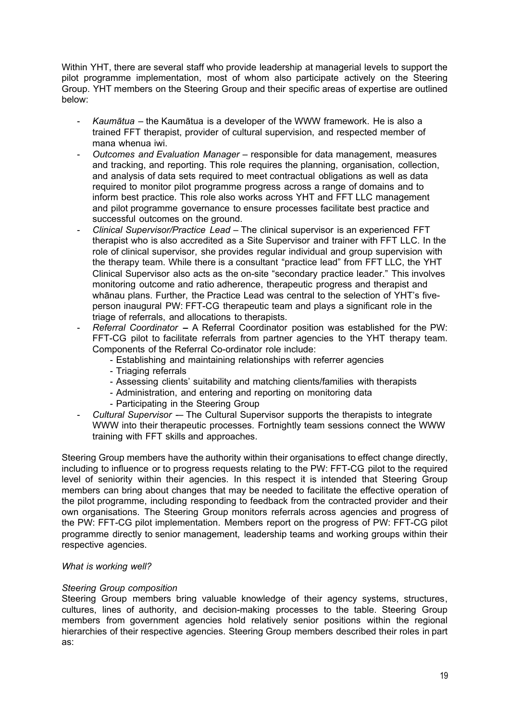Within YHT, there are several staff who provide leadership at managerial levels to support the pilot programme implementation, most of whom also participate actively on the Steering Group. YHT members on the Steering Group and their specific areas of expertise are outlined below:

- *Kaumātua* the Kaumātua is a developer of the WWW framework. He is also a trained FFT therapist, provider of cultural supervision, and respected member of mana whenua iwi.
- *Outcomes and Evaluation Manager* responsible for data management, measures and tracking, and reporting. This role requires the planning, organisation, collection, and analysis of data sets required to meet contractual obligations as well as data required to monitor pilot programme progress across a range of domains and to inform best practice. This role also works across YHT and FFT LLC management and pilot programme governance to ensure processes facilitate best practice and successful outcomes on the ground.
- *Clinical Supervisor/Practice Lead* The clinical supervisor is an experienced FFT therapist who is also accredited as a Site Supervisor and trainer with FFT LLC. In the role of clinical supervisor, she provides regular individual and group supervision with the therapy team. While there is a consultant "practice lead" from FFT LLC, the YHT Clinical Supervisor also acts as the on-site "secondary practice leader." This involves monitoring outcome and ratio adherence, therapeutic progress and therapist and whānau plans. Further, the Practice Lead was central to the selection of YHT's fiveperson inaugural PW: FFT-CG therapeutic team and plays a significant role in the triage of referrals, and allocations to therapists.
- *Referral Coordinator* **–** A Referral Coordinator position was established for the PW: FFT-CG pilot to facilitate referrals from partner agencies to the YHT therapy team. Components of the Referral Co-ordinator role include:
	- Establishing and maintaining relationships with referrer agencies
	- Triaging referrals
	- Assessing clients' suitability and matching clients/families with therapists
	- Administration, and entering and reporting on monitoring data
	- Participating in the Steering Group
- Cultural Supervisor -- The Cultural Supervisor supports the therapists to integrate WWW into their therapeutic processes. Fortnightly team sessions connect the WWW training with FFT skills and approaches.

Steering Group members have the authority within their organisations to effect change directly, including to influence or to progress requests relating to the PW: FFT-CG pilot to the required level of seniority within their agencies. In this respect it is intended that Steering Group members can bring about changes that may be needed to facilitate the effective operation of the pilot programme, including responding to feedback from the contracted provider and their own organisations. The Steering Group monitors referrals across agencies and progress of the PW: FFT-CG pilot implementation. Members report on the progress of PW: FFT-CG pilot programme directly to senior management, leadership teams and working groups within their respective agencies.

# *What is working well?*

# *Steering Group composition*

Steering Group members bring valuable knowledge of their agency systems, structures, cultures, lines of authority, and decision-making processes to the table. Steering Group members from government agencies hold relatively senior positions within the regional hierarchies of their respective agencies. Steering Group members described their roles in part as: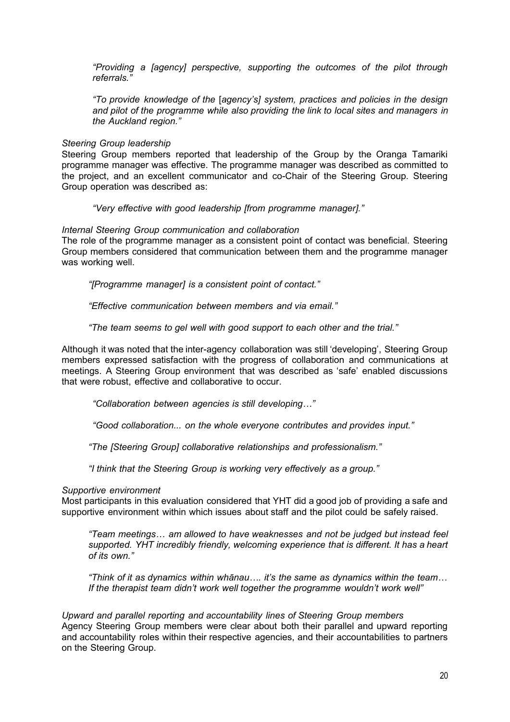*"Providing a [agency] perspective, supporting the outcomes of the pilot through referrals."*

*"To provide knowledge of the* [*agency's] system, practices and policies in the design and pilot of the programme while also providing the link to local sites and managers in the Auckland region."*

#### *Steering Group leadership*

Steering Group members reported that leadership of the Group by the Oranga Tamariki programme manager was effective. The programme manager was described as committed to the project, and an excellent communicator and co-Chair of the Steering Group. Steering Group operation was described as:

*"Very effective with good leadership [from programme manager]."*

#### *Internal Steering Group communication and collaboration*

The role of the programme manager as a consistent point of contact was beneficial. Steering Group members considered that communication between them and the programme manager was working well.

*"[Programme manager] is a consistent point of contact."* 

*"Effective communication between members and via email."* 

*"The team seems to gel well with good support to each other and the trial."*

Although it was noted that the inter-agency collaboration was still 'developing', Steering Group members expressed satisfaction with the progress of collaboration and communications at meetings. A Steering Group environment that was described as 'safe' enabled discussions that were robust, effective and collaborative to occur.

*"Collaboration between agencies is still developing…"* 

*"Good collaboration... on the whole everyone contributes and provides input."* 

*"The [Steering Group] collaborative relationships and professionalism."*

*"I think that the Steering Group is working very effectively as a group."* 

#### *Supportive environment*

Most participants in this evaluation considered that YHT did a good job of providing a safe and supportive environment within which issues about staff and the pilot could be safely raised.

*"Team meetings… am allowed to have weaknesses and not be judged but instead feel supported. YHT incredibly friendly, welcoming experience that is different. It has a heart of its own."*

*"Think of it as dynamics within whānau…. it's the same as dynamics within the team… If the therapist team didn't work well together the programme wouldn't work well"*

*Upward and parallel reporting and accountability lines of Steering Group members*  Agency Steering Group members were clear about both their parallel and upward reporting and accountability roles within their respective agencies, and their accountabilities to partners on the Steering Group.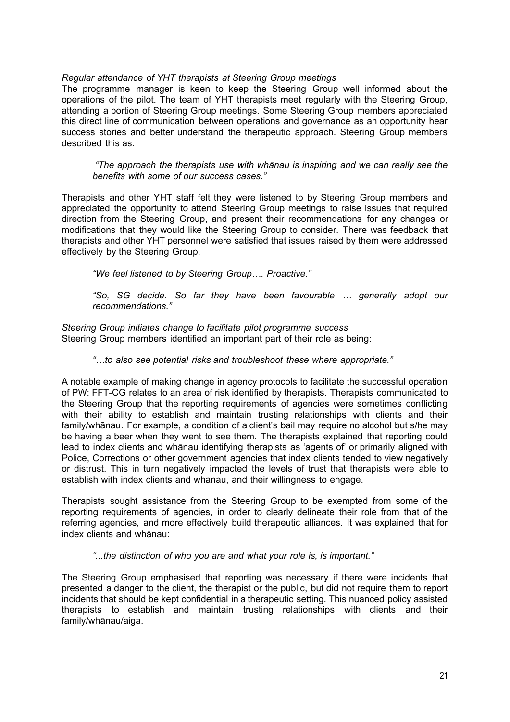# *Regular attendance of YHT therapists at Steering Group meetings*

The programme manager is keen to keep the Steering Group well informed about the operations of the pilot. The team of YHT therapists meet regularly with the Steering Group, attending a portion of Steering Group meetings. Some Steering Group members appreciated this direct line of communication between operations and governance as an opportunity hear success stories and better understand the therapeutic approach. Steering Group members described this as:

*"The approach the therapists use with whānau is inspiring and we can really see the benefits with some of our success cases."*

Therapists and other YHT staff felt they were listened to by Steering Group members and appreciated the opportunity to attend Steering Group meetings to raise issues that required direction from the Steering Group, and present their recommendations for any changes or modifications that they would like the Steering Group to consider. There was feedback that therapists and other YHT personnel were satisfied that issues raised by them were addressed effectively by the Steering Group.

*"We feel listened to by Steering Group…. Proactive."*

*"So, SG decide. So far they have been favourable … generally adopt our recommendations."*

*Steering Group initiates change to facilitate pilot programme success* Steering Group members identified an important part of their role as being:

*"…to also see potential risks and troubleshoot these where appropriate."*

A notable example of making change in agency protocols to facilitate the successful operation of PW: FFT-CG relates to an area of risk identified by therapists. Therapists communicated to the Steering Group that the reporting requirements of agencies were sometimes conflicting with their ability to establish and maintain trusting relationships with clients and their family/whānau. For example, a condition of a client's bail may require no alcohol but s/he may be having a beer when they went to see them. The therapists explained that reporting could lead to index clients and whānau identifying therapists as 'agents of' or primarily aligned with Police, Corrections or other government agencies that index clients tended to view negatively or distrust. This in turn negatively impacted the levels of trust that therapists were able to establish with index clients and whānau, and their willingness to engage.

Therapists sought assistance from the Steering Group to be exempted from some of the reporting requirements of agencies, in order to clearly delineate their role from that of the referring agencies, and more effectively build therapeutic alliances. It was explained that for index clients and whānau:

*"...the distinction of who you are and what your role is, is important."*

The Steering Group emphasised that reporting was necessary if there were incidents that presented a danger to the client, the therapist or the public, but did not require them to report incidents that should be kept confidential in a therapeutic setting. This nuanced policy assisted therapists to establish and maintain trusting relationships with clients and their family/whānau/aiga.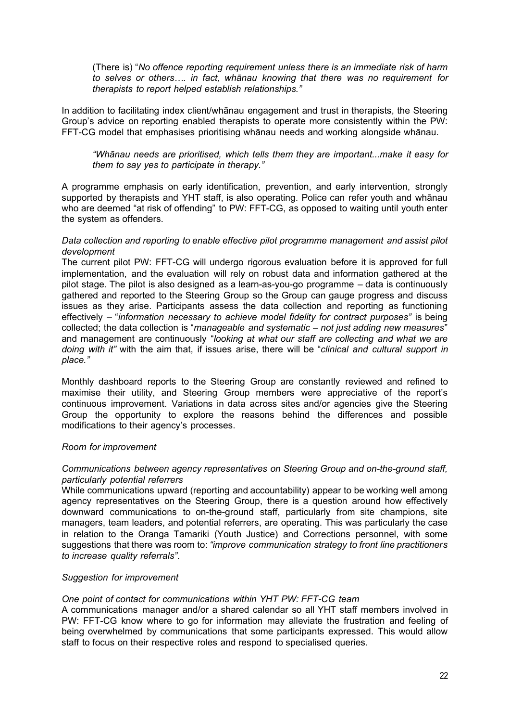(There is) "*No offence reporting requirement unless there is an immediate risk of harm to selves or others…. in fact, whānau knowing that there was no requirement for therapists to report helped establish relationships."*

In addition to facilitating index client/whānau engagement and trust in therapists, the Steering Group's advice on reporting enabled therapists to operate more consistently within the PW: FFT-CG model that emphasises prioritising whānau needs and working alongside whānau.

*"Whānau needs are prioritised, which tells them they are important...make it easy for them to say yes to participate in therapy."*

A programme emphasis on early identification, prevention, and early intervention, strongly supported by therapists and YHT staff, is also operating. Police can refer youth and whānau who are deemed "at risk of offending" to PW: FFT-CG, as opposed to waiting until youth enter the system as offenders.

#### *Data collection and reporting to enable effective pilot programme management and assist pilot development*

The current pilot PW: FFT-CG will undergo rigorous evaluation before it is approved for full implementation, and the evaluation will rely on robust data and information gathered at the pilot stage. The pilot is also designed as a learn-as-you-go programme – data is continuously gathered and reported to the Steering Group so the Group can gauge progress and discuss issues as they arise. Participants assess the data collection and reporting as functioning effectively – "*information necessary to achieve model fidelity for contract purposes"* is being collected; the data collection is "*manageable and systematic – not just adding new measures*" and management are continuously "*looking at what our staff are collecting and what we are doing with it"* with the aim that, if issues arise, there will be "*clinical and cultural support in place."*

Monthly dashboard reports to the Steering Group are constantly reviewed and refined to maximise their utility, and Steering Group members were appreciative of the report's continuous improvement. Variations in data across sites and/or agencies give the Steering Group the opportunity to explore the reasons behind the differences and possible modifications to their agency's processes.

#### *Room for improvement*

# *Communications between agency representatives on Steering Group and on-the-ground staff, particularly potential referrers*

While communications upward (reporting and accountability) appear to be working well among agency representatives on the Steering Group, there is a question around how effectively downward communications to on-the-ground staff, particularly from site champions, site managers, team leaders, and potential referrers, are operating. This was particularly the case in relation to the Oranga Tamariki (Youth Justice) and Corrections personnel, with some suggestions that there was room to: *"improve communication strategy to front line practitioners to increase quality referrals"*.

#### *Suggestion for improvement*

#### *One point of contact for communications within YHT PW: FFT-CG team*

A communications manager and/or a shared calendar so all YHT staff members involved in PW: FFT-CG know where to go for information may alleviate the frustration and feeling of being overwhelmed by communications that some participants expressed. This would allow staff to focus on their respective roles and respond to specialised queries.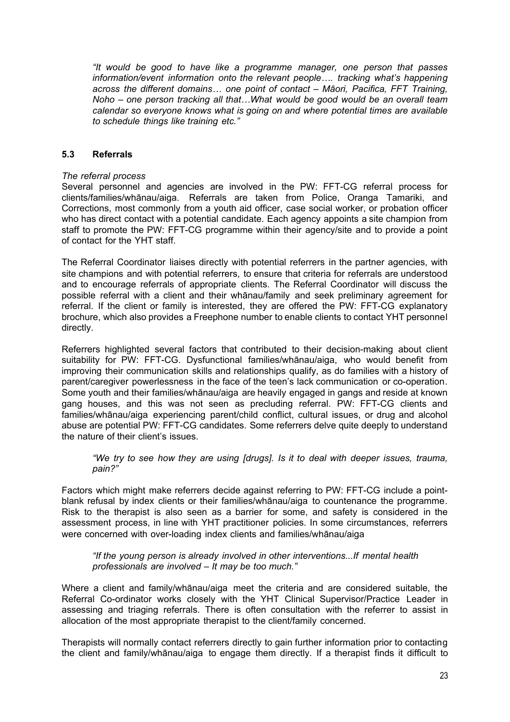*"It would be good to have like a programme manager, one person that passes information/event information onto the relevant people…. tracking what's happening across the different domains… one point of contact – Māori, Pacifica, FFT Training, Noho – one person tracking all that…What would be good would be an overall team calendar so everyone knows what is going on and where potential times are available to schedule things like training etc."*

# <span id="page-22-0"></span>**5.3 Referrals**

# *The referral process*

Several personnel and agencies are involved in the PW: FFT-CG referral process for clients/families/whānau/aiga. Referrals are taken from Police, Oranga Tamariki, and Corrections, most commonly from a youth aid officer, case social worker, or probation officer who has direct contact with a potential candidate. Each agency appoints a site champion from staff to promote the PW: FFT-CG programme within their agency/site and to provide a point of contact for the YHT staff.

The Referral Coordinator liaises directly with potential referrers in the partner agencies, with site champions and with potential referrers, to ensure that criteria for referrals are understood and to encourage referrals of appropriate clients. The Referral Coordinator will discuss the possible referral with a client and their whānau/family and seek preliminary agreement for referral. If the client or family is interested, they are offered the PW: FFT-CG explanatory brochure, which also provides a Freephone number to enable clients to contact YHT personnel directly.

Referrers highlighted several factors that contributed to their decision-making about client suitability for PW: FFT-CG. Dysfunctional families/whānau/aiga, who would benefit from improving their communication skills and relationships qualify, as do families with a history of parent/caregiver powerlessness in the face of the teen's lack communication or co-operation. Some youth and their families/whānau/aiga are heavily engaged in gangs and reside at known gang houses, and this was not seen as precluding referral. PW: FFT-CG clients and families/whānau/aiga experiencing parent/child conflict, cultural issues, or drug and alcohol abuse are potential PW: FFT-CG candidates. Some referrers delve quite deeply to understand the nature of their client's issues.

*"We try to see how they are using [drugs]. Is it to deal with deeper issues, trauma, pain?"*

Factors which might make referrers decide against referring to PW: FFT-CG include a pointblank refusal by index clients or their families/whānau/aiga to countenance the programme. Risk to the therapist is also seen as a barrier for some, and safety is considered in the assessment process, in line with YHT practitioner policies. In some circumstances, referrers were concerned with over-loading index clients and families/whānau/aiga

*"If the young person is already involved in other interventions...If mental health professionals are involved – It may be too much."* 

Where a client and family/whānau/aiga meet the criteria and are considered suitable, the Referral Co-ordinator works closely with the YHT Clinical Supervisor/Practice Leader in assessing and triaging referrals. There is often consultation with the referrer to assist in allocation of the most appropriate therapist to the client/family concerned.

Therapists will normally contact referrers directly to gain further information prior to contacting the client and family/whānau/aiga to engage them directly. If a therapist finds it difficult to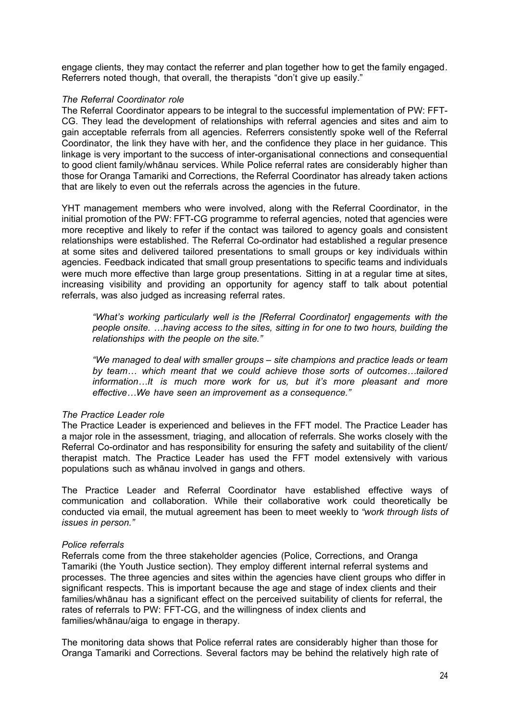engage clients, they may contact the referrer and plan together how to get the family engaged. Referrers noted though, that overall, the therapists "don't give up easily."

#### *The Referral Coordinator role*

The Referral Coordinator appears to be integral to the successful implementation of PW: FFT-CG. They lead the development of relationships with referral agencies and sites and aim to gain acceptable referrals from all agencies. Referrers consistently spoke well of the Referral Coordinator, the link they have with her, and the confidence they place in her guidance. This linkage is very important to the success of inter-organisational connections and consequential to good client family/whānau services. While Police referral rates are considerably higher than those for Oranga Tamariki and Corrections, the Referral Coordinator has already taken actions that are likely to even out the referrals across the agencies in the future.

YHT management members who were involved, along with the Referral Coordinator, in the initial promotion of the PW: FFT-CG programme to referral agencies, noted that agencies were more receptive and likely to refer if the contact was tailored to agency goals and consistent relationships were established. The Referral Co-ordinator had established a regular presence at some sites and delivered tailored presentations to small groups or key individuals within agencies. Feedback indicated that small group presentations to specific teams and individuals were much more effective than large group presentations. Sitting in at a regular time at sites, increasing visibility and providing an opportunity for agency staff to talk about potential referrals, was also judged as increasing referral rates.

*"What's working particularly well is the [Referral Coordinator] engagements with the people onsite. …having access to the sites, sitting in for one to two hours, building the relationships with the people on the site."*

*"We managed to deal with smaller groups – site champions and practice leads or team by team… which meant that we could achieve those sorts of outcomes…tailored information…It is much more work for us, but it's more pleasant and more effective…We have seen an improvement as a consequence."* 

#### *The Practice Leader role*

The Practice Leader is experienced and believes in the FFT model. The Practice Leader has a major role in the assessment, triaging, and allocation of referrals. She works closely with the Referral Co-ordinator and has responsibility for ensuring the safety and suitability of the client/ therapist match. The Practice Leader has used the FFT model extensively with various populations such as whānau involved in gangs and others.

The Practice Leader and Referral Coordinator have established effective ways of communication and collaboration. While their collaborative work could theoretically be conducted via email, the mutual agreement has been to meet weekly to *"work through lists of issues in person."*

#### *Police referrals*

Referrals come from the three stakeholder agencies (Police, Corrections, and Oranga Tamariki (the Youth Justice section). They employ different internal referral systems and processes. The three agencies and sites within the agencies have client groups who differ in significant respects. This is important because the age and stage of index clients and their families/whānau has a significant effect on the perceived suitability of clients for referral, the rates of referrals to PW: FFT-CG, and the willingness of index clients and families/whānau/aiga to engage in therapy.

The monitoring data shows that Police referral rates are considerably higher than those for Oranga Tamariki and Corrections. Several factors may be behind the relatively high rate of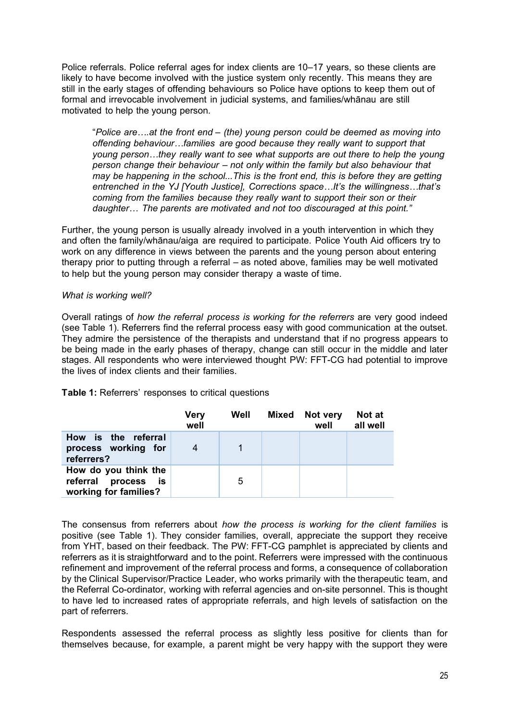Police referrals. Police referral ages for index clients are 10–17 years, so these clients are likely to have become involved with the justice system only recently. This means they are still in the early stages of offending behaviours so Police have options to keep them out of formal and irrevocable involvement in judicial systems, and families/whānau are still motivated to help the young person.

"*Police are….at the front end – (the) young person could be deemed as moving into offending behaviour…families are good because they really want to support that young person…they really want to see what supports are out there to help the young person change their behaviour – not only within the family but also behaviour that may be happening in the school...This is the front end, this is before they are getting entrenched in the YJ [Youth Justice], Corrections space…It's the willingness…that's coming from the families because they really want to support their son or their daughter… The parents are motivated and not too discouraged at this point."*

Further, the young person is usually already involved in a youth intervention in which they and often the family/whānau/aiga are required to participate. Police Youth Aid officers try to work on any difference in views between the parents and the young person about entering therapy prior to putting through a referral – as noted above, families may be well motivated to help but the young person may consider therapy a waste of time.

# *What is working well?*

Overall ratings of *how the referral process is working for the referrers* are very good indeed (see Table 1). Referrers find the referral process easy with good communication at the outset. They admire the persistence of the therapists and understand that if no progress appears to be being made in the early phases of therapy, change can still occur in the middle and later stages. All respondents who were interviewed thought PW: FFT-CG had potential to improve the lives of index clients and their families.

|  |  | <b>Table 1:</b> Referrers' responses to critical questions |  |
|--|--|------------------------------------------------------------|--|
|--|--|------------------------------------------------------------|--|

|                                                                      | <b>Very</b><br>well | Well | Mixed Not very<br>well | Not at<br>all well |
|----------------------------------------------------------------------|---------------------|------|------------------------|--------------------|
| How is the referral<br>process working for<br>referrers?             |                     |      |                        |                    |
| How do you think the<br>referral process is<br>working for families? |                     | 5    |                        |                    |

The consensus from referrers about *how the process is working for the client families* is positive (see Table 1). They consider families, overall, appreciate the support they receive from YHT, based on their feedback. The PW: FFT-CG pamphlet is appreciated by clients and referrers as it is straightforward and to the point. Referrers were impressed with the continuous refinement and improvement of the referral process and forms, a consequence of collaboration by the Clinical Supervisor/Practice Leader, who works primarily with the therapeutic team, and the Referral Co-ordinator, working with referral agencies and on-site personnel. This is thought to have led to increased rates of appropriate referrals, and high levels of satisfaction on the part of referrers.

Respondents assessed the referral process as slightly less positive for clients than for themselves because, for example, a parent might be very happy with the support they were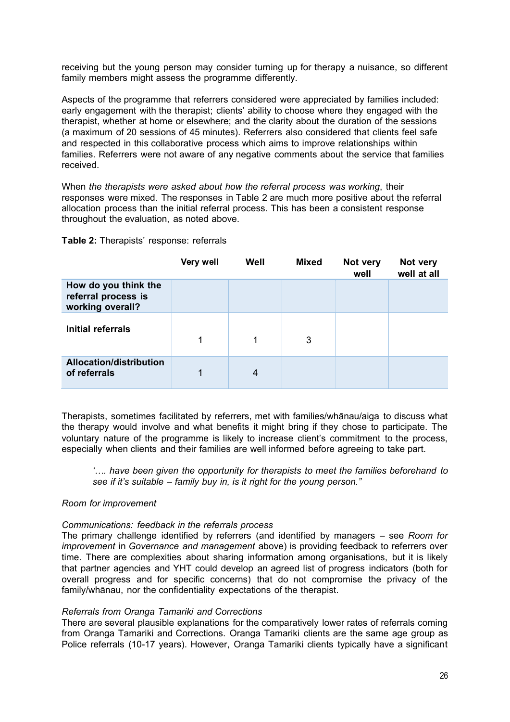receiving but the young person may consider turning up for therapy a nuisance, so different family members might assess the programme differently.

Aspects of the programme that referrers considered were appreciated by families included: early engagement with the therapist; clients' ability to choose where they engaged with the therapist, whether at home or elsewhere; and the clarity about the duration of the sessions (a maximum of 20 sessions of 45 minutes). Referrers also considered that clients feel safe and respected in this collaborative process which aims to improve relationships within families. Referrers were not aware of any negative comments about the service that families received.

When *the therapists were asked about how the referral process was working*, their responses were mixed. The responses in Table 2 are much more positive about the referral allocation process than the initial referral process. This has been a consistent response throughout the evaluation, as noted above.

#### **Table 2:** Therapists' response: referrals

|                                                                 | <b>Very well</b> | Well | <b>Mixed</b> | Not very<br>well | Not very<br>well at all |
|-----------------------------------------------------------------|------------------|------|--------------|------------------|-------------------------|
| How do you think the<br>referral process is<br>working overall? |                  |      |              |                  |                         |
| Initial referrals                                               | 1                |      | 3            |                  |                         |
| <b>Allocation/distribution</b><br>of referrals                  | 1                | 4    |              |                  |                         |

Therapists, sometimes facilitated by referrers, met with families/whānau/aiga to discuss what the therapy would involve and what benefits it might bring if they chose to participate. The voluntary nature of the programme is likely to increase client's commitment to the process, especially when clients and their families are well informed before agreeing to take part.

*'…. have been given the opportunity for therapists to meet the families beforehand to see if it's suitable – family buy in, is it right for the young person."*

#### *Room for improvement*

#### *Communications: feedback in the referrals process*

The primary challenge identified by referrers (and identified by managers – see *Room for improvement* in *Governance and management* above) is providing feedback to referrers over time. There are complexities about sharing information among organisations, but it is likely that partner agencies and YHT could develop an agreed list of progress indicators (both for overall progress and for specific concerns) that do not compromise the privacy of the family/whānau, nor the confidentiality expectations of the therapist.

#### *Referrals from Oranga Tamariki and Corrections*

There are several plausible explanations for the comparatively lower rates of referrals coming from Oranga Tamariki and Corrections. Oranga Tamariki clients are the same age group as Police referrals (10-17 years). However, Oranga Tamariki clients typically have a significant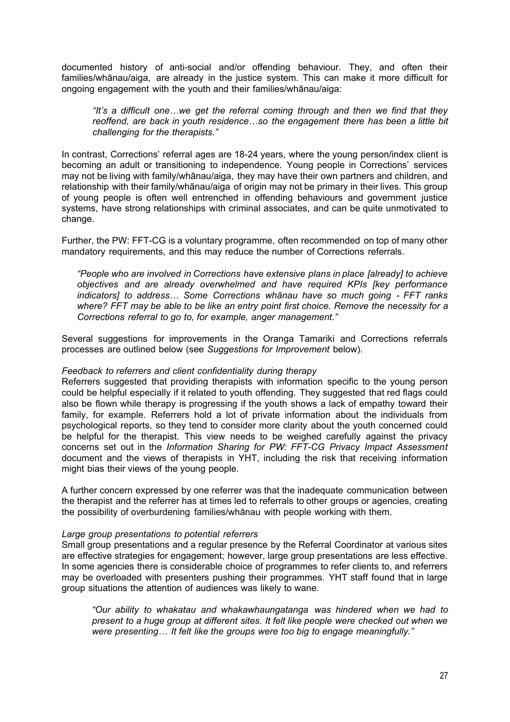documented history of anti-social and/or offending behaviour. They, and often their families/whānau/aiga, are already in the justice system. This can make it more difficult for ongoing engagement with the youth and their families/whānau/aiga:

*"It's a difficult one…we get the referral coming through and then we find that they reoffend, are back in youth residence…so the engagement there has been a little bit challenging for the therapists."* 

In contrast, Corrections' referral ages are 18-24 years, where the young person/index client is becoming an adult or transitioning to independence. Young people in Corrections' services may not be living with family/whānau/aiga, they may have their own partners and children, and relationship with their family/whānau/aiga of origin may not be primary in their lives. This group of young people is often well entrenched in offending behaviours and government justice systems, have strong relationships with criminal associates, and can be quite unmotivated to change.

Further, the PW: FFT-CG is a voluntary programme, often recommended on top of many other mandatory requirements, and this may reduce the number of Corrections referrals.

*"People who are involved in Corrections have extensive plans in place [already] to achieve objectives and are already overwhelmed and have required KPIs [key performance indicators] to address... Some Corrections whānau have so much going - FFT ranks where? FFT may be able to be like an entry point first choice. Remove the necessity for a Corrections referral to go to, for example, anger management."* 

Several suggestions for improvements in the Oranga Tamariki and Corrections referrals processes are outlined below (see *Suggestions for Improvement* below).

#### *Feedback to referrers and client confidentiality during therapy*

Referrers suggested that providing therapists with information specific to the young person could be helpful especially if it related to youth offending. They suggested that red flags could also be flown while therapy is progressing if the youth shows a lack of empathy toward their family, for example. Referrers hold a lot of private information about the individuals from psychological reports, so they tend to consider more clarity about the youth concerned could be helpful for the therapist. This view needs to be weighed carefully against the privacy concerns set out in the *Information Sharing for PW: FFT-CG Privacy Impact Assessment* document and the views of therapists in YHT, including the risk that receiving information might bias their views of the young people.

A further concern expressed by one referrer was that the inadequate communication between the therapist and the referrer has at times led to referrals to other groups or agencies, creating the possibility of overburdening families/whānau with people working with them.

#### *Large group presentations to potential referrers*

Small group presentations and a regular presence by the Referral Coordinator at various sites are effective strategies for engagement; however, large group presentations are less effective. In some agencies there is considerable choice of programmes to refer clients to, and referrers may be overloaded with presenters pushing their programmes. YHT staff found that in large group situations the attention of audiences was likely to wane.

*"Our ability to whakatau and whakawhaungatanga was hindered when we had to present to a huge group at different sites. It felt like people were checked out when we were presenting… It felt like the groups were too big to engage meaningfully."*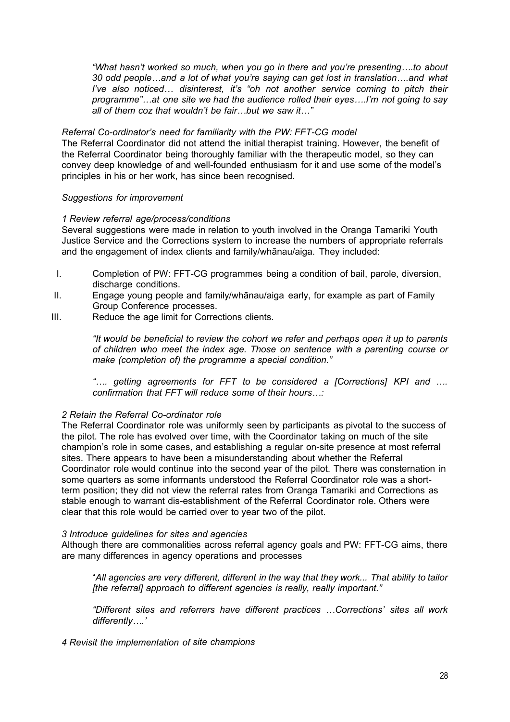*"What hasn't worked so much, when you go in there and you're presenting….to about 30 odd people…and a lot of what you're saying can get lost in translation….and what I've also noticed... disinterest, it's "oh not another service coming to pitch their programme"…at one site we had the audience rolled their eyes….I'm not going to say all of them coz that wouldn't be fair…but we saw it…"* 

# *Referral Co-ordinator's need for familiarity with the PW: FFT-CG model*

The Referral Coordinator did not attend the initial therapist training. However, the benefit of the Referral Coordinator being thoroughly familiar with the therapeutic model, so they can convey deep knowledge of and well-founded enthusiasm for it and use some of the model's principles in his or her work, has since been recognised.

# *Suggestions for improvement*

#### *1 Review referral age/process/conditions*

Several suggestions were made in relation to youth involved in the Oranga Tamariki Youth Justice Service and the Corrections system to increase the numbers of appropriate referrals and the engagement of index clients and family/whānau/aiga. They included:

- I. Completion of PW: FFT-CG programmes being a condition of bail, parole, diversion, discharge conditions.
- II. Engage young people and family/whānau/aiga early, for example as part of Family Group Conference processes.
- III. Reduce the age limit for Corrections clients.

*"It would be beneficial to review the cohort we refer and perhaps open it up to parents of children who meet the index age. Those on sentence with a parenting course or make (completion of) the programme a special condition."* 

*"…. getting agreements for FFT to be considered a [Corrections] KPI and …. confirmation that FFT will reduce some of their hours…:*

# *2 Retain the Referral Co-ordinator role*

The Referral Coordinator role was uniformly seen by participants as pivotal to the success of the pilot. The role has evolved over time, with the Coordinator taking on much of the site champion's role in some cases, and establishing a regular on-site presence at most referral sites. There appears to have been a misunderstanding about whether the Referral Coordinator role would continue into the second year of the pilot. There was consternation in some quarters as some informants understood the Referral Coordinator role was a shortterm position; they did not view the referral rates from Oranga Tamariki and Corrections as stable enough to warrant dis-establishment of the Referral Coordinator role. Others were clear that this role would be carried over to year two of the pilot.

#### *3 Introduce guidelines for sites and agencies*

Although there are commonalities across referral agency goals and PW: FFT-CG aims, there are many differences in agency operations and processes

"*All agencies are very different, different in the way that they work... That ability to tailor [the referral] approach to different agencies is really, really important."*

*"Different sites and referrers have different practices …Corrections' sites all work differently….'* 

*4 Revisit the implementation of site champions*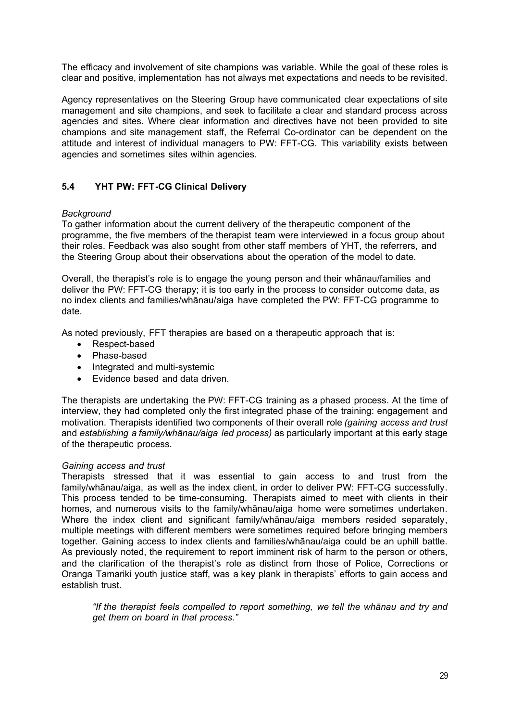The efficacy and involvement of site champions was variable. While the goal of these roles is clear and positive, implementation has not always met expectations and needs to be revisited.

Agency representatives on the Steering Group have communicated clear expectations of site management and site champions, and seek to facilitate a clear and standard process across agencies and sites. Where clear information and directives have not been provided to site champions and site management staff, the Referral Co-ordinator can be dependent on the attitude and interest of individual managers to PW: FFT-CG. This variability exists between agencies and sometimes sites within agencies.

# <span id="page-28-0"></span>**5.4 YHT PW: FFT-CG Clinical Delivery**

# *Background*

To gather information about the current delivery of the therapeutic component of the programme, the five members of the therapist team were interviewed in a focus group about their roles. Feedback was also sought from other staff members of YHT, the referrers, and the Steering Group about their observations about the operation of the model to date.

Overall, the therapist's role is to engage the young person and their whānau/families and deliver the PW: FFT-CG therapy; it is too early in the process to consider outcome data, as no index clients and families/whānau/aiga have completed the PW: FFT-CG programme to date.

As noted previously, FFT therapies are based on a therapeutic approach that is:

- Respect-based
- Phase-based
- Integrated and multi-systemic
- Evidence based and data driven.

The therapists are undertaking the PW: FFT-CG training as a phased process. At the time of interview, they had completed only the first integrated phase of the training: engagement and motivation. Therapists identified two components of their overall role *(gaining access and trust* and *establishing a family/whānau/aiga led process)* as particularly important at this early stage of the therapeutic process.

#### *Gaining access and trust*

Therapists stressed that it was essential to gain access to and trust from the family/whānau/aiga, as well as the index client, in order to deliver PW: FFT-CG successfully. This process tended to be time-consuming. Therapists aimed to meet with clients in their homes, and numerous visits to the family/whānau/aiga home were sometimes undertaken. Where the index client and significant family/whānau/aiga members resided separately, multiple meetings with different members were sometimes required before bringing members together. Gaining access to index clients and families/whānau/aiga could be an uphill battle. As previously noted, the requirement to report imminent risk of harm to the person or others, and the clarification of the therapist's role as distinct from those of Police, Corrections or Oranga Tamariki youth justice staff, was a key plank in therapists' efforts to gain access and establish trust.

*"If the therapist feels compelled to report something, we tell the whānau and try and get them on board in that process."*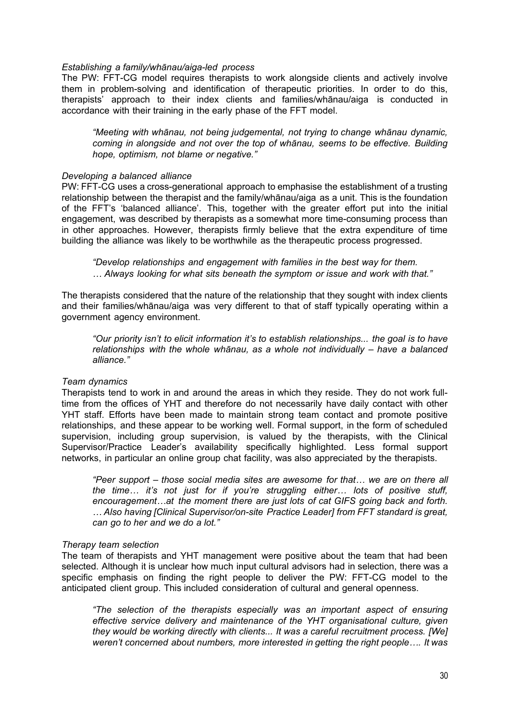#### *Establishing a family/whānau/aiga-led process*

The PW: FFT-CG model requires therapists to work alongside clients and actively involve them in problem-solving and identification of therapeutic priorities. In order to do this, therapists' approach to their index clients and families/whānau/aiga is conducted in accordance with their training in the early phase of the FFT model.

*"Meeting with whānau, not being judgemental, not trying to change whānau dynamic, coming in alongside and not over the top of whānau, seems to be effective. Building hope, optimism, not blame or negative."* 

#### *Developing a balanced alliance*

PW: FFT-CG uses a cross-generational approach to emphasise the establishment of a trusting relationship between the therapist and the family/whānau/aiga as a unit. This is the foundation of the FFT's 'balanced alliance'. This, together with the greater effort put into the initial engagement, was described by therapists as a somewhat more time-consuming process than in other approaches. However, therapists firmly believe that the extra expenditure of time building the alliance was likely to be worthwhile as the therapeutic process progressed.

*"Develop relationships and engagement with families in the best way for them. … Always looking for what sits beneath the symptom or issue and work with that."* 

The therapists considered that the nature of the relationship that they sought with index clients and their families/whānau/aiga was very different to that of staff typically operating within a government agency environment.

*"Our priority isn't to elicit information it's to establish relationships... the goal is to have*  relationships with the whole whānau, as a whole not individually – have a balanced *alliance."* 

#### *Team dynamics*

Therapists tend to work in and around the areas in which they reside. They do not work fulltime from the offices of YHT and therefore do not necessarily have daily contact with other YHT staff. Efforts have been made to maintain strong team contact and promote positive relationships, and these appear to be working well. Formal support, in the form of scheduled supervision, including group supervision, is valued by the therapists, with the Clinical Supervisor/Practice Leader's availability specifically highlighted. Less formal support networks, in particular an online group chat facility, was also appreciated by the therapists.

*"Peer support – those social media sites are awesome for that… we are on there all the time… it's not just for if you're struggling either… lots of positive stuff, encouragement…at the moment there are just lots of cat GIFS going back and forth. … Also having [Clinical Supervisor/on-site Practice Leader] from FFT standard is great, can go to her and we do a lot."* 

#### *Therapy team selection*

The team of therapists and YHT management were positive about the team that had been selected. Although it is unclear how much input cultural advisors had in selection, there was a specific emphasis on finding the right people to deliver the PW: FFT-CG model to the anticipated client group. This included consideration of cultural and general openness.

*"The selection of the therapists especially was an important aspect of ensuring effective service delivery and maintenance of the YHT organisational culture, given they would be working directly with clients... It was a careful recruitment process. [We] weren't concerned about numbers, more interested in getting the right people…. It was*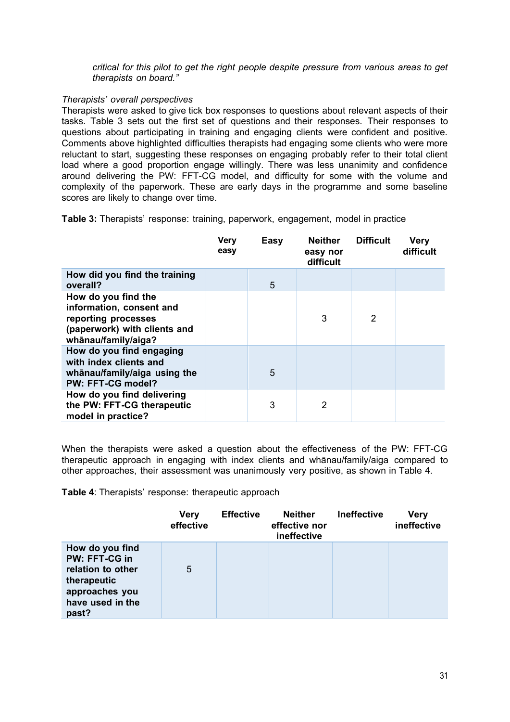*critical for this pilot to get the right people despite pressure from various areas to get therapists on board."* 

# *Therapists' overall perspectives*

Therapists were asked to give tick box responses to questions about relevant aspects of their tasks. Table 3 sets out the first set of questions and their responses. Their responses to questions about participating in training and engaging clients were confident and positive. Comments above highlighted difficulties therapists had engaging some clients who were more reluctant to start, suggesting these responses on engaging probably refer to their total client load where a good proportion engage willingly. There was less unanimity and confidence around delivering the PW: FFT-CG model, and difficulty for some with the volume and complexity of the paperwork. These are early days in the programme and some baseline scores are likely to change over time.

**Table 3:** Therapists' response: training, paperwork, engagement, model in practice

|                                                                                                                               | <b>Very</b><br>easy | Easy | <b>Neither</b><br>easy nor<br>difficult | <b>Difficult</b> | Very<br>difficult |
|-------------------------------------------------------------------------------------------------------------------------------|---------------------|------|-----------------------------------------|------------------|-------------------|
| How did you find the training<br>overall?                                                                                     |                     | 5    |                                         |                  |                   |
| How do you find the<br>information, consent and<br>reporting processes<br>(paperwork) with clients and<br>whānau/family/aiga? |                     |      | 3                                       | 2                |                   |
| How do you find engaging<br>with index clients and<br>whānau/family/aiga using the<br>PW: FFT-CG model?                       |                     | 5    |                                         |                  |                   |
| How do you find delivering<br>the PW: FFT-CG therapeutic<br>model in practice?                                                |                     | 3    | 2                                       |                  |                   |

When the therapists were asked a question about the effectiveness of the PW: FFT-CG therapeutic approach in engaging with index clients and whānau/family/aiga compared to other approaches, their assessment was unanimously very positive, as shown in Table 4.

**Table 4**: Therapists' response: therapeutic approach

|                                                                                                                     | <b>Very</b><br>effective | <b>Effective</b> | <b>Neither</b><br>effective nor<br>ineffective | <b>Ineffective</b> | <b>Very</b><br>ineffective |
|---------------------------------------------------------------------------------------------------------------------|--------------------------|------------------|------------------------------------------------|--------------------|----------------------------|
| How do you find<br>PW: FFT-CG in<br>relation to other<br>therapeutic<br>approaches you<br>have used in the<br>past? | 5                        |                  |                                                |                    |                            |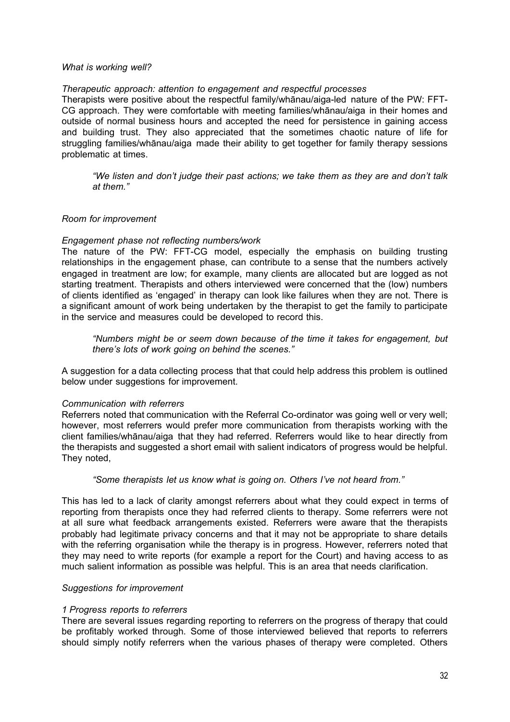#### *What is working well?*

#### *Therapeutic approach: attention to engagement and respectful processes*

Therapists were positive about the respectful family/whānau/aiga-led nature of the PW: FFT-CG approach. They were comfortable with meeting families/whānau/aiga in their homes and outside of normal business hours and accepted the need for persistence in gaining access and building trust. They also appreciated that the sometimes chaotic nature of life for struggling families/whānau/aiga made their ability to get together for family therapy sessions problematic at times.

*"We listen and don't judge their past actions; we take them as they are and don't talk at them."*

#### *Room for improvement*

#### *Engagement phase not reflecting numbers/work*

The nature of the PW: FFT-CG model, especially the emphasis on building trusting relationships in the engagement phase, can contribute to a sense that the numbers actively engaged in treatment are low; for example, many clients are allocated but are logged as not starting treatment. Therapists and others interviewed were concerned that the (low) numbers of clients identified as 'engaged' in therapy can look like failures when they are not. There is a significant amount of work being undertaken by the therapist to get the family to participate in the service and measures could be developed to record this.

*"Numbers might be or seem down because of the time it takes for engagement, but there's lots of work going on behind the scenes."* 

A suggestion for a data collecting process that that could help address this problem is outlined below under suggestions for improvement.

#### *Communication with referrers*

Referrers noted that communication with the Referral Co-ordinator was going well or very well; however, most referrers would prefer more communication from therapists working with the client families/whānau/aiga that they had referred. Referrers would like to hear directly from the therapists and suggested a short email with salient indicators of progress would be helpful. They noted,

#### *"Some therapists let us know what is going on. Others I've not heard from."*

This has led to a lack of clarity amongst referrers about what they could expect in terms of reporting from therapists once they had referred clients to therapy. Some referrers were not at all sure what feedback arrangements existed. Referrers were aware that the therapists probably had legitimate privacy concerns and that it may not be appropriate to share details with the referring organisation while the therapy is in progress. However, referrers noted that they may need to write reports (for example a report for the Court) and having access to as much salient information as possible was helpful. This is an area that needs clarification.

#### *Suggestions for improvement*

#### *1 Progress reports to referrers*

There are several issues regarding reporting to referrers on the progress of therapy that could be profitably worked through. Some of those interviewed believed that reports to referrers should simply notify referrers when the various phases of therapy were completed. Others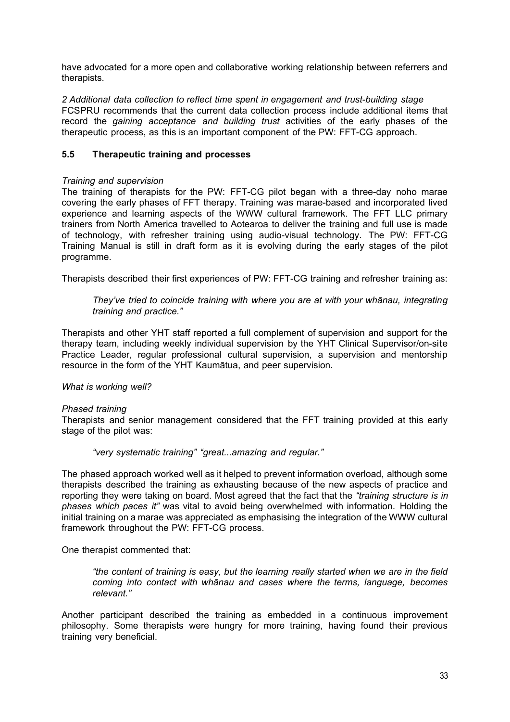have advocated for a more open and collaborative working relationship between referrers and therapists.

*2 Additional data collection to reflect time spent in engagement and trust-building stage* FCSPRU recommends that the current data collection process include additional items that record the *gaining acceptance and building trust* activities of the early phases of the therapeutic process, as this is an important component of the PW: FFT-CG approach.

# <span id="page-32-0"></span>**5.5 Therapeutic training and processes**

#### *Training and supervision*

The training of therapists for the PW: FFT-CG pilot began with a three-day noho marae covering the early phases of FFT therapy. Training was marae-based and incorporated lived experience and learning aspects of the WWW cultural framework. The FFT LLC primary trainers from North America travelled to Aotearoa to deliver the training and full use is made of technology, with refresher training using audio-visual technology. The PW: FFT-CG Training Manual is still in draft form as it is evolving during the early stages of the pilot programme.

Therapists described their first experiences of PW: FFT-CG training and refresher training as:

*They've tried to coincide training with where you are at with your whānau, integrating training and practice."* 

Therapists and other YHT staff reported a full complement of supervision and support for the therapy team, including weekly individual supervision by the YHT Clinical Supervisor/on-site Practice Leader, regular professional cultural supervision, a supervision and mentorship resource in the form of the YHT Kaumātua, and peer supervision.

#### *What is working well?*

#### *Phased training*

Therapists and senior management considered that the FFT training provided at this early stage of the pilot was:

*"very systematic training" "great...amazing and regular."*

The phased approach worked well as it helped to prevent information overload, although some therapists described the training as exhausting because of the new aspects of practice and reporting they were taking on board. Most agreed that the fact that the *"training structure is in phases which paces it"* was vital to avoid being overwhelmed with information. Holding the initial training on a marae was appreciated as emphasising the integration of the WWW cultural framework throughout the PW: FFT-CG process.

One therapist commented that:

*"the content of training is easy, but the learning really started when we are in the field coming into contact with whānau and cases where the terms, language, becomes relevant."* 

Another participant described the training as embedded in a continuous improvement philosophy. Some therapists were hungry for more training, having found their previous training very beneficial.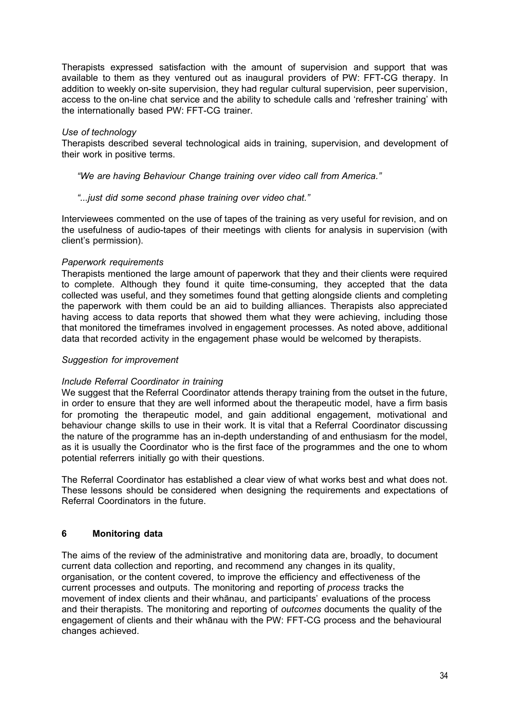Therapists expressed satisfaction with the amount of supervision and support that was available to them as they ventured out as inaugural providers of PW: FFT-CG therapy. In addition to weekly on-site supervision, they had regular cultural supervision, peer supervision, access to the on-line chat service and the ability to schedule calls and 'refresher training' with the internationally based PW: FFT-CG trainer.

# *Use of technology*

Therapists described several technological aids in training, supervision, and development of their work in positive terms.

*"We are having Behaviour Change training over video call from America."* 

# *"...just did some second phase training over video chat."*

Interviewees commented on the use of tapes of the training as very useful for revision, and on the usefulness of audio-tapes of their meetings with clients for analysis in supervision (with client's permission).

# *Paperwork requirements*

Therapists mentioned the large amount of paperwork that they and their clients were required to complete. Although they found it quite time-consuming, they accepted that the data collected was useful, and they sometimes found that getting alongside clients and completing the paperwork with them could be an aid to building alliances. Therapists also appreciated having access to data reports that showed them what they were achieving, including those that monitored the timeframes involved in engagement processes. As noted above, additional data that recorded activity in the engagement phase would be welcomed by therapists.

# *Suggestion for improvement*

#### *Include Referral Coordinator in training*

We suggest that the Referral Coordinator attends therapy training from the outset in the future, in order to ensure that they are well informed about the therapeutic model, have a firm basis for promoting the therapeutic model, and gain additional engagement, motivational and behaviour change skills to use in their work. It is vital that a Referral Coordinator discussing the nature of the programme has an in-depth understanding of and enthusiasm for the model, as it is usually the Coordinator who is the first face of the programmes and the one to whom potential referrers initially go with their questions.

The Referral Coordinator has established a clear view of what works best and what does not. These lessons should be considered when designing the requirements and expectations of Referral Coordinators in the future.

# <span id="page-33-0"></span>**6 Monitoring data**

The aims of the review of the administrative and monitoring data are, broadly, to document current data collection and reporting, and recommend any changes in its quality, organisation, or the content covered, to improve the efficiency and effectiveness of the current processes and outputs. The monitoring and reporting of *process* tracks the movement of index clients and their whānau, and participants' evaluations of the process and their therapists. The monitoring and reporting of *outcomes* documents the quality of the engagement of clients and their whānau with the PW: FFT-CG process and the behavioural changes achieved.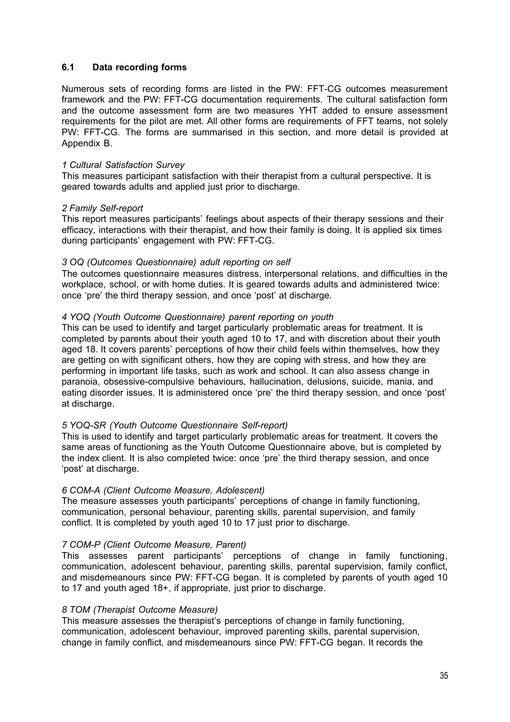# <span id="page-34-0"></span>**6.1 Data recording forms**

Numerous sets of recording forms are listed in the PW: FFT-CG outcomes measurement framework and the PW: FFT-CG documentation requirements. The cultural satisfaction form and the outcome assessment form are two measures YHT added to ensure assessment requirements for the pilot are met. All other forms are requirements of FFT teams, not solely PW: FFT-CG. The forms are summarised in this section, and more detail is provided at Appendix B.

# *1 Cultural Satisfaction Survey*

This measures participant satisfaction with their therapist from a cultural perspective. It is geared towards adults and applied just prior to discharge.

# *2 Family Self-report*

This report measures participants' feelings about aspects of their therapy sessions and their efficacy, interactions with their therapist, and how their family is doing. It is applied six times during participants' engagement with PW: FFT-CG.

# *3 OQ (Outcomes Questionnaire) adult reporting on self*

The outcomes questionnaire measures distress, interpersonal relations, and difficulties in the workplace, school, or with home duties. It is geared towards adults and administered twice: once 'pre' the third therapy session, and once 'post' at discharge.

# *4 YOQ (Youth Outcome Questionnaire) parent reporting on youth*

This can be used to identify and target particularly problematic areas for treatment. It is completed by parents about their youth aged 10 to 17, and with discretion about their youth aged 18. It covers parents' perceptions of how their child feels within themselves, how they are getting on with significant others, how they are coping with stress, and how they are performing in important life tasks, such as work and school. It can also assess change in paranoia, obsessive-compulsive behaviours, hallucination, delusions, suicide, mania, and eating disorder issues. It is administered once 'pre' the third therapy session, and once 'post' at discharge.

# *5 YOQ-SR (Youth Outcome Questionnaire Self-report)*

This is used to identify and target particularly problematic areas for treatment. It covers the same areas of functioning as the Youth Outcome Questionnaire above, but is completed by the index client. It is also completed twice: once 'pre' the third therapy session, and once 'post' at discharge.

#### *6 COM-A (Client Outcome Measure, Adolescent)*

The measure assesses youth participants' perceptions of change in family functioning, communication, personal behaviour, parenting skills, parental supervision, and family conflict. It is completed by youth aged 10 to 17 just prior to discharge.

#### *7 COM-P (Client Outcome Measure, Parent)*

This assesses parent participants' perceptions of change in family functioning, communication, adolescent behaviour, parenting skills, parental supervision, family conflict, and misdemeanours since PW: FFT-CG began. It is completed by parents of youth aged 10 to 17 and youth aged 18+, if appropriate, just prior to discharge.

#### *8 TOM (Therapist Outcome Measure)*

This measure assesses the therapist's perceptions of change in family functioning, communication, adolescent behaviour, improved parenting skills, parental supervision, change in family conflict, and misdemeanours since PW: FFT-CG began. It records the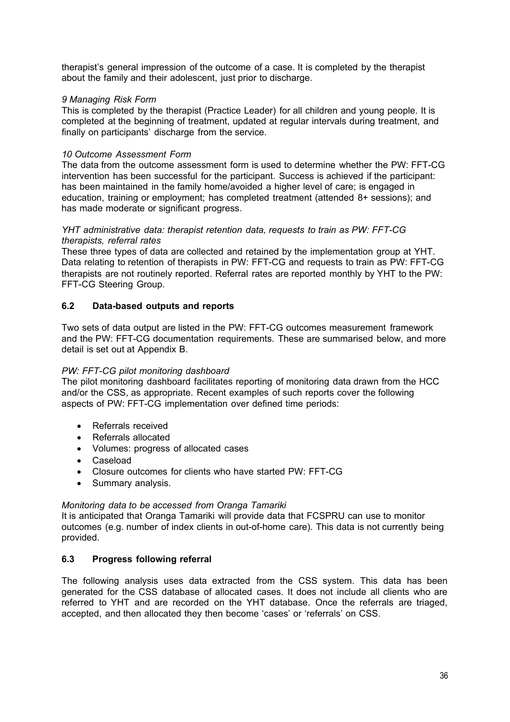therapist's general impression of the outcome of a case. It is completed by the therapist about the family and their adolescent, just prior to discharge.

# *9 Managing Risk Form*

This is completed by the therapist (Practice Leader) for all children and young people. It is completed at the beginning of treatment, updated at regular intervals during treatment, and finally on participants' discharge from the service.

# *10 Outcome Assessment Form*

The data from the outcome assessment form is used to determine whether the PW: FFT-CG intervention has been successful for the participant. Success is achieved if the participant: has been maintained in the family home/avoided a higher level of care; is engaged in education, training or employment; has completed treatment (attended 8+ sessions); and has made moderate or significant progress.

#### *YHT administrative data: therapist retention data, requests to train as PW: FFT-CG therapists, referral rates*

These three types of data are collected and retained by the implementation group at YHT. Data relating to retention of therapists in PW: FFT-CG and requests to train as PW: FFT-CG therapists are not routinely reported. Referral rates are reported monthly by YHT to the PW: FFT-CG Steering Group.

# <span id="page-35-0"></span>**6.2 Data-based outputs and reports**

Two sets of data output are listed in the PW: FFT-CG outcomes measurement framework and the PW: FFT-CG documentation requirements. These are summarised below, and more detail is set out at Appendix B.

# *PW: FFT-CG pilot monitoring dashboard*

The pilot monitoring dashboard facilitates reporting of monitoring data drawn from the HCC and/or the CSS, as appropriate. Recent examples of such reports cover the following aspects of PW: FFT-CG implementation over defined time periods:

- Referrals received
- Referrals allocated
- Volumes: progress of allocated cases
- Caseload
- Closure outcomes for clients who have started PW: FFT-CG
- Summary analysis.

# *Monitoring data to be accessed from Oranga Tamariki*

It is anticipated that Oranga Tamariki will provide data that FCSPRU can use to monitor outcomes (e.g. number of index clients in out-of-home care). This data is not currently being provided.

# <span id="page-35-1"></span>**6.3 Progress following referral**

The following analysis uses data extracted from the CSS system. This data has been generated for the CSS database of allocated cases. It does not include all clients who are referred to YHT and are recorded on the YHT database. Once the referrals are triaged, accepted, and then allocated they then become 'cases' or 'referrals' on CSS.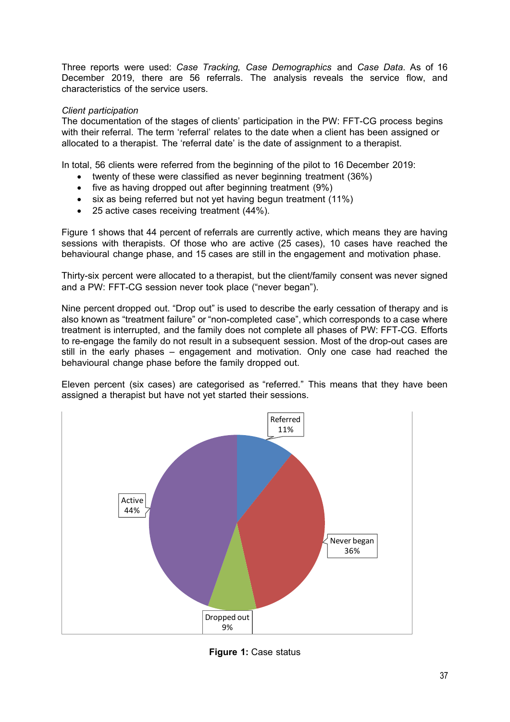Three reports were used: *Case Tracking, Case Demographics* and *Case Data*. As of 16 December 2019, there are 56 referrals. The analysis reveals the service flow, and characteristics of the service users.

# *Client participation*

The documentation of the stages of clients' participation in the PW: FFT-CG process begins with their referral. The term 'referral' relates to the date when a client has been assigned or allocated to a therapist. The 'referral date' is the date of assignment to a therapist.

In total, 56 clients were referred from the beginning of the pilot to 16 December 2019:

- twenty of these were classified as never beginning treatment (36%)
- five as having dropped out after beginning treatment (9%)
- six as being referred but not yet having begun treatment (11%)
- 25 active cases receiving treatment (44%).

Figure 1 shows that 44 percent of referrals are currently active, which means they are having sessions with therapists. Of those who are active (25 cases), 10 cases have reached the behavioural change phase, and 15 cases are still in the engagement and motivation phase.

Thirty-six percent were allocated to a therapist, but the client/family consent was never signed and a PW: FFT-CG session never took place ("never began").

Nine percent dropped out. "Drop out" is used to describe the early cessation of therapy and is also known as "treatment failure" or "non-completed case", which corresponds to a case where treatment is interrupted, and the family does not complete all phases of PW: FFT-CG. Efforts to re-engage the family do not result in a subsequent session. Most of the drop-out cases are still in the early phases – engagement and motivation. Only one case had reached the behavioural change phase before the family dropped out.

Eleven percent (six cases) are categorised as "referred." This means that they have been assigned a therapist but have not yet started their sessions.



**Figure 1:** Case status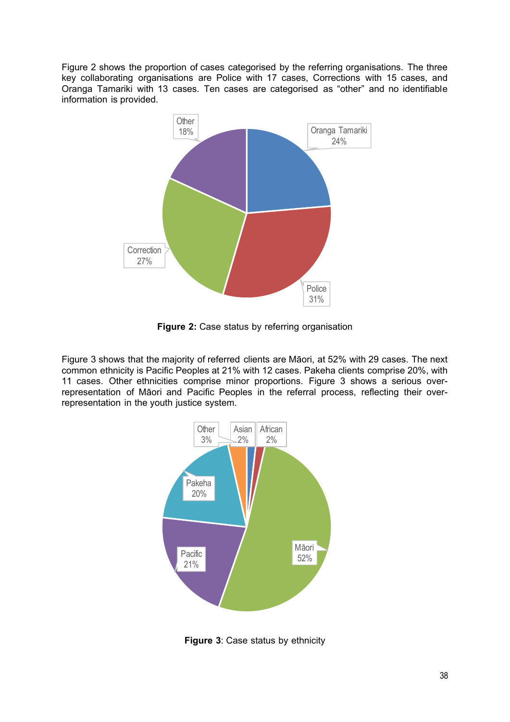Figure 2 shows the proportion of cases categorised by the referring organisations. The three key collaborating organisations are Police with 17 cases, Corrections with 15 cases, and Oranga Tamariki with 13 cases. Ten cases are categorised as "other" and no identifiable information is provided.



**Figure 2:** Case status by referring organisation

Figure 3 shows that the majority of referred clients are Māori, at 52% with 29 cases. The next common ethnicity is Pacific Peoples at 21% with 12 cases. Pakeha clients comprise 20%, with 11 cases. Other ethnicities comprise minor proportions. Figure 3 shows a serious overrepresentation of Māori and Pacific Peoples in the referral process, reflecting their overrepresentation in the youth justice system.



**Figure 3**: Case status by ethnicity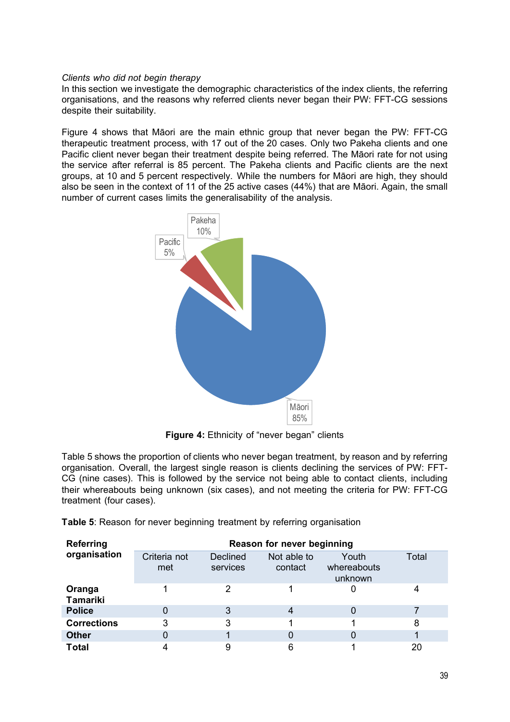# *Clients who did not begin therapy*

In this section we investigate the demographic characteristics of the index clients, the referring organisations, and the reasons why referred clients never began their PW: FFT-CG sessions despite their suitability.

Figure 4 shows that Māori are the main ethnic group that never began the PW: FFT-CG therapeutic treatment process, with 17 out of the 20 cases. Only two Pakeha clients and one Pacific client never began their treatment despite being referred. The Māori rate for not using the service after referral is 85 percent. The Pakeha clients and Pacific clients are the next groups, at 10 and 5 percent respectively. While the numbers for Māori are high, they should also be seen in the context of 11 of the 25 active cases (44%) that are Māori. Again, the small number of current cases limits the generalisability of the analysis.



**Figure 4:** Ethnicity of "never began" clients

Table 5 shows the proportion of clients who never began treatment, by reason and by referring organisation. Overall, the largest single reason is clients declining the services of PW: FFT-CG (nine cases). This is followed by the service not being able to contact clients, including their whereabouts being unknown (six cases), and not meeting the criteria for PW: FFT-CG treatment (four cases).

| Table 5: Reason for never beginning treatment by referring organisation |  |  |  |
|-------------------------------------------------------------------------|--|--|--|
|                                                                         |  |  |  |

| <b>Referring</b>          | Reason for never beginning |                             |                        |                                 |       |  |  |  |
|---------------------------|----------------------------|-----------------------------|------------------------|---------------------------------|-------|--|--|--|
| organisation              | Criteria not<br>met        | <b>Declined</b><br>services | Not able to<br>contact | Youth<br>whereabouts<br>unknown | Total |  |  |  |
| Oranga<br><b>Tamariki</b> |                            | 2                           |                        |                                 |       |  |  |  |
| <b>Police</b>             |                            | 3                           | 4                      |                                 |       |  |  |  |
| <b>Corrections</b>        | 3                          | 3                           |                        |                                 | 8     |  |  |  |
| <b>Other</b>              |                            |                             | O                      |                                 |       |  |  |  |
| <b>Total</b>              |                            | 9                           | 6                      |                                 | 20    |  |  |  |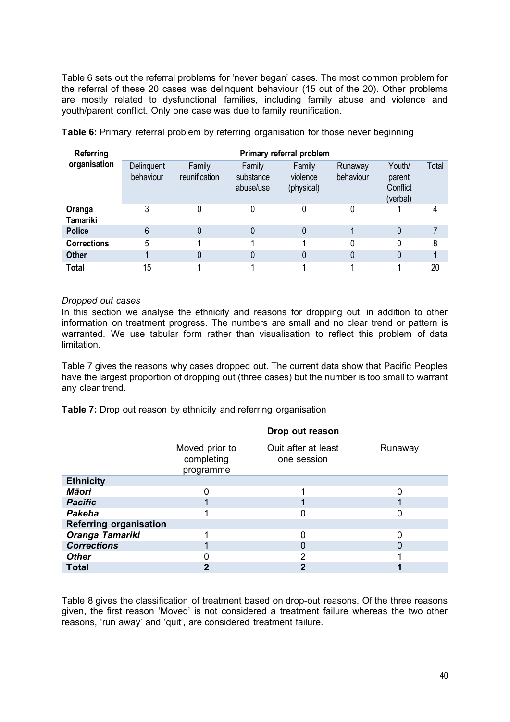Table 6 sets out the referral problems for 'never began' cases. The most common problem for the referral of these 20 cases was delinquent behaviour (15 out of the 20). Other problems are mostly related to dysfunctional families, including family abuse and violence and youth/parent conflict. Only one case was due to family reunification.

| Referring                 | Primary referral problem |                         |                                  |                                  |                      |                                          |       |  |  |
|---------------------------|--------------------------|-------------------------|----------------------------------|----------------------------------|----------------------|------------------------------------------|-------|--|--|
| organisation              | Delinguent<br>behaviour  | Family<br>reunification | Family<br>substance<br>abuse/use | Family<br>violence<br>(physical) | Runaway<br>behaviour | Youth/<br>parent<br>Conflict<br>(verbal) | Total |  |  |
| Oranga<br><b>Tamariki</b> | 3                        | 0                       |                                  |                                  |                      |                                          |       |  |  |
| <b>Police</b>             | 6                        | 0                       |                                  |                                  |                      | 0                                        |       |  |  |
| <b>Corrections</b>        | 5                        |                         |                                  |                                  | 0                    | 0                                        | 8     |  |  |
| <b>Other</b>              |                          | 0                       |                                  |                                  | 0                    |                                          |       |  |  |
| <b>Total</b>              | 15                       |                         |                                  |                                  |                      |                                          | 20    |  |  |

**Table 6:** Primary referral problem by referring organisation for those never beginning

# *Dropped out cases*

In this section we analyse the ethnicity and reasons for dropping out, in addition to other information on treatment progress. The numbers are small and no clear trend or pattern is warranted. We use tabular form rather than visualisation to reflect this problem of data limitation.

Table 7 gives the reasons why cases dropped out. The current data show that Pacific Peoples have the largest proportion of dropping out (three cases) but the number is too small to warrant any clear trend.

**Table 7:** Drop out reason by ethnicity and referring organisation

|                                           | Drop out reason                    |         |
|-------------------------------------------|------------------------------------|---------|
| Moved prior to<br>completing<br>programme | Quit after at least<br>one session | Runaway |
|                                           |                                    |         |
|                                           |                                    |         |
|                                           |                                    |         |
|                                           |                                    |         |
|                                           |                                    |         |
|                                           | ∩                                  |         |
|                                           | 0                                  |         |
|                                           | ⌒                                  |         |
|                                           | ŋ                                  |         |
|                                           |                                    |         |

Table 8 gives the classification of treatment based on drop-out reasons. Of the three reasons given, the first reason 'Moved' is not considered a treatment failure whereas the two other reasons, 'run away' and 'quit', are considered treatment failure.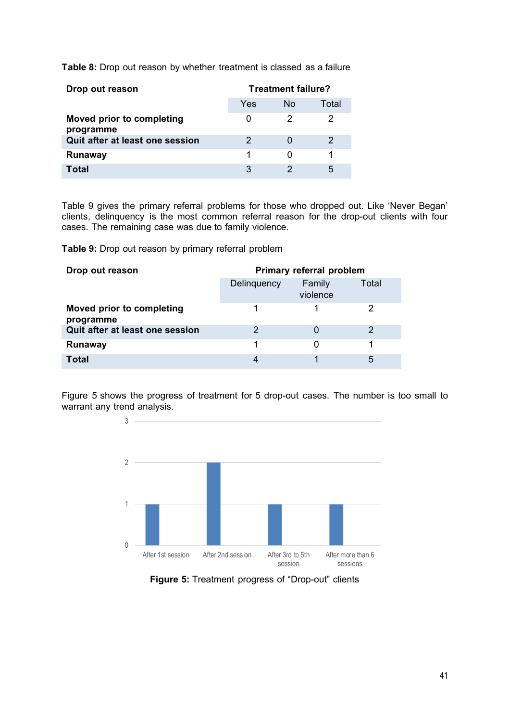**Table 8:** Drop out reason by whether treatment is classed as a failure

| Drop out reason                        |     | <b>Treatment failure?</b> |       |
|----------------------------------------|-----|---------------------------|-------|
|                                        | Yes | No.                       | Total |
| Moved prior to completing<br>programme |     |                           |       |
| Quit after at least one session        | 2   |                           |       |
| <b>Runaway</b>                         |     | $\left($                  |       |
| Total                                  | 3   |                           | 5     |

Table 9 gives the primary referral problems for those who dropped out. Like 'Never Began' clients, delinquency is the most common referral reason for the drop-out clients with four cases. The remaining case was due to family violence.

**Table 9:** Drop out reason by primary referral problem

| Drop out reason                        | Primary referral problem |                    |       |
|----------------------------------------|--------------------------|--------------------|-------|
|                                        | Delinquency              | Family<br>violence | Total |
| Moved prior to completing<br>programme |                          |                    |       |
| Quit after at least one session        |                          |                    |       |
| <b>Runaway</b>                         |                          |                    |       |
| <b>Total</b>                           | 4                        |                    | 5     |

Figure 5 shows the progress of treatment for 5 drop-out cases. The number is too small to warrant any trend analysis.



**Figure 5:** Treatment progress of "Drop-out" clients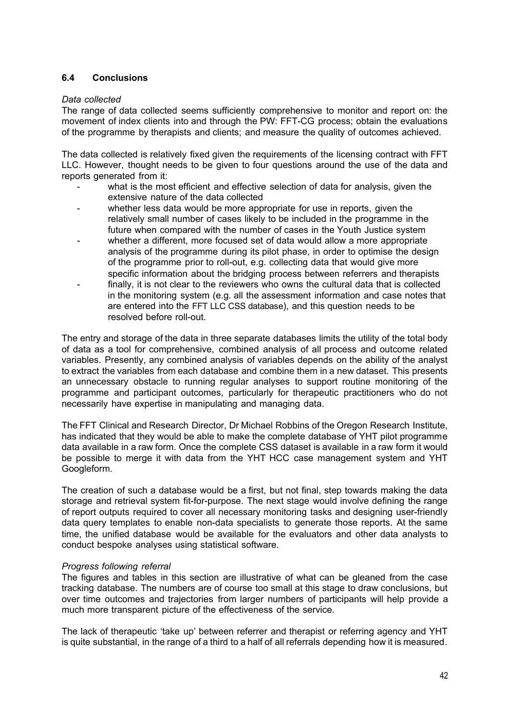# <span id="page-41-0"></span>**6.4 Conclusions**

#### *Data collected*

The range of data collected seems sufficiently comprehensive to monitor and report on: the movement of index clients into and through the PW: FFT-CG process; obtain the evaluations of the programme by therapists and clients; and measure the quality of outcomes achieved.

The data collected is relatively fixed given the requirements of the licensing contract with FFT LLC. However, thought needs to be given to four questions around the use of the data and reports generated from it:

- what is the most efficient and effective selection of data for analysis, given the extensive nature of the data collected
- whether less data would be more appropriate for use in reports, given the relatively small number of cases likely to be included in the programme in the future when compared with the number of cases in the Youth Justice system
- whether a different, more focused set of data would allow a more appropriate analysis of the programme during its pilot phase, in order to optimise the design of the programme prior to roll-out, e.g. collecting data that would give more specific information about the bridging process between referrers and therapists
- finally, it is not clear to the reviewers who owns the cultural data that is collected in the monitoring system (e.g. all the assessment information and case notes that are entered into the FFT LLC CSS database), and this question needs to be resolved before roll-out.

The entry and storage of the data in three separate databases limits the utility of the total body of data as a tool for comprehensive, combined analysis of all process and outcome related variables. Presently, any combined analysis of variables depends on the ability of the analyst to extract the variables from each database and combine them in a new dataset. This presents an unnecessary obstacle to running regular analyses to support routine monitoring of the programme and participant outcomes, particularly for therapeutic practitioners who do not necessarily have expertise in manipulating and managing data.

The FFT Clinical and Research Director, Dr Michael Robbins of the Oregon Research Institute, has indicated that they would be able to make the complete database of YHT pilot programme data available in a raw form. Once the complete CSS dataset is available in a raw form it would be possible to merge it with data from the YHT HCC case management system and YHT Googleform.

The creation of such a database would be a first, but not final, step towards making the data storage and retrieval system fit-for-purpose. The next stage would involve defining the range of report outputs required to cover all necessary monitoring tasks and designing user-friendly data query templates to enable non-data specialists to generate those reports. At the same time, the unified database would be available for the evaluators and other data analysts to conduct bespoke analyses using statistical software.

# *Progress following referral*

The figures and tables in this section are illustrative of what can be gleaned from the case tracking database. The numbers are of course too small at this stage to draw conclusions, but over time outcomes and trajectories from larger numbers of participants will help provide a much more transparent picture of the effectiveness of the service.

The lack of therapeutic 'take up' between referrer and therapist or referring agency and YHT is quite substantial, in the range of a third to a half of all referrals depending how it is measured.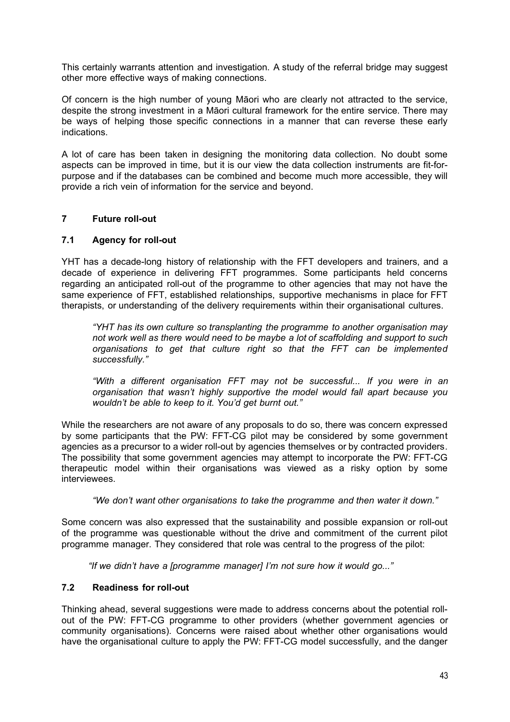This certainly warrants attention and investigation. A study of the referral bridge may suggest other more effective ways of making connections.

Of concern is the high number of young Māori who are clearly not attracted to the service, despite the strong investment in a Māori cultural framework for the entire service. There may be ways of helping those specific connections in a manner that can reverse these early indications.

A lot of care has been taken in designing the monitoring data collection. No doubt some aspects can be improved in time, but it is our view the data collection instruments are fit-forpurpose and if the databases can be combined and become much more accessible, they will provide a rich vein of information for the service and beyond.

# <span id="page-42-0"></span>**7 Future roll-out**

# <span id="page-42-1"></span>**7.1 Agency for roll-out**

YHT has a decade-long history of relationship with the FFT developers and trainers, and a decade of experience in delivering FFT programmes. Some participants held concerns regarding an anticipated roll-out of the programme to other agencies that may not have the same experience of FFT, established relationships, supportive mechanisms in place for FFT therapists, or understanding of the delivery requirements within their organisational cultures.

*"YHT has its own culture so transplanting the programme to another organisation may not work well as there would need to be maybe a lot of scaffolding and support to such organisations to get that culture right so that the FFT can be implemented successfully."*

*"With a different organisation FFT may not be successful... If you were in an organisation that wasn't highly supportive the model would fall apart because you wouldn't be able to keep to it. You'd get burnt out."*

While the researchers are not aware of any proposals to do so, there was concern expressed by some participants that the PW: FFT-CG pilot may be considered by some government agencies as a precursor to a wider roll-out by agencies themselves or by contracted providers. The possibility that some government agencies may attempt to incorporate the PW: FFT-CG therapeutic model within their organisations was viewed as a risky option by some interviewees.

*"We don't want other organisations to take the programme and then water it down."* 

Some concern was also expressed that the sustainability and possible expansion or roll-out of the programme was questionable without the drive and commitment of the current pilot programme manager. They considered that role was central to the progress of the pilot:

*"If we didn't have a [programme manager] I'm not sure how it would go..."*

# <span id="page-42-2"></span>**7.2 Readiness for roll-out**

Thinking ahead, several suggestions were made to address concerns about the potential rollout of the PW: FFT-CG programme to other providers (whether government agencies or community organisations). Concerns were raised about whether other organisations would have the organisational culture to apply the PW: FFT-CG model successfully, and the danger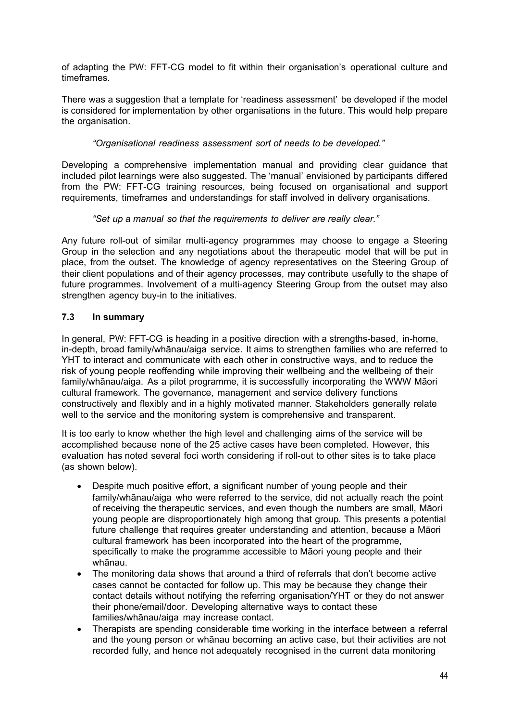of adapting the PW: FFT-CG model to fit within their organisation's operational culture and timeframes.

There was a suggestion that a template for 'readiness assessment' be developed if the model is considered for implementation by other organisations in the future. This would help prepare the organisation.

# *"Organisational readiness assessment sort of needs to be developed."*

Developing a comprehensive implementation manual and providing clear guidance that included pilot learnings were also suggested. The 'manual' envisioned by participants differed from the PW: FFT-CG training resources, being focused on organisational and support requirements, timeframes and understandings for staff involved in delivery organisations.

# *"Set up a manual so that the requirements to deliver are really clear."*

Any future roll-out of similar multi-agency programmes may choose to engage a Steering Group in the selection and any negotiations about the therapeutic model that will be put in place, from the outset. The knowledge of agency representatives on the Steering Group of their client populations and of their agency processes, may contribute usefully to the shape of future programmes. Involvement of a multi-agency Steering Group from the outset may also strengthen agency buy-in to the initiatives.

# <span id="page-43-0"></span>**7.3 In summary**

In general, PW: FFT-CG is heading in a positive direction with a strengths-based, in-home, in-depth, broad family/whānau/aiga service. It aims to strengthen families who are referred to YHT to interact and communicate with each other in constructive ways, and to reduce the risk of young people reoffending while improving their wellbeing and the wellbeing of their family/whānau/aiga. As a pilot programme, it is successfully incorporating the WWW Māori cultural framework. The governance, management and service delivery functions constructively and flexibly and in a highly motivated manner. Stakeholders generally relate well to the service and the monitoring system is comprehensive and transparent.

It is too early to know whether the high level and challenging aims of the service will be accomplished because none of the 25 active cases have been completed. However, this evaluation has noted several foci worth considering if roll-out to other sites is to take place (as shown below).

- Despite much positive effort, a significant number of young people and their family/whānau/aiga who were referred to the service, did not actually reach the point of receiving the therapeutic services, and even though the numbers are small, Māori young people are disproportionately high among that group. This presents a potential future challenge that requires greater understanding and attention, because a Māori cultural framework has been incorporated into the heart of the programme, specifically to make the programme accessible to Māori young people and their whānau.
- The monitoring data shows that around a third of referrals that don't become active cases cannot be contacted for follow up. This may be because they change their contact details without notifying the referring organisation/YHT or they do not answer their phone/email/door. Developing alternative ways to contact these families/whānau/aiga may increase contact.
- Therapists are spending considerable time working in the interface between a referral and the young person or whānau becoming an active case, but their activities are not recorded fully, and hence not adequately recognised in the current data monitoring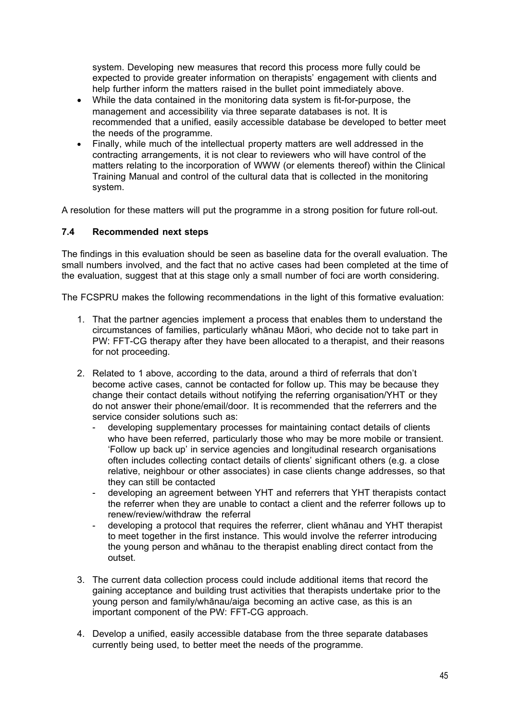system. Developing new measures that record this process more fully could be expected to provide greater information on therapists' engagement with clients and help further inform the matters raised in the bullet point immediately above.

- While the data contained in the monitoring data system is fit-for-purpose, the management and accessibility via three separate databases is not. It is recommended that a unified, easily accessible database be developed to better meet the needs of the programme.
- Finally, while much of the intellectual property matters are well addressed in the contracting arrangements, it is not clear to reviewers who will have control of the matters relating to the incorporation of WWW (or elements thereof) within the Clinical Training Manual and control of the cultural data that is collected in the monitoring system.

A resolution for these matters will put the programme in a strong position for future roll-out.

# <span id="page-44-0"></span>**7.4 Recommended next steps**

The findings in this evaluation should be seen as baseline data for the overall evaluation. The small numbers involved, and the fact that no active cases had been completed at the time of the evaluation, suggest that at this stage only a small number of foci are worth considering.

The FCSPRU makes the following recommendations in the light of this formative evaluation:

- 1. That the partner agencies implement a process that enables them to understand the circumstances of families, particularly whānau Māori, who decide not to take part in PW: FFT-CG therapy after they have been allocated to a therapist, and their reasons for not proceeding.
- 2. Related to 1 above, according to the data, around a third of referrals that don't become active cases, cannot be contacted for follow up. This may be because they change their contact details without notifying the referring organisation/YHT or they do not answer their phone/email/door. It is recommended that the referrers and the service consider solutions such as:
	- developing supplementary processes for maintaining contact details of clients who have been referred, particularly those who may be more mobile or transient. 'Follow up back up' in service agencies and longitudinal research organisations often includes collecting contact details of clients' significant others (e.g. a close relative, neighbour or other associates) in case clients change addresses, so that they can still be contacted
	- developing an agreement between YHT and referrers that YHT therapists contact the referrer when they are unable to contact a client and the referrer follows up to renew/review/withdraw the referral
	- developing a protocol that requires the referrer, client whānau and YHT therapist to meet together in the first instance. This would involve the referrer introducing the young person and whānau to the therapist enabling direct contact from the outset.
- 3. The current data collection process could include additional items that record the gaining acceptance and building trust activities that therapists undertake prior to the young person and family/whānau/aiga becoming an active case, as this is an important component of the PW: FFT-CG approach.
- 4. Develop a unified, easily accessible database from the three separate databases currently being used, to better meet the needs of the programme.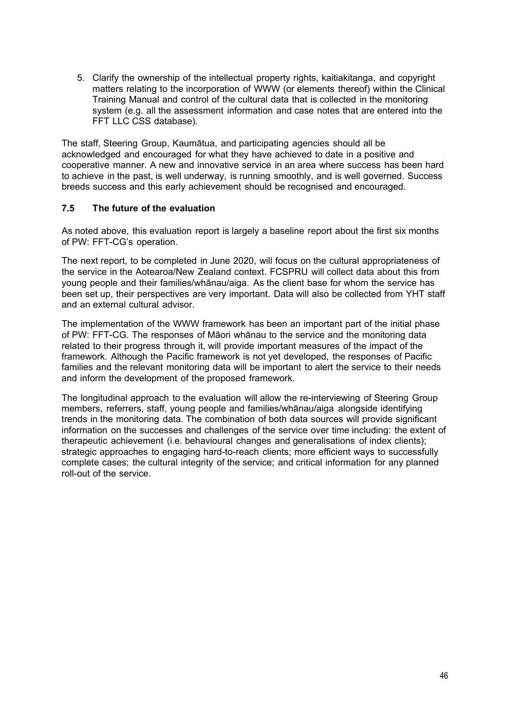5. Clarify the ownership of the intellectual property rights, kaitiakitanga, and copyright matters relating to the incorporation of WWW (or elements thereof) within the Clinical Training Manual and control of the cultural data that is collected in the monitoring system (e.g. all the assessment information and case notes that are entered into the FFT LLC CSS database).

The staff, Steering Group, Kaumātua, and participating agencies should all be acknowledged and encouraged for what they have achieved to date in a positive and cooperative manner. A new and innovative service in an area where success has been hard to achieve in the past, is well underway, is running smoothly, and is well governed. Success breeds success and this early achievement should be recognised and encouraged.

# <span id="page-45-0"></span>**7.5 The future of the evaluation**

As noted above, this evaluation report is largely a baseline report about the first six months of PW: FFT-CG's operation.

The next report, to be completed in June 2020, will focus on the cultural appropriateness of the service in the Aotearoa/New Zealand context. FCSPRU will collect data about this from young people and their families/whānau/aiga. As the client base for whom the service has been set up, their perspectives are very important. Data will also be collected from YHT staff and an external cultural advisor.

The implementation of the WWW framework has been an important part of the initial phase of PW: FFT-CG. The responses of Māori whānau to the service and the monitoring data related to their progress through it, will provide important measures of the impact of the framework. Although the Pacific framework is not yet developed, the responses of Pacific families and the relevant monitoring data will be important to alert the service to their needs and inform the development of the proposed framework.

The longitudinal approach to the evaluation will allow the re-interviewing of Steering Group members, referrers, staff, young people and families/whānau/aiga alongside identifying trends in the monitoring data. The combination of both data sources will provide significant information on the successes and challenges of the service over time including: the extent of therapeutic achievement (i.e. behavioural changes and generalisations of index clients); strategic approaches to engaging hard-to-reach clients; more efficient ways to successfully complete cases; the cultural integrity of the service; and critical information for any planned roll-out of the service.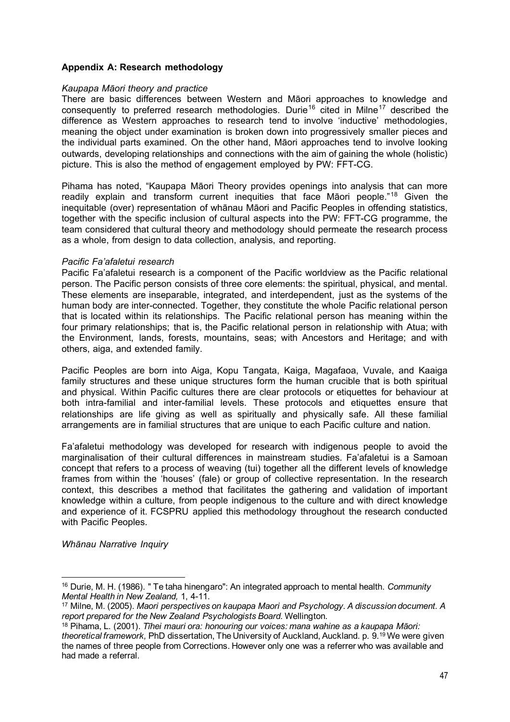# <span id="page-46-0"></span>**Appendix A: Research methodology**

#### *Kaupapa Māori theory and practice*

There are basic differences between Western and Māori approaches to knowledge and consequently to preferred research methodologies. Durie<sup>[16](#page-46-1)</sup> cited in Milne<sup>[17](#page-46-2)</sup> described the difference as Western approaches to research tend to involve 'inductive' methodologies, meaning the object under examination is broken down into progressively smaller pieces and the individual parts examined. On the other hand, Māori approaches tend to involve looking outwards, developing relationships and connections with the aim of gaining the whole (holistic) picture. This is also the method of engagement employed by PW: FFT-CG.

Pihama has noted, "Kaupapa Māori Theory provides openings into analysis that can more readily explain and transform current inequities that face Māori people."[18](#page-46-3) Given the inequitable (over) representation of whānau Māori and Pacific Peoples in offending statistics, together with the specific inclusion of cultural aspects into the PW: FFT-CG programme, the team considered that cultural theory and methodology should permeate the research process as a whole, from design to data collection, analysis, and reporting.

# *Pacific Fa'afaletui research*

Pacific Fa'afaletui research is a component of the Pacific worldview as the Pacific relational person. The Pacific person consists of three core elements: the spiritual, physical, and mental. These elements are inseparable, integrated, and interdependent, just as the systems of the human body are inter-connected. Together, they constitute the whole Pacific relational person that is located within its relationships. The Pacific relational person has meaning within the four primary relationships; that is, the Pacific relational person in relationship with Atua; with the Environment, lands, forests, mountains, seas; with Ancestors and Heritage; and with others, aiga, and extended family.

Pacific Peoples are born into Aiga, Kopu Tangata, Kaiga, Magafaoa, Vuvale, and Kaaiga family structures and these unique structures form the human crucible that is both spiritual and physical. Within Pacific cultures there are clear protocols or etiquettes for behaviour at both intra-familial and inter-familial levels. These protocols and etiquettes ensure that relationships are life giving as well as spiritually and physically safe. All these familial arrangements are in familial structures that are unique to each Pacific culture and nation.

Fa'afaletui methodology was developed for research with indigenous people to avoid the marginalisation of their cultural differences in mainstream studies. Fa'afaletui is a Samoan concept that refers to a process of weaving (tui) together all the different levels of knowledge frames from within the 'houses' (fale) or group of collective representation. In the research context, this describes a method that facilitates the gathering and validation of important knowledge within a culture, from people indigenous to the culture and with direct knowledge and experience of it. FCSPRU applied this methodology throughout the research conducted with Pacific Peoples.

*Whānau Narrative Inquiry*

<sup>16</sup> Durie, M. H. (1986). " Te taha hinengaro": An integrated approach to mental health. *Community Mental Health in New Zealand,* 1, 4-11.

<span id="page-46-1"></span><sup>17</sup> Milne, M. (2005). *Maori perspectives on kaupapa Maori and Psychology. A discussion document. A report prepared for the New Zealand Psychologists Board.* Wellington.

<span id="page-46-3"></span><span id="page-46-2"></span><sup>18</sup> Pihama, L. (2001). *Tīhei mauri ora: honouring our voices: mana wahine as a kaupapa Māori: theoretical framework,* PhD dissertation, The University of Auckland, Auckland. p. 9.19 We were given the names of three people from Corrections. However only one was a referrer who was available and had made a referral.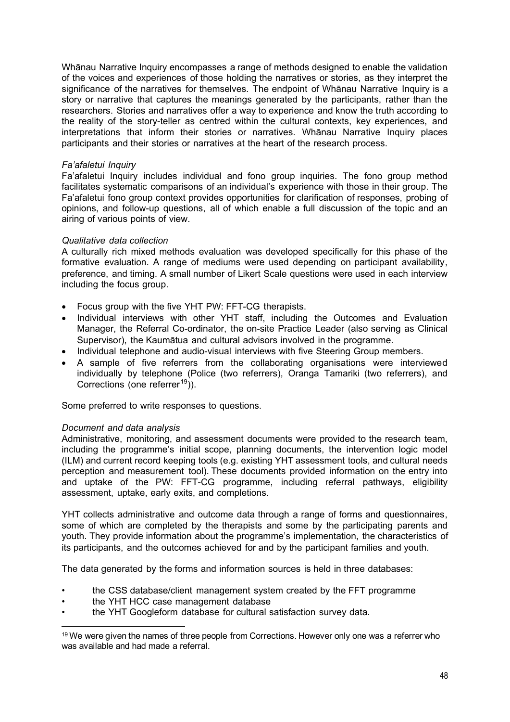Whānau Narrative Inquiry encompasses a range of methods designed to enable the validation of the voices and experiences of those holding the narratives or stories, as they interpret the significance of the narratives for themselves. The endpoint of Whānau Narrative Inquiry is a story or narrative that captures the meanings generated by the participants, rather than the researchers. Stories and narratives offer a way to experience and know the truth according to the reality of the story-teller as centred within the cultural contexts, key experiences, and interpretations that inform their stories or narratives. Whānau Narrative Inquiry places participants and their stories or narratives at the heart of the research process.

# *Fa'afaletui Inquiry*

Fa'afaletui Inquiry includes individual and fono group inquiries. The fono group method facilitates systematic comparisons of an individual's experience with those in their group. The Fa'afaletui fono group context provides opportunities for clarification of responses, probing of opinions, and follow-up questions, all of which enable a full discussion of the topic and an airing of various points of view.

# *Qualitative data collection*

A culturally rich mixed methods evaluation was developed specifically for this phase of the formative evaluation. A range of mediums were used depending on participant availability, preference, and timing. A small number of Likert Scale questions were used in each interview including the focus group.

- Focus group with the five YHT PW: FFT-CG therapists.
- Individual interviews with other YHT staff, including the Outcomes and Evaluation Manager, the Referral Co-ordinator, the on-site Practice Leader (also serving as Clinical Supervisor), the Kaumātua and cultural advisors involved in the programme.
- Individual telephone and audio-visual interviews with five Steering Group members.
- A sample of five referrers from the collaborating organisations were interviewed individually by telephone (Police (two referrers), Oranga Tamariki (two referrers), and Corrections (one referrer<sup>[19](#page-47-0)</sup>)).

Some preferred to write responses to questions.

#### *Document and data analysis*

Administrative, monitoring, and assessment documents were provided to the research team, including the programme's initial scope, planning documents, the intervention logic model (ILM) and current record keeping tools (e.g. existing YHT assessment tools, and cultural needs perception and measurement tool). These documents provided information on the entry into and uptake of the PW: FFT-CG programme, including referral pathways, eligibility assessment, uptake, early exits, and completions.

YHT collects administrative and outcome data through a range of forms and questionnaires, some of which are completed by the therapists and some by the participating parents and youth. They provide information about the programme's implementation, the characteristics of its participants, and the outcomes achieved for and by the participant families and youth.

The data generated by the forms and information sources is held in three databases:

- the CSS database/client management system created by the FFT programme
- the YHT HCC case management database
- the YHT Googleform database for cultural satisfaction survey data.

<span id="page-47-0"></span><sup>&</sup>lt;sup>19</sup> We were given the names of three people from Corrections. However only one was a referrer who was available and had made a referral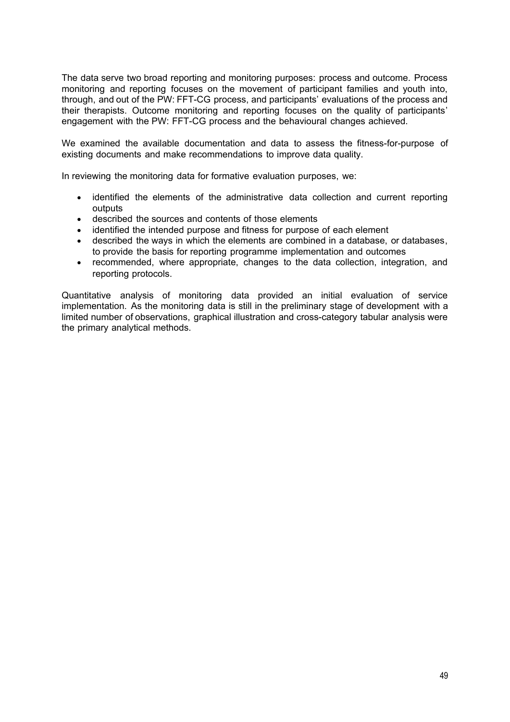The data serve two broad reporting and monitoring purposes: process and outcome. Process monitoring and reporting focuses on the movement of participant families and youth into, through, and out of the PW: FFT-CG process, and participants' evaluations of the process and their therapists. Outcome monitoring and reporting focuses on the quality of participants' engagement with the PW: FFT-CG process and the behavioural changes achieved.

We examined the available documentation and data to assess the fitness-for-purpose of existing documents and make recommendations to improve data quality.

In reviewing the monitoring data for formative evaluation purposes, we:

- identified the elements of the administrative data collection and current reporting outputs
- described the sources and contents of those elements
- identified the intended purpose and fitness for purpose of each element
- described the ways in which the elements are combined in a database, or databases, to provide the basis for reporting programme implementation and outcomes
- recommended, where appropriate, changes to the data collection, integration, and reporting protocols.

Quantitative analysis of monitoring data provided an initial evaluation of service implementation. As the monitoring data is still in the preliminary stage of development with a limited number of observations, graphical illustration and cross-category tabular analysis were the primary analytical methods.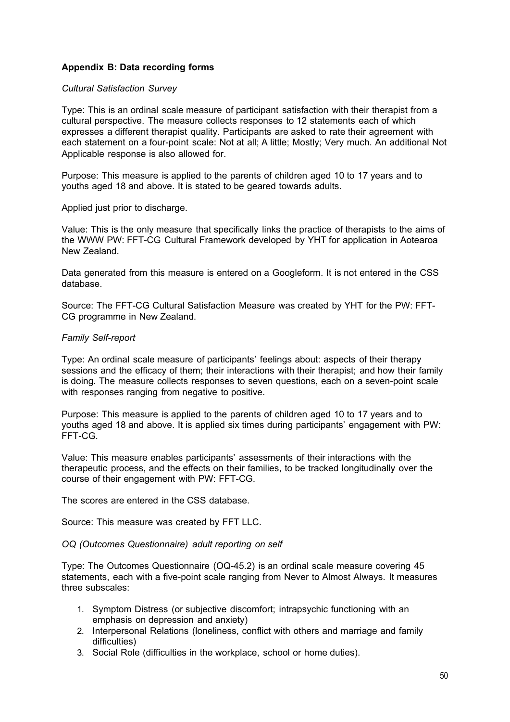# <span id="page-49-0"></span>**Appendix B: Data recording forms**

# *Cultural Satisfaction Survey*

Type: This is an ordinal scale measure of participant satisfaction with their therapist from a cultural perspective. The measure collects responses to 12 statements each of which expresses a different therapist quality. Participants are asked to rate their agreement with each statement on a four-point scale: Not at all; A little; Mostly; Very much. An additional Not Applicable response is also allowed for.

Purpose: This measure is applied to the parents of children aged 10 to 17 years and to youths aged 18 and above. It is stated to be geared towards adults.

Applied just prior to discharge.

Value: This is the only measure that specifically links the practice of therapists to the aims of the WWW PW: FFT-CG Cultural Framework developed by YHT for application in Aotearoa New Zealand.

Data generated from this measure is entered on a Googleform. It is not entered in the CSS database.

Source: The FFT-CG Cultural Satisfaction Measure was created by YHT for the PW: FFT-CG programme in New Zealand.

# *Family Self-report*

Type: An ordinal scale measure of participants' feelings about: aspects of their therapy sessions and the efficacy of them; their interactions with their therapist; and how their family is doing. The measure collects responses to seven questions, each on a seven-point scale with responses ranging from negative to positive.

Purpose: This measure is applied to the parents of children aged 10 to 17 years and to youths aged 18 and above. It is applied six times during participants' engagement with PW: FFT-CG.

Value: This measure enables participants' assessments of their interactions with the therapeutic process, and the effects on their families, to be tracked longitudinally over the course of their engagement with PW: FFT-CG.

The scores are entered in the CSS database.

Source: This measure was created by FFT LLC.

#### *OQ (Outcomes Questionnaire) adult reporting on self*

Type: The Outcomes Questionnaire (OQ-45.2) is an ordinal scale measure covering 45 statements, each with a five-point scale ranging from Never to Almost Always. It measures three subscales:

- 1. Symptom Distress (or subjective discomfort; intrapsychic functioning with an emphasis on depression and anxiety)
- 2. Interpersonal Relations (loneliness, conflict with others and marriage and family difficulties)
- 3. Social Role (difficulties in the workplace, school or home duties).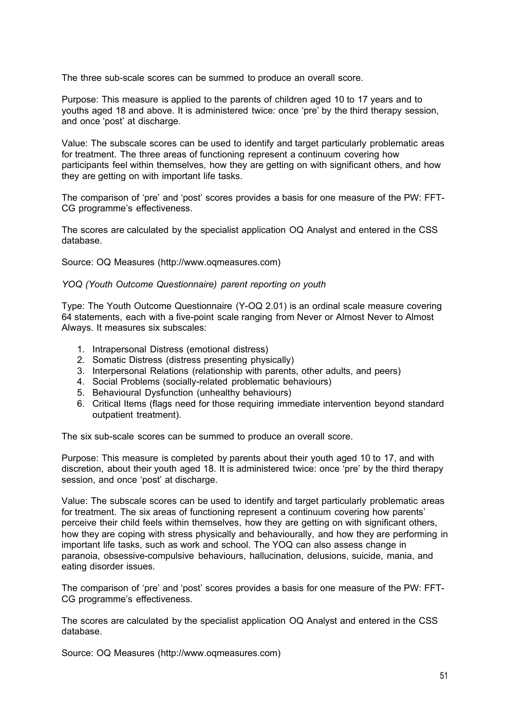The three sub-scale scores can be summed to produce an overall score.

Purpose: This measure is applied to the parents of children aged 10 to 17 years and to youths aged 18 and above. It is administered twice: once 'pre' by the third therapy session, and once 'post' at discharge.

Value: The subscale scores can be used to identify and target particularly problematic areas for treatment. The three areas of functioning represent a continuum covering how participants feel within themselves, how they are getting on with significant others, and how they are getting on with important life tasks.

The comparison of 'pre' and 'post' scores provides a basis for one measure of the PW: FFT-CG programme's effectiveness.

The scores are calculated by the specialist application OQ Analyst and entered in the CSS database.

Source: OQ Measures (http://www.oqmeasures.com)

# *YOQ (Youth Outcome Questionnaire) parent reporting on youth*

Type: The Youth Outcome Questionnaire (Y-OQ 2.01) is an ordinal scale measure covering 64 statements, each with a five-point scale ranging from Never or Almost Never to Almost Always. It measures six subscales:

- 1. Intrapersonal Distress (emotional distress)
- 2. Somatic Distress (distress presenting physically)
- 3. Interpersonal Relations (relationship with parents, other adults, and peers)
- 4. Social Problems (socially-related problematic behaviours)
- 5. Behavioural Dysfunction (unhealthy behaviours)
- 6. Critical Items (flags need for those requiring immediate intervention beyond standard outpatient treatment).

The six sub-scale scores can be summed to produce an overall score.

Purpose: This measure is completed by parents about their youth aged 10 to 17, and with discretion, about their youth aged 18. It is administered twice: once 'pre' by the third therapy session, and once 'post' at discharge.

Value: The subscale scores can be used to identify and target particularly problematic areas for treatment. The six areas of functioning represent a continuum covering how parents' perceive their child feels within themselves, how they are getting on with significant others, how they are coping with stress physically and behaviourally, and how they are performing in important life tasks, such as work and school. The YOQ can also assess change in paranoia, obsessive-compulsive behaviours, hallucination, delusions, suicide, mania, and eating disorder issues.

The comparison of 'pre' and 'post' scores provides a basis for one measure of the PW: FFT-CG programme's effectiveness.

The scores are calculated by the specialist application OQ Analyst and entered in the CSS database.

Source: OQ Measures (http://www.oqmeasures.com)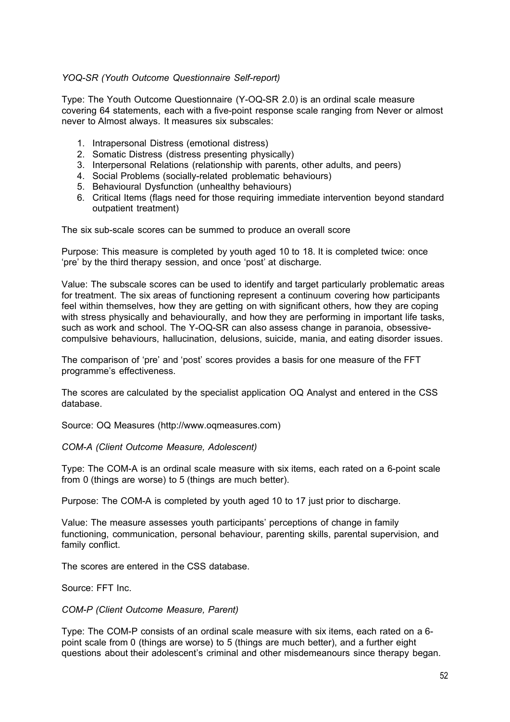# *YOQ-SR (Youth Outcome Questionnaire Self-report)*

Type: The Youth Outcome Questionnaire (Y-OQ-SR 2.0) is an ordinal scale measure covering 64 statements, each with a five-point response scale ranging from Never or almost never to Almost always. It measures six subscales:

- 1. Intrapersonal Distress (emotional distress)
- 2. Somatic Distress (distress presenting physically)
- 3. Interpersonal Relations (relationship with parents, other adults, and peers)
- 4. Social Problems (socially-related problematic behaviours)
- 5. Behavioural Dysfunction (unhealthy behaviours)
- 6. Critical Items (flags need for those requiring immediate intervention beyond standard outpatient treatment)

The six sub-scale scores can be summed to produce an overall score

Purpose: This measure is completed by youth aged 10 to 18. It is completed twice: once 'pre' by the third therapy session, and once 'post' at discharge.

Value: The subscale scores can be used to identify and target particularly problematic areas for treatment. The six areas of functioning represent a continuum covering how participants feel within themselves, how they are getting on with significant others, how they are coping with stress physically and behaviourally, and how they are performing in important life tasks, such as work and school. The Y-OQ-SR can also assess change in paranoia, obsessivecompulsive behaviours, hallucination, delusions, suicide, mania, and eating disorder issues.

The comparison of 'pre' and 'post' scores provides a basis for one measure of the FFT programme's effectiveness.

The scores are calculated by the specialist application OQ Analyst and entered in the CSS database.

Source: OQ Measures (http://www.oqmeasures.com)

*COM-A (Client Outcome Measure, Adolescent)*

Type: The COM-A is an ordinal scale measure with six items, each rated on a 6-point scale from 0 (things are worse) to 5 (things are much better).

Purpose: The COM-A is completed by youth aged 10 to 17 just prior to discharge.

Value: The measure assesses youth participants' perceptions of change in family functioning, communication, personal behaviour, parenting skills, parental supervision, and family conflict.

The scores are entered in the CSS database.

Source: FFT Inc.

#### *COM-P (Client Outcome Measure, Parent)*

Type: The COM-P consists of an ordinal scale measure with six items, each rated on a 6 point scale from 0 (things are worse) to 5 (things are much better), and a further eight questions about their adolescent's criminal and other misdemeanours since therapy began.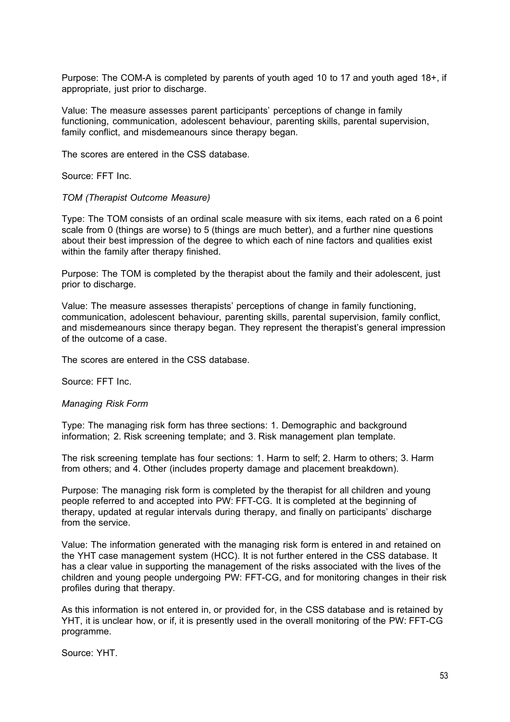Purpose: The COM-A is completed by parents of youth aged 10 to 17 and youth aged 18+, if appropriate, just prior to discharge.

Value: The measure assesses parent participants' perceptions of change in family functioning, communication, adolescent behaviour, parenting skills, parental supervision, family conflict, and misdemeanours since therapy began.

The scores are entered in the CSS database.

Source: FFT Inc.

#### *TOM (Therapist Outcome Measure)*

Type: The TOM consists of an ordinal scale measure with six items, each rated on a 6 point scale from 0 (things are worse) to 5 (things are much better), and a further nine questions about their best impression of the degree to which each of nine factors and qualities exist within the family after therapy finished.

Purpose: The TOM is completed by the therapist about the family and their adolescent, just prior to discharge.

Value: The measure assesses therapists' perceptions of change in family functioning, communication, adolescent behaviour, parenting skills, parental supervision, family conflict, and misdemeanours since therapy began. They represent the therapist's general impression of the outcome of a case.

The scores are entered in the CSS database.

Source: FFT Inc.

#### *Managing Risk Form*

Type: The managing risk form has three sections: 1. Demographic and background information; 2. Risk screening template; and 3. Risk management plan template.

The risk screening template has four sections: 1. Harm to self; 2. Harm to others; 3. Harm from others; and 4. Other (includes property damage and placement breakdown).

Purpose: The managing risk form is completed by the therapist for all children and young people referred to and accepted into PW: FFT-CG. It is completed at the beginning of therapy, updated at regular intervals during therapy, and finally on participants' discharge from the service.

Value: The information generated with the managing risk form is entered in and retained on the YHT case management system (HCC). It is not further entered in the CSS database. It has a clear value in supporting the management of the risks associated with the lives of the children and young people undergoing PW: FFT-CG, and for monitoring changes in their risk profiles during that therapy.

As this information is not entered in, or provided for, in the CSS database and is retained by YHT, it is unclear how, or if, it is presently used in the overall monitoring of the PW: FFT-CG programme.

Source: YHT.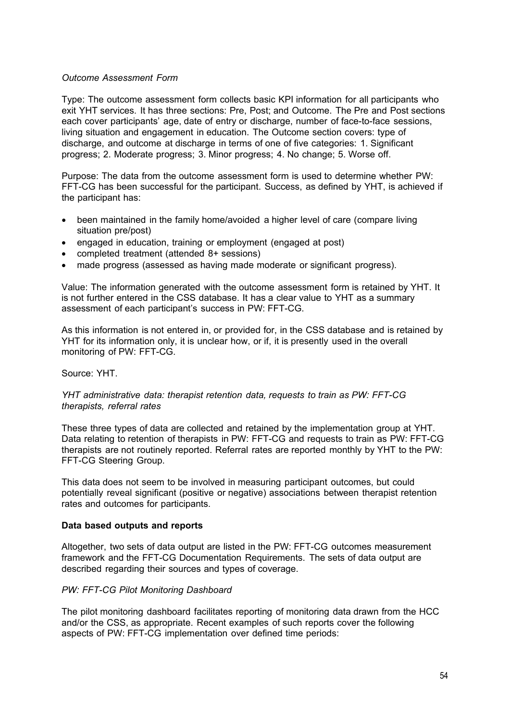# *Outcome Assessment Form*

Type: The outcome assessment form collects basic KPI information for all participants who exit YHT services. It has three sections: Pre, Post; and Outcome. The Pre and Post sections each cover participants' age, date of entry or discharge, number of face-to-face sessions, living situation and engagement in education. The Outcome section covers: type of discharge, and outcome at discharge in terms of one of five categories: 1. Significant progress; 2. Moderate progress; 3. Minor progress; 4. No change; 5. Worse off.

Purpose: The data from the outcome assessment form is used to determine whether PW: FFT-CG has been successful for the participant. Success, as defined by YHT, is achieved if the participant has:

- been maintained in the family home/avoided a higher level of care (compare living situation pre/post)
- engaged in education, training or employment (engaged at post)
- completed treatment (attended 8+ sessions)
- made progress (assessed as having made moderate or significant progress).

Value: The information generated with the outcome assessment form is retained by YHT. It is not further entered in the CSS database. It has a clear value to YHT as a summary assessment of each participant's success in PW: FFT-CG.

As this information is not entered in, or provided for, in the CSS database and is retained by YHT for its information only, it is unclear how, or if, it is presently used in the overall monitoring of PW: FFT-CG.

#### Source: YHT.

# *YHT administrative data: therapist retention data, requests to train as PW: FFT-CG therapists, referral rates*

These three types of data are collected and retained by the implementation group at YHT. Data relating to retention of therapists in PW: FFT-CG and requests to train as PW: FFT-CG therapists are not routinely reported. Referral rates are reported monthly by YHT to the PW: FFT-CG Steering Group.

This data does not seem to be involved in measuring participant outcomes, but could potentially reveal significant (positive or negative) associations between therapist retention rates and outcomes for participants.

#### **Data based outputs and reports**

Altogether, two sets of data output are listed in the PW: FFT-CG outcomes measurement framework and the FFT-CG Documentation Requirements. The sets of data output are described regarding their sources and types of coverage.

# *PW: FFT-CG Pilot Monitoring Dashboard*

The pilot monitoring dashboard facilitates reporting of monitoring data drawn from the HCC and/or the CSS, as appropriate. Recent examples of such reports cover the following aspects of PW: FFT-CG implementation over defined time periods: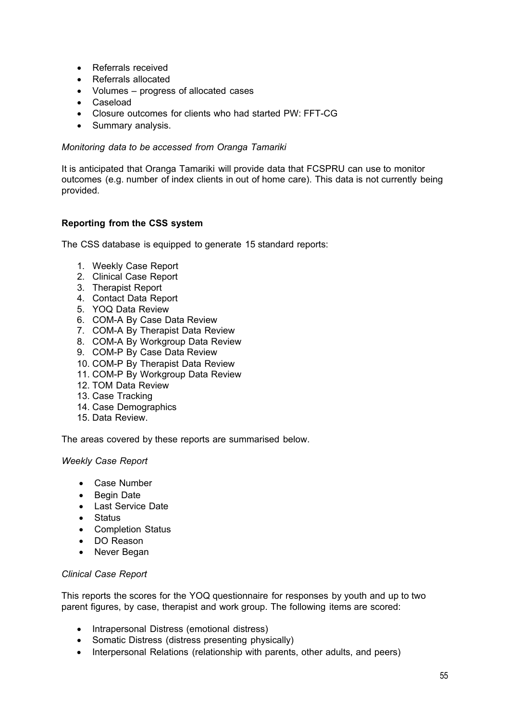- Referrals received
- Referrals allocated
- Volumes progress of allocated cases
- Caseload
- Closure outcomes for clients who had started PW: FFT-CG
- Summary analysis.

# *Monitoring data to be accessed from Oranga Tamariki*

It is anticipated that Oranga Tamariki will provide data that FCSPRU can use to monitor outcomes (e.g. number of index clients in out of home care). This data is not currently being provided.

# **Reporting from the CSS system**

The CSS database is equipped to generate 15 standard reports:

- 1. Weekly Case Report
- 2. Clinical Case Report
- 3. Therapist Report
- 4. Contact Data Report
- 5. YOQ Data Review
- 6. COM-A By Case Data Review
- 7. COM-A By Therapist Data Review
- 8. COM-A By Workgroup Data Review
- 9. COM-P By Case Data Review
- 10. COM-P By Therapist Data Review
- 11. COM-P By Workgroup Data Review
- 12. TOM Data Review
- 13. Case Tracking
- 14. Case Demographics
- 15. Data Review.

The areas covered by these reports are summarised below.

# *Weekly Case Report*

- Case Number
- Begin Date
- Last Service Date
- Status
- Completion Status
- DO Reason
- Never Began

#### *Clinical Case Report*

This reports the scores for the YOQ questionnaire for responses by youth and up to two parent figures, by case, therapist and work group. The following items are scored:

- Intrapersonal Distress (emotional distress)
- Somatic Distress (distress presenting physically)
- Interpersonal Relations (relationship with parents, other adults, and peers)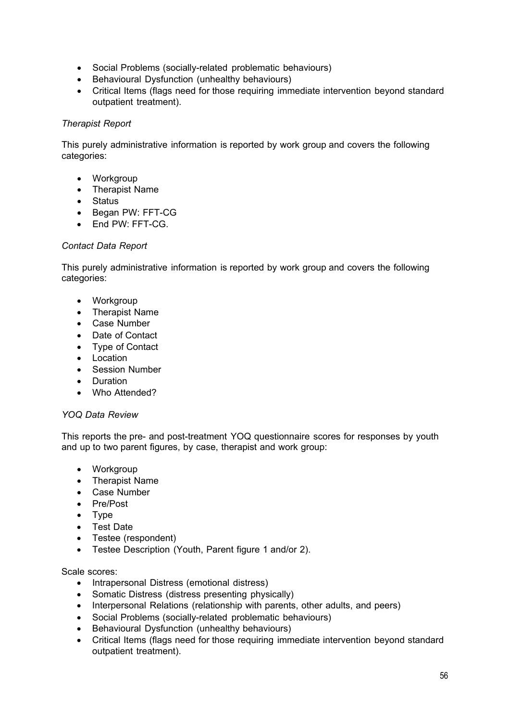- Social Problems (socially-related problematic behaviours)
- Behavioural Dysfunction (unhealthy behaviours)
- Critical Items (flags need for those requiring immediate intervention beyond standard outpatient treatment).

# *Therapist Report*

This purely administrative information is reported by work group and covers the following categories:

- Workgroup
- Therapist Name
- Status
- Began PW: FFT-CG
- End PW: FFT-CG.

# *Contact Data Report*

This purely administrative information is reported by work group and covers the following categories:

- Workgroup
- Therapist Name
- Case Number
- Date of Contact
- Type of Contact
- Location
- Session Number
- Duration
- Who Attended?

# *YOQ Data Review*

This reports the pre- and post-treatment YOQ questionnaire scores for responses by youth and up to two parent figures, by case, therapist and work group:

- Workgroup
- Therapist Name
- Case Number
- Pre/Post
- Type
- Test Date
- Testee (respondent)
- Testee Description (Youth, Parent figure 1 and/or 2).

# Scale scores:

- Intrapersonal Distress (emotional distress)
- Somatic Distress (distress presenting physically)
- Interpersonal Relations (relationship with parents, other adults, and peers)
- Social Problems (socially-related problematic behaviours)
- Behavioural Dysfunction (unhealthy behaviours)
- Critical Items (flags need for those requiring immediate intervention beyond standard outpatient treatment).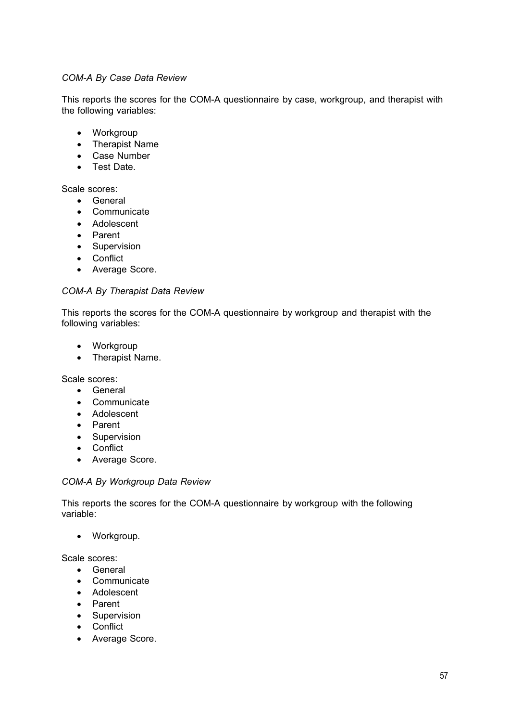# *COM-A By Case Data Review*

This reports the scores for the COM-A questionnaire by case, workgroup, and therapist with the following variables:

- Workgroup
- Therapist Name
- Case Number
- Test Date.

Scale scores:

- General
- Communicate
- Adolescent
- Parent
- Supervision
- Conflict
- Average Score.

# *COM-A By Therapist Data Review*

This reports the scores for the COM-A questionnaire by workgroup and therapist with the following variables:

- Workgroup
- Therapist Name.

Scale scores:

- General
- Communicate
- Adolescent
- Parent
- Supervision
- Conflict
- Average Score.

#### *COM-A By Workgroup Data Review*

This reports the scores for the COM-A questionnaire by workgroup with the following variable:

• Workgroup.

Scale scores:

- General
- Communicate
- Adolescent
- Parent
- Supervision
- Conflict
- Average Score.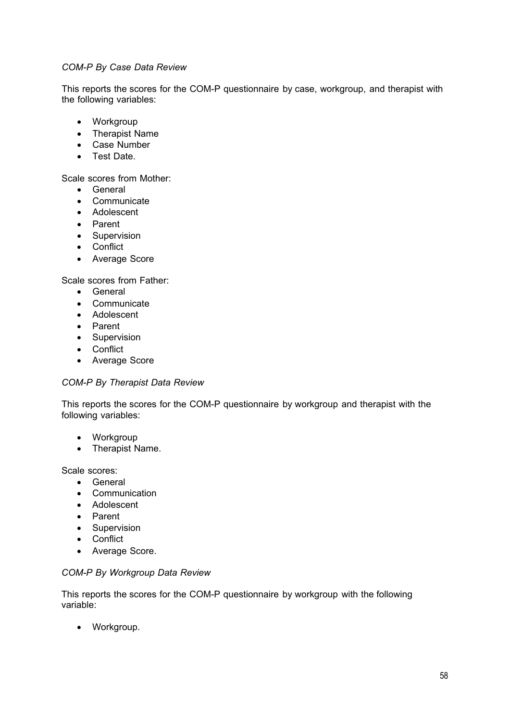# *COM-P By Case Data Review*

This reports the scores for the COM-P questionnaire by case, workgroup, and therapist with the following variables:

- Workgroup
- Therapist Name
- Case Number
- Test Date.

Scale scores from Mother:

- General
- Communicate
- Adolescent
- Parent
- Supervision
- Conflict
- Average Score

Scale scores from Father:

- General
- Communicate
- Adolescent
- Parent
- Supervision
- Conflict
- Average Score

#### *COM-P By Therapist Data Review*

This reports the scores for the COM-P questionnaire by workgroup and therapist with the following variables:

- Workgroup
- Therapist Name.

Scale scores:

- General
- Communication
- Adolescent
- Parent
- Supervision
- Conflict
- Average Score.

#### *COM-P By Workgroup Data Review*

This reports the scores for the COM-P questionnaire by workgroup with the following variable:

• Workgroup.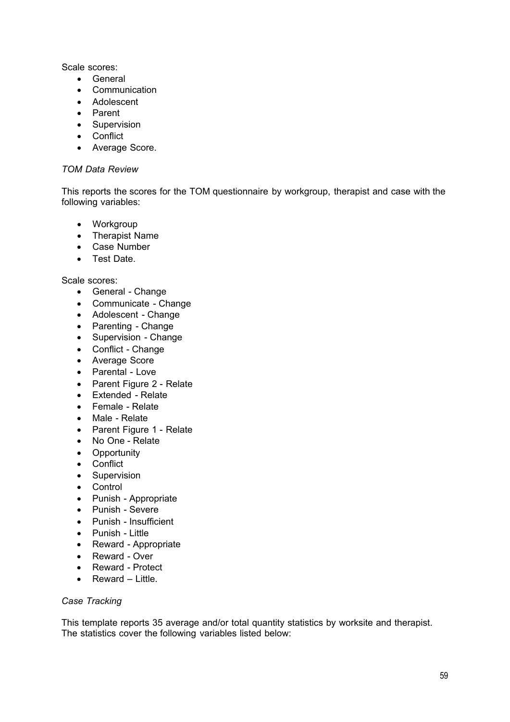Scale scores:

- General
- Communication
- Adolescent
- Parent
- Supervision
- Conflict
- Average Score.

# *TOM Data Review*

This reports the scores for the TOM questionnaire by workgroup, therapist and case with the following variables:

- Workgroup
- Therapist Name
- Case Number
- Test Date.

# Scale scores:

- General Change
- Communicate Change
- Adolescent Change
- Parenting Change
- Supervision Change
- Conflict Change
- Average Score
- Parental Love
- Parent Figure 2 Relate
- Extended Relate
- Female Relate
- Male Relate
- Parent Figure 1 Relate
- No One Relate
- Opportunity
- Conflict
- Supervision
- Control
- Punish Appropriate
- Punish Severe
- Punish Insufficient
- Punish Little
- Reward Appropriate
- Reward Over
- Reward Protect
- Reward Little

# *Case Tracking*

This template reports 35 average and/or total quantity statistics by worksite and therapist. The statistics cover the following variables listed below: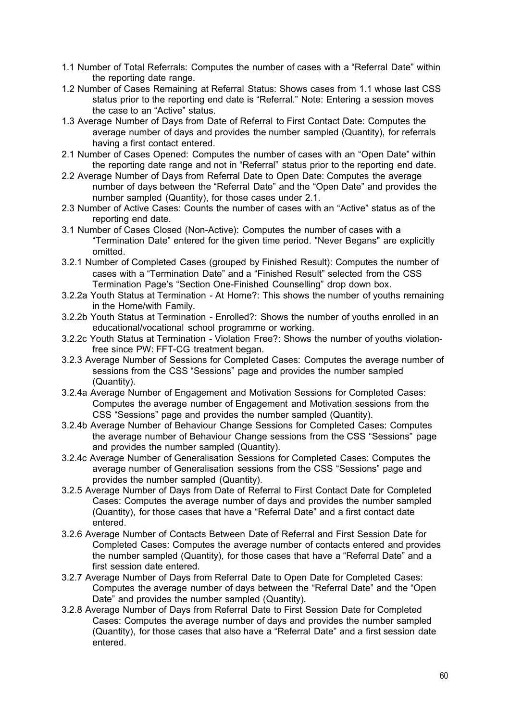- 1.1 Number of Total Referrals: Computes the number of cases with a "Referral Date" within the reporting date range.
- 1.2 Number of Cases Remaining at Referral Status: Shows cases from 1.1 whose last CSS status prior to the reporting end date is "Referral." Note: Entering a session moves the case to an "Active" status.
- 1.3 Average Number of Days from Date of Referral to First Contact Date: Computes the average number of days and provides the number sampled (Quantity), for referrals having a first contact entered.
- 2.1 Number of Cases Opened: Computes the number of cases with an "Open Date" within the reporting date range and not in "Referral" status prior to the reporting end date.
- 2.2 Average Number of Days from Referral Date to Open Date: Computes the average number of days between the "Referral Date" and the "Open Date" and provides the number sampled (Quantity), for those cases under 2.1.
- 2.3 Number of Active Cases: Counts the number of cases with an "Active" status as of the reporting end date.
- 3.1 Number of Cases Closed (Non-Active): Computes the number of cases with a "Termination Date" entered for the given time period. "Never Begans" are explicitly omitted.
- 3.2.1 Number of Completed Cases (grouped by Finished Result): Computes the number of cases with a "Termination Date" and a "Finished Result" selected from the CSS Termination Page's "Section One-Finished Counselling" drop down box.
- 3.2.2a Youth Status at Termination At Home?: This shows the number of youths remaining in the Home/with Family.
- 3.2.2b Youth Status at Termination Enrolled?: Shows the number of youths enrolled in an educational/vocational school programme or working.
- 3.2.2c Youth Status at Termination Violation Free?: Shows the number of youths violationfree since PW: FFT-CG treatment began.
- 3.2.3 Average Number of Sessions for Completed Cases: Computes the average number of sessions from the CSS "Sessions" page and provides the number sampled (Quantity).
- 3.2.4a Average Number of Engagement and Motivation Sessions for Completed Cases: Computes the average number of Engagement and Motivation sessions from the CSS "Sessions" page and provides the number sampled (Quantity).
- 3.2.4b Average Number of Behaviour Change Sessions for Completed Cases: Computes the average number of Behaviour Change sessions from the CSS "Sessions" page and provides the number sampled (Quantity).
- 3.2.4c Average Number of Generalisation Sessions for Completed Cases: Computes the average number of Generalisation sessions from the CSS "Sessions" page and provides the number sampled (Quantity).
- 3.2.5 Average Number of Days from Date of Referral to First Contact Date for Completed Cases: Computes the average number of days and provides the number sampled (Quantity), for those cases that have a "Referral Date" and a first contact date entered.
- 3.2.6 Average Number of Contacts Between Date of Referral and First Session Date for Completed Cases: Computes the average number of contacts entered and provides the number sampled (Quantity), for those cases that have a "Referral Date" and a first session date entered.
- 3.2.7 Average Number of Days from Referral Date to Open Date for Completed Cases: Computes the average number of days between the "Referral Date" and the "Open Date" and provides the number sampled (Quantity).
- 3.2.8 Average Number of Days from Referral Date to First Session Date for Completed Cases: Computes the average number of days and provides the number sampled (Quantity), for those cases that also have a "Referral Date" and a first session date entered.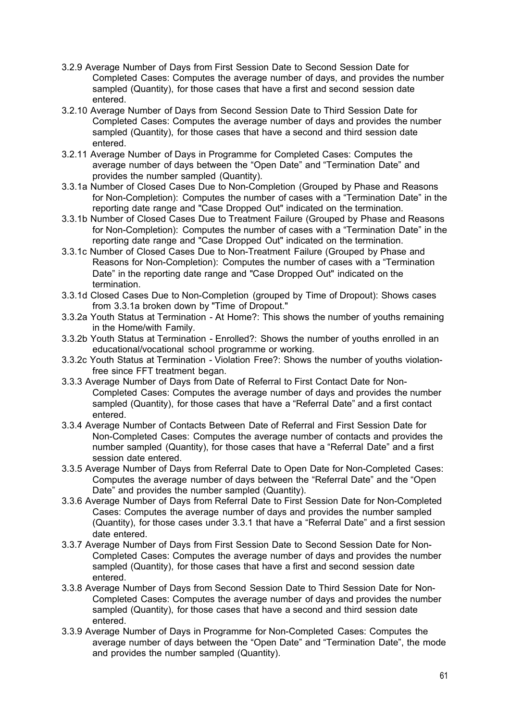- 3.2.9 Average Number of Days from First Session Date to Second Session Date for Completed Cases: Computes the average number of days, and provides the number sampled (Quantity), for those cases that have a first and second session date entered.
- 3.2.10 Average Number of Days from Second Session Date to Third Session Date for Completed Cases: Computes the average number of days and provides the number sampled (Quantity), for those cases that have a second and third session date entered.
- 3.2.11 Average Number of Days in Programme for Completed Cases: Computes the average number of days between the "Open Date" and "Termination Date" and provides the number sampled (Quantity).
- 3.3.1a Number of Closed Cases Due to Non-Completion (Grouped by Phase and Reasons for Non-Completion): Computes the number of cases with a "Termination Date" in the reporting date range and "Case Dropped Out" indicated on the termination.
- 3.3.1b Number of Closed Cases Due to Treatment Failure (Grouped by Phase and Reasons for Non-Completion): Computes the number of cases with a "Termination Date" in the reporting date range and "Case Dropped Out" indicated on the termination.
- 3.3.1c Number of Closed Cases Due to Non-Treatment Failure (Grouped by Phase and Reasons for Non-Completion): Computes the number of cases with a "Termination Date" in the reporting date range and "Case Dropped Out" indicated on the termination.
- 3.3.1d Closed Cases Due to Non-Completion (grouped by Time of Dropout): Shows cases from 3.3.1a broken down by "Time of Dropout."
- 3.3.2a Youth Status at Termination At Home?: This shows the number of youths remaining in the Home/with Family.
- 3.3.2b Youth Status at Termination Enrolled?: Shows the number of youths enrolled in an educational/vocational school programme or working.
- 3.3.2c Youth Status at Termination Violation Free?: Shows the number of youths violationfree since FFT treatment began.
- 3.3.3 Average Number of Days from Date of Referral to First Contact Date for Non-Completed Cases: Computes the average number of days and provides the number sampled (Quantity), for those cases that have a "Referral Date" and a first contact entered.
- 3.3.4 Average Number of Contacts Between Date of Referral and First Session Date for Non-Completed Cases: Computes the average number of contacts and provides the number sampled (Quantity), for those cases that have a "Referral Date" and a first session date entered.
- 3.3.5 Average Number of Days from Referral Date to Open Date for Non-Completed Cases: Computes the average number of days between the "Referral Date" and the "Open Date" and provides the number sampled (Quantity).
- 3.3.6 Average Number of Days from Referral Date to First Session Date for Non-Completed Cases: Computes the average number of days and provides the number sampled (Quantity), for those cases under 3.3.1 that have a "Referral Date" and a first session date entered.
- 3.3.7 Average Number of Days from First Session Date to Second Session Date for Non-Completed Cases: Computes the average number of days and provides the number sampled (Quantity), for those cases that have a first and second session date entered.
- 3.3.8 Average Number of Days from Second Session Date to Third Session Date for Non-Completed Cases: Computes the average number of days and provides the number sampled (Quantity), for those cases that have a second and third session date entered.
- 3.3.9 Average Number of Days in Programme for Non-Completed Cases: Computes the average number of days between the "Open Date" and "Termination Date", the mode and provides the number sampled (Quantity).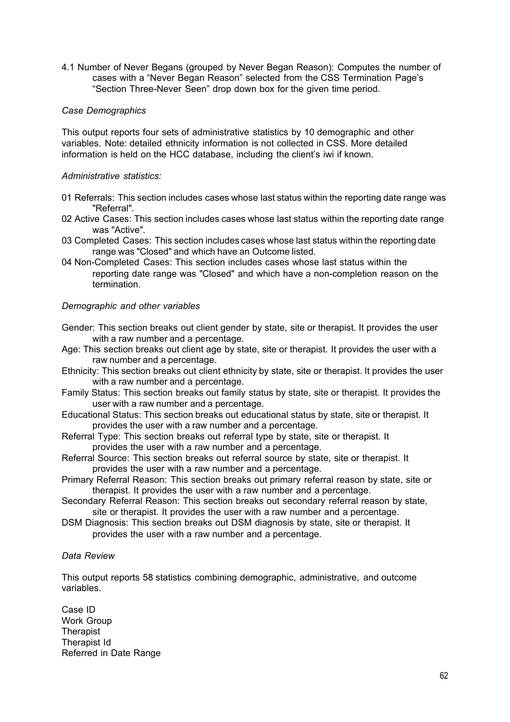4.1 Number of Never Begans (grouped by Never Began Reason): Computes the number of cases with a "Never Began Reason" selected from the CSS Termination Page's "Section Three-Never Seen" drop down box for the given time period.

# *Case Demographics*

This output reports four sets of administrative statistics by 10 demographic and other variables. Note: detailed ethnicity information is not collected in CSS. More detailed information is held on the HCC database, including the client's iwi if known.

# *Administrative statistics:*

- 01 Referrals: This section includes cases whose last status within the reporting date range was "Referral".
- 02 Active Cases: This section includes cases whose last status within the reporting date range was "Active".
- 03 Completed Cases: This section includes cases whose last status within the reporting date range was "Closed" and which have an Outcome listed.
- 04 Non-Completed Cases: This section includes cases whose last status within the reporting date range was "Closed" and which have a non-completion reason on the termination.

# *Demographic and other variables*

- Gender: This section breaks out client gender by state, site or therapist. It provides the user with a raw number and a percentage.
- Age: This section breaks out client age by state, site or therapist. It provides the user with a raw number and a percentage.
- Ethnicity: This section breaks out client ethnicity by state, site or therapist. It provides the user with a raw number and a percentage.
- Family Status: This section breaks out family status by state, site or therapist. It provides the user with a raw number and a percentage.
- Educational Status: This section breaks out educational status by state, site or therapist. It provides the user with a raw number and a percentage.
- Referral Type: This section breaks out referral type by state, site or therapist. It provides the user with a raw number and a percentage.
- Referral Source: This section breaks out referral source by state, site or therapist. It provides the user with a raw number and a percentage.
- Primary Referral Reason: This section breaks out primary referral reason by state, site or therapist. It provides the user with a raw number and a percentage.
- Secondary Referral Reason: This section breaks out secondary referral reason by state, site or therapist. It provides the user with a raw number and a percentage.
- DSM Diagnosis: This section breaks out DSM diagnosis by state, site or therapist. It provides the user with a raw number and a percentage.

#### *Data Review*

This output reports 58 statistics combining demographic, administrative, and outcome variables.

Case ID Work Group **Therapist** Therapist Id Referred in Date Range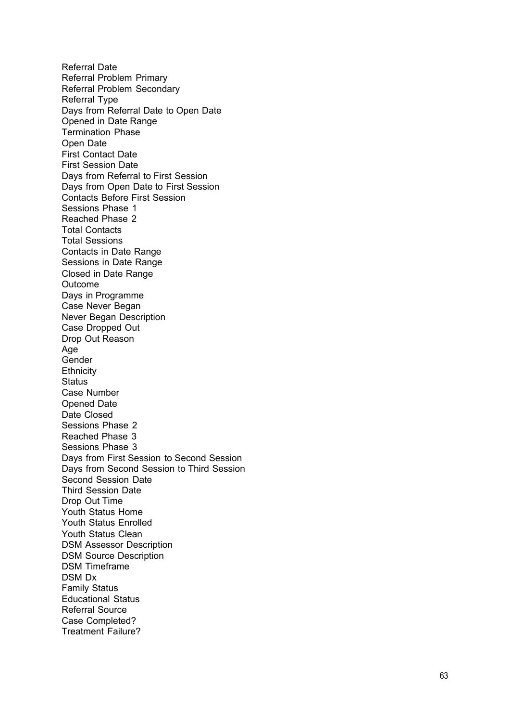Referral Date Referral Problem Primary Referral Problem Secondary Referral Type Days from Referral Date to Open Date Opened in Date Range Termination Phase Open Date First Contact Date First Session Date Days from Referral to First Session Days from Open Date to First Session Contacts Before First Session Sessions Phase 1 Reached Phase 2 Total Contacts Total Sessions Contacts in Date Range Sessions in Date Range Closed in Date Range Outcome Days in Programme Case Never Began Never Began Description Case Dropped Out Drop Out Reason Age Gender **Ethnicity Status** Case Number Opened Date Date Closed Sessions Phase 2 Reached Phase 3 Sessions Phase 3 Days from First Session to Second Session Days from Second Session to Third Session Second Session Date Third Session Date Drop Out Time Youth Status Home Youth Status Enrolled Youth Status Clean DSM Assessor Description DSM Source Description DSM Timeframe DSM Dx Family Status Educational Status Referral Source Case Completed? Treatment Failure?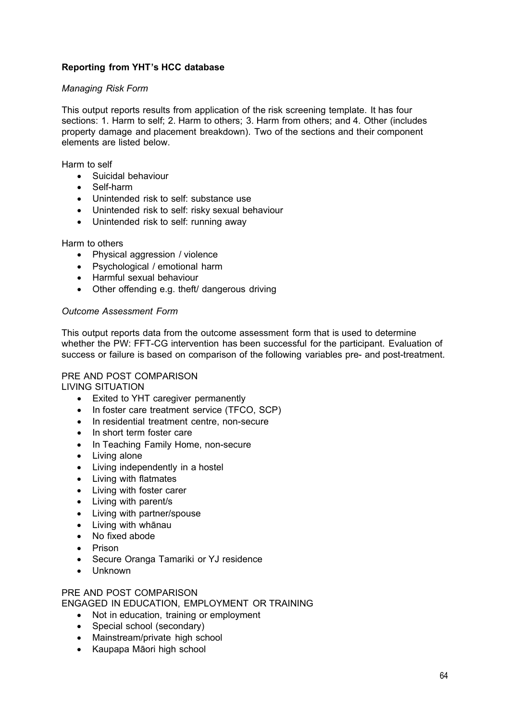# **Reporting from YHT's HCC database**

# *Managing Risk Form*

This output reports results from application of the risk screening template. It has four sections: 1. Harm to self; 2. Harm to others; 3. Harm from others; and 4. Other (includes property damage and placement breakdown). Two of the sections and their component elements are listed below.

Harm to self

- Suicidal behaviour
- Self-harm
- Unintended risk to self: substance use
- Unintended risk to self: risky sexual behaviour
- Unintended risk to self: running away

#### Harm to others

- Physical aggression / violence
- Psychological / emotional harm
- Harmful sexual behaviour
- Other offending e.g. theft/ dangerous driving

# *Outcome Assessment Form*

This output reports data from the outcome assessment form that is used to determine whether the PW: FFT-CG intervention has been successful for the participant. Evaluation of success or failure is based on comparison of the following variables pre- and post-treatment.

#### PRE AND POST COMPARISON

LIVING SITUATION

- Exited to YHT caregiver permanently
- In foster care treatment service (TFCO, SCP)
- In residential treatment centre, non-secure
- In short term foster care
- In Teaching Family Home, non-secure
- Living alone
- Living independently in a hostel
- Living with flatmates
- Living with foster carer
- Living with parent/s
- Living with partner/spouse
- Living with whānau
- No fixed abode
- Prison
- Secure Oranga Tamariki or YJ residence
- Unknown

#### PRE AND POST COMPARISON

ENGAGED IN EDUCATION, EMPLOYMENT OR TRAINING

- Not in education, training or employment
- Special school (secondary)
- Mainstream/private high school
- Kaupapa Māori high school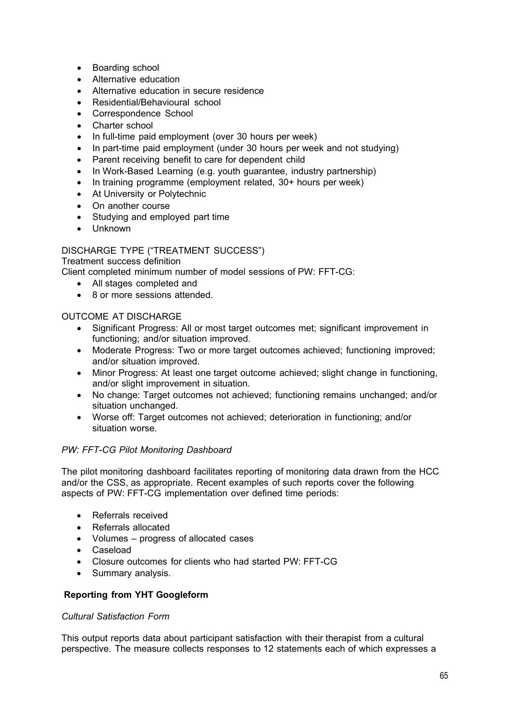- Boarding school
- Alternative education
- Alternative education in secure residence
- Residential/Behavioural school
- Correspondence School
- Charter school
- In full-time paid employment (over 30 hours per week)
- In part-time paid employment (under 30 hours per week and not studying)
- Parent receiving benefit to care for dependent child
- In Work-Based Learning (e.g. youth guarantee, industry partnership)
- In training programme (employment related, 30+ hours per week)
- At University or Polytechnic
- On another course
- Studying and employed part time
- Unknown

# DISCHARGE TYPE ("TREATMENT SUCCESS")

Treatment success definition

Client completed minimum number of model sessions of PW: FFT-CG:

- All stages completed and
- 8 or more sessions attended.

# OUTCOME AT DISCHARGE

- Significant Progress: All or most target outcomes met; significant improvement in functioning; and/or situation improved.
- Moderate Progress: Two or more target outcomes achieved; functioning improved; and/or situation improved.
- Minor Progress: At least one target outcome achieved; slight change in functioning, and/or slight improvement in situation.
- No change: Target outcomes not achieved; functioning remains unchanged; and/or situation unchanged.
- Worse off: Target outcomes not achieved; deterioration in functioning; and/or situation worse.

# *PW: FFT-CG Pilot Monitoring Dashboard*

The pilot monitoring dashboard facilitates reporting of monitoring data drawn from the HCC and/or the CSS, as appropriate. Recent examples of such reports cover the following aspects of PW: FFT-CG implementation over defined time periods:

- Referrals received
- Referrals allocated
- Volumes progress of allocated cases
- Caseload
- Closure outcomes for clients who had started PW: FFT-CG
- Summary analysis.

# **Reporting from YHT Googleform**

#### *Cultural Satisfaction Form*

This output reports data about participant satisfaction with their therapist from a cultural perspective. The measure collects responses to 12 statements each of which expresses a